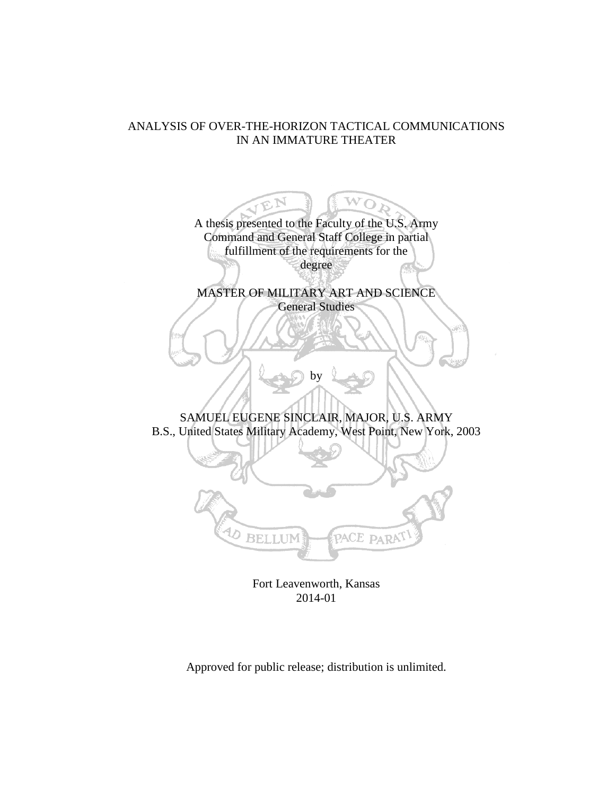## ANALYSIS OF OVER-THE-HORIZON TACTICAL COMMUNICATIONS IN AN IMMATURE THEATER

W A thesis presented to the Faculty of the U.S. Army Command and General Staff College in partial fulfillment of the requirements for the degree MASTER OF MILITARY ART AND SCIENCE General Studies by SAMUEL EUGENE SINCLAIR, MAJOR, U.S. ARMY B.S., United States Military Academy, West Point, New York, 2003 ひ **BELLUN** PACE PARAT

Fort Leavenworth, Kansas 2014-01

Approved for public release; distribution is unlimited.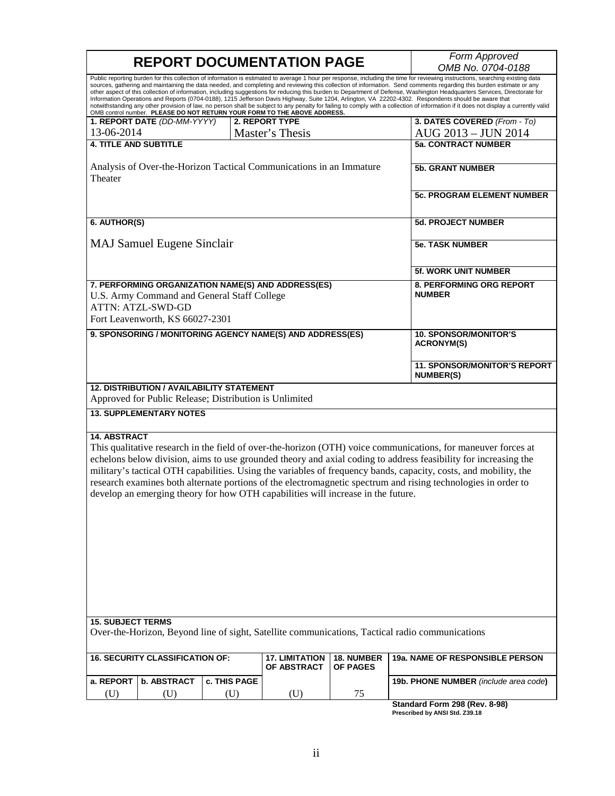| <b>REPORT DOCUMENTATION PAGE</b>                                                                                                                                                                                                                                                                                                                                                                                                                                                                                                                                                                                                                                                                                                                                                                                                                                                                                                                                  |                                                                                                            |                     |                                                   | Form Approved                 |                                                         |
|-------------------------------------------------------------------------------------------------------------------------------------------------------------------------------------------------------------------------------------------------------------------------------------------------------------------------------------------------------------------------------------------------------------------------------------------------------------------------------------------------------------------------------------------------------------------------------------------------------------------------------------------------------------------------------------------------------------------------------------------------------------------------------------------------------------------------------------------------------------------------------------------------------------------------------------------------------------------|------------------------------------------------------------------------------------------------------------|---------------------|---------------------------------------------------|-------------------------------|---------------------------------------------------------|
|                                                                                                                                                                                                                                                                                                                                                                                                                                                                                                                                                                                                                                                                                                                                                                                                                                                                                                                                                                   |                                                                                                            |                     |                                                   | OMB No. 0704-0188             |                                                         |
| Public reporting burden for this collection of information is estimated to average 1 hour per response, including the time for reviewing instructions, searching existing data<br>sources, gathering and maintaining the data needed, and completing and reviewing this collection of information. Send comments regarding this burden estimate or any<br>other aspect of this collection of information, including suggestions for reducing this burden to Department of Defense, Washington Headquarters Services, Directorate for<br>Information Operations and Reports (0704-0188), 1215 Jefferson Davis Highway, Suite 1204, Arlington, VA 22202-4302. Respondents should be aware that<br>notwithstanding any other provision of law, no person shall be subject to any penalty for failing to comply with a collection of information if it does not display a currently valid<br>OMB control number. PLEASE DO NOT RETURN YOUR FORM TO THE ABOVE ADDRESS. |                                                                                                            |                     |                                                   |                               |                                                         |
|                                                                                                                                                                                                                                                                                                                                                                                                                                                                                                                                                                                                                                                                                                                                                                                                                                                                                                                                                                   | 1. REPORT DATE (DD-MM-YYYY)                                                                                |                     | <b>2. REPORT TYPE</b>                             |                               | 3. DATES COVERED (From - To)                            |
| 13-06-2014                                                                                                                                                                                                                                                                                                                                                                                                                                                                                                                                                                                                                                                                                                                                                                                                                                                                                                                                                        |                                                                                                            |                     | Master's Thesis                                   |                               | AUG 2013 - JUN 2014                                     |
| <b>4. TITLE AND SUBTITLE</b>                                                                                                                                                                                                                                                                                                                                                                                                                                                                                                                                                                                                                                                                                                                                                                                                                                                                                                                                      |                                                                                                            |                     |                                                   |                               | <b>5a. CONTRACT NUMBER</b>                              |
| Analysis of Over-the-Horizon Tactical Communications in an Immature<br>Theater                                                                                                                                                                                                                                                                                                                                                                                                                                                                                                                                                                                                                                                                                                                                                                                                                                                                                    |                                                                                                            |                     | <b>5b. GRANT NUMBER</b>                           |                               |                                                         |
|                                                                                                                                                                                                                                                                                                                                                                                                                                                                                                                                                                                                                                                                                                                                                                                                                                                                                                                                                                   |                                                                                                            |                     | <b>5c. PROGRAM ELEMENT NUMBER</b>                 |                               |                                                         |
| 6. AUTHOR(S)                                                                                                                                                                                                                                                                                                                                                                                                                                                                                                                                                                                                                                                                                                                                                                                                                                                                                                                                                      |                                                                                                            |                     |                                                   |                               | <b>5d. PROJECT NUMBER</b>                               |
|                                                                                                                                                                                                                                                                                                                                                                                                                                                                                                                                                                                                                                                                                                                                                                                                                                                                                                                                                                   |                                                                                                            |                     |                                                   |                               |                                                         |
|                                                                                                                                                                                                                                                                                                                                                                                                                                                                                                                                                                                                                                                                                                                                                                                                                                                                                                                                                                   | <b>MAJ Samuel Eugene Sinclair</b>                                                                          |                     |                                                   |                               | <b>5e. TASK NUMBER</b>                                  |
|                                                                                                                                                                                                                                                                                                                                                                                                                                                                                                                                                                                                                                                                                                                                                                                                                                                                                                                                                                   |                                                                                                            |                     |                                                   |                               | <b>5f. WORK UNIT NUMBER</b>                             |
| 7. PERFORMING ORGANIZATION NAME(S) AND ADDRESS(ES)<br>U.S. Army Command and General Staff College<br><b>ATTN: ATZL-SWD-GD</b><br>Fort Leavenworth, KS 66027-2301                                                                                                                                                                                                                                                                                                                                                                                                                                                                                                                                                                                                                                                                                                                                                                                                  |                                                                                                            |                     | 8. PERFORMING ORG REPORT<br><b>NUMBER</b>         |                               |                                                         |
| 9. SPONSORING / MONITORING AGENCY NAME(S) AND ADDRESS(ES)                                                                                                                                                                                                                                                                                                                                                                                                                                                                                                                                                                                                                                                                                                                                                                                                                                                                                                         |                                                                                                            |                     | <b>10. SPONSOR/MONITOR'S</b><br><b>ACRONYM(S)</b> |                               |                                                         |
|                                                                                                                                                                                                                                                                                                                                                                                                                                                                                                                                                                                                                                                                                                                                                                                                                                                                                                                                                                   |                                                                                                            |                     |                                                   |                               | <b>11. SPONSOR/MONITOR'S REPORT</b><br><b>NUMBER(S)</b> |
|                                                                                                                                                                                                                                                                                                                                                                                                                                                                                                                                                                                                                                                                                                                                                                                                                                                                                                                                                                   | <b>12. DISTRIBUTION / AVAILABILITY STATEMENT</b><br>Approved for Public Release; Distribution is Unlimited |                     |                                                   |                               |                                                         |
|                                                                                                                                                                                                                                                                                                                                                                                                                                                                                                                                                                                                                                                                                                                                                                                                                                                                                                                                                                   | <b>13. SUPPLEMENTARY NOTES</b>                                                                             |                     |                                                   |                               |                                                         |
| <b>14. ABSTRACT</b><br>This qualitative research in the field of over-the-horizon (OTH) voice communications, for maneuver forces at<br>echelons below division, aims to use grounded theory and axial coding to address feasibility for increasing the<br>military's tactical OTH capabilities. Using the variables of frequency bands, capacity, costs, and mobility, the<br>research examines both alternate portions of the electromagnetic spectrum and rising technologies in order to<br>develop an emerging theory for how OTH capabilities will increase in the future.                                                                                                                                                                                                                                                                                                                                                                                  |                                                                                                            |                     |                                                   |                               |                                                         |
| <b>15. SUBJECT TERMS</b>                                                                                                                                                                                                                                                                                                                                                                                                                                                                                                                                                                                                                                                                                                                                                                                                                                                                                                                                          |                                                                                                            |                     |                                                   |                               |                                                         |
| Over-the-Horizon, Beyond line of sight, Satellite communications, Tactical radio communications                                                                                                                                                                                                                                                                                                                                                                                                                                                                                                                                                                                                                                                                                                                                                                                                                                                                   |                                                                                                            |                     |                                                   |                               |                                                         |
| <b>16. SECURITY CLASSIFICATION OF:</b>                                                                                                                                                                                                                                                                                                                                                                                                                                                                                                                                                                                                                                                                                                                                                                                                                                                                                                                            |                                                                                                            |                     | <b>17. LIMITATION</b><br>OF ABSTRACT              | 18. NUMBER<br><b>OF PAGES</b> | 19a. NAME OF RESPONSIBLE PERSON                         |
| a. REPORT                                                                                                                                                                                                                                                                                                                                                                                                                                                                                                                                                                                                                                                                                                                                                                                                                                                                                                                                                         | b. ABSTRACT                                                                                                | <b>c. THIS PAGE</b> |                                                   |                               | 19b. PHONE NUMBER (include area code)                   |
| (U)                                                                                                                                                                                                                                                                                                                                                                                                                                                                                                                                                                                                                                                                                                                                                                                                                                                                                                                                                               | (U)                                                                                                        | (U)                 | (U)                                               | 75                            |                                                         |
|                                                                                                                                                                                                                                                                                                                                                                                                                                                                                                                                                                                                                                                                                                                                                                                                                                                                                                                                                                   |                                                                                                            |                     |                                                   |                               | Standard Form 298 (Rev. 8-98)                           |

**Standard Form 298 (Rev. 8-98) Prescribed by ANSI Std. Z39.18**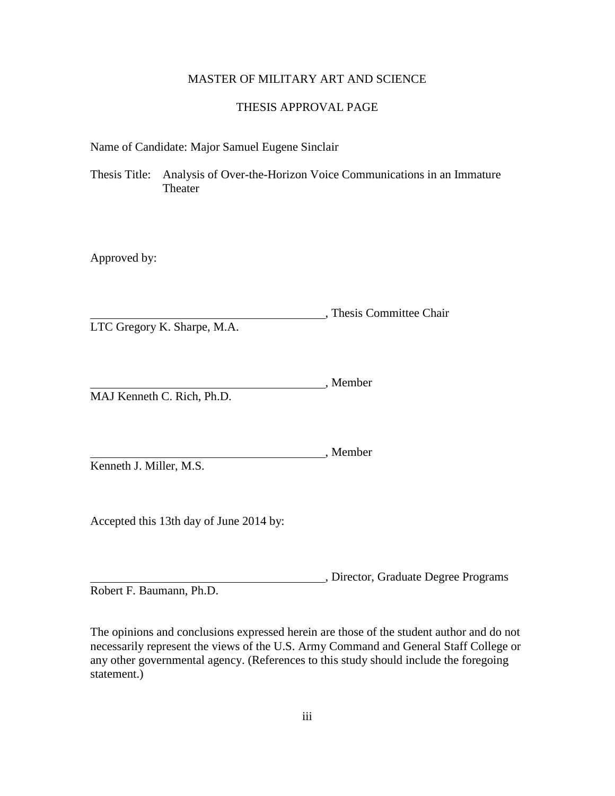### MASTER OF MILITARY ART AND SCIENCE

#### THESIS APPROVAL PAGE

Name of Candidate: Major Samuel Eugene Sinclair

Thesis Title: Analysis of Over-the-Horizon Voice Communications in an Immature Theater

Approved by:

, Thesis Committee Chair LTC Gregory K. Sharpe, M.A.

, Member MAJ Kenneth C. Rich, Ph.D.

Kenneth J. Miller, M.S.

Accepted this 13th day of June 2014 by:

, Director, Graduate Degree Programs Robert F. Baumann, Ph.D.

The opinions and conclusions expressed herein are those of the student author and do not necessarily represent the views of the U.S. Army Command and General Staff College or any other governmental agency. (References to this study should include the foregoing statement.)

, Member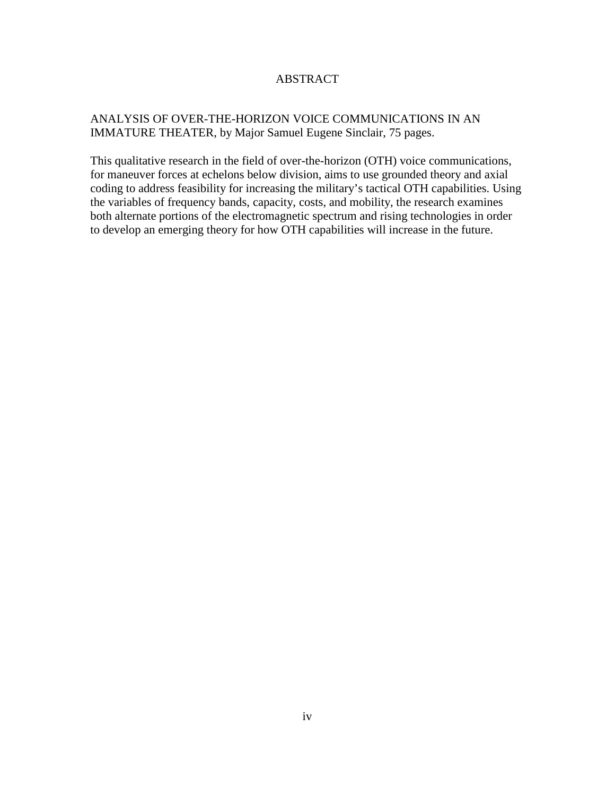### ABSTRACT

## ANALYSIS OF OVER-THE-HORIZON VOICE COMMUNICATIONS IN AN IMMATURE THEATER, by Major Samuel Eugene Sinclair, 75 pages.

This qualitative research in the field of over-the-horizon (OTH) voice communications, for maneuver forces at echelons below division, aims to use grounded theory and axial coding to address feasibility for increasing the military's tactical OTH capabilities. Using the variables of frequency bands, capacity, costs, and mobility, the research examines both alternate portions of the electromagnetic spectrum and rising technologies in order to develop an emerging theory for how OTH capabilities will increase in the future.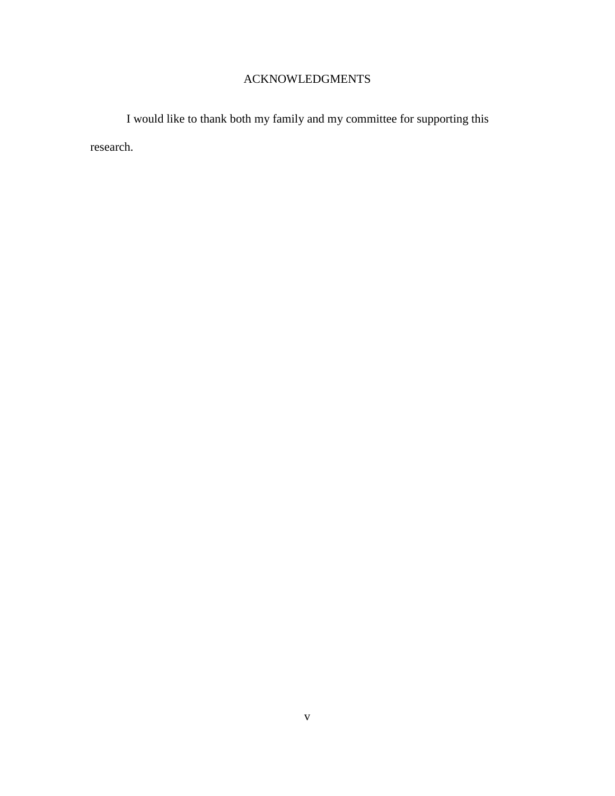# ACKNOWLEDGMENTS

I would like to thank both my family and my committee for supporting this research.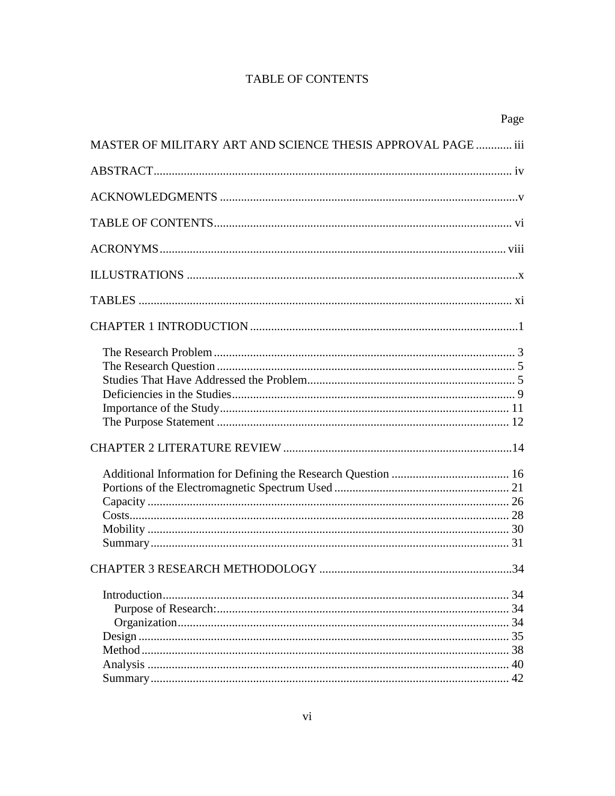# **TABLE OF CONTENTS**

|                                                              | Page |
|--------------------------------------------------------------|------|
| MASTER OF MILITARY ART AND SCIENCE THESIS APPROVAL PAGE  iii |      |
|                                                              |      |
|                                                              |      |
|                                                              |      |
|                                                              |      |
|                                                              |      |
|                                                              |      |
|                                                              |      |
|                                                              |      |
|                                                              |      |
|                                                              |      |
|                                                              |      |
|                                                              |      |
|                                                              |      |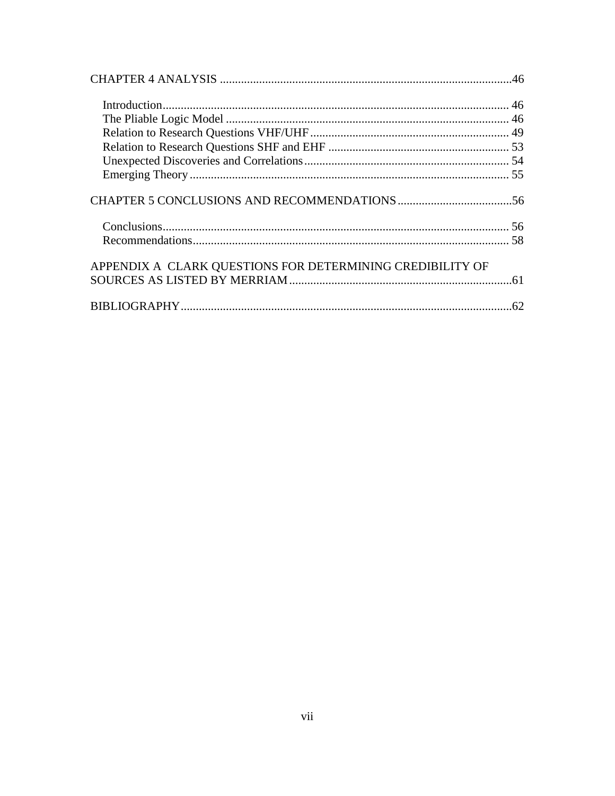| APPENDIX A CLARK QUESTIONS FOR DETERMINING CREDIBILITY OF |  |
|-----------------------------------------------------------|--|
|                                                           |  |
|                                                           |  |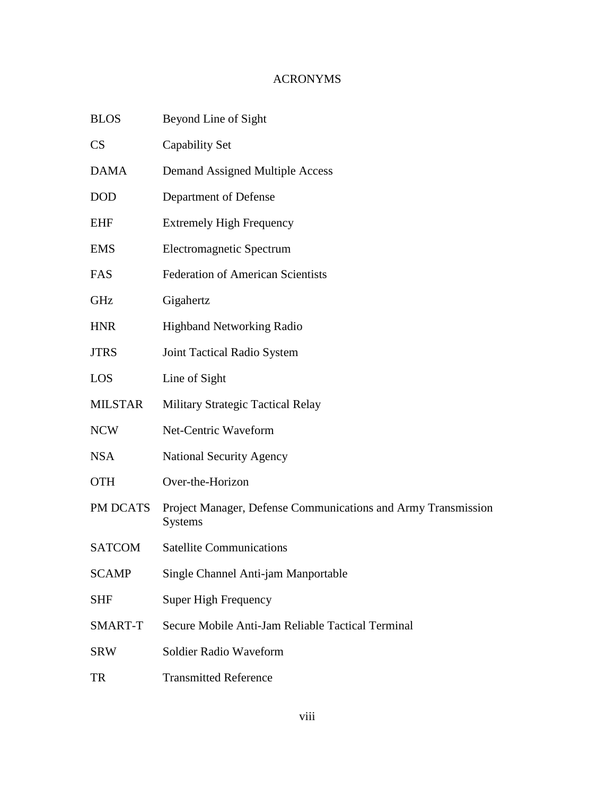# ACRONYMS

| <b>BLOS</b>            | Beyond Line of Sight                                                            |  |  |
|------------------------|---------------------------------------------------------------------------------|--|--|
| $\overline{\text{CS}}$ | Capability Set                                                                  |  |  |
| <b>DAMA</b>            | Demand Assigned Multiple Access                                                 |  |  |
| <b>DOD</b>             | Department of Defense                                                           |  |  |
| EHF                    | <b>Extremely High Frequency</b>                                                 |  |  |
| EMS                    | Electromagnetic Spectrum                                                        |  |  |
| FAS                    | <b>Federation of American Scientists</b>                                        |  |  |
| GHz                    | Gigahertz                                                                       |  |  |
| <b>HNR</b>             | <b>Highband Networking Radio</b>                                                |  |  |
| <b>JTRS</b>            | Joint Tactical Radio System                                                     |  |  |
| LOS                    | Line of Sight                                                                   |  |  |
| <b>MILSTAR</b>         | <b>Military Strategic Tactical Relay</b>                                        |  |  |
| <b>NCW</b>             | Net-Centric Waveform                                                            |  |  |
| NSA                    | <b>National Security Agency</b>                                                 |  |  |
| <b>OTH</b>             | Over-the-Horizon                                                                |  |  |
| PM DCATS               | Project Manager, Defense Communications and Army Transmission<br><b>Systems</b> |  |  |
| <b>SATCOM</b>          | <b>Satellite Communications</b>                                                 |  |  |
| <b>SCAMP</b>           | Single Channel Anti-jam Manportable                                             |  |  |
| <b>SHF</b>             | Super High Frequency                                                            |  |  |
| SMART-T                | Secure Mobile Anti-Jam Reliable Tactical Terminal                               |  |  |
| SRW                    | Soldier Radio Waveform                                                          |  |  |
| TR                     | <b>Transmitted Reference</b>                                                    |  |  |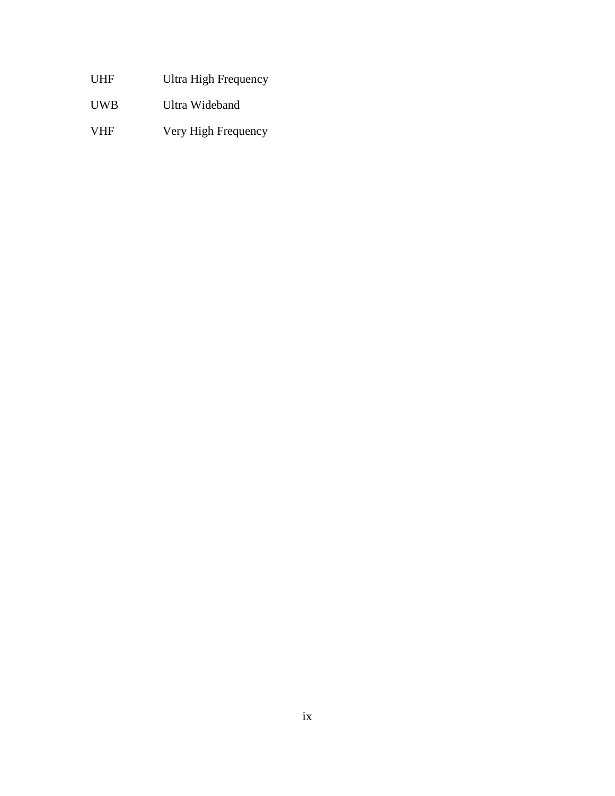- UHF Ultra High Frequency
- UWB Ultra Wideband
- VHF Very High Frequency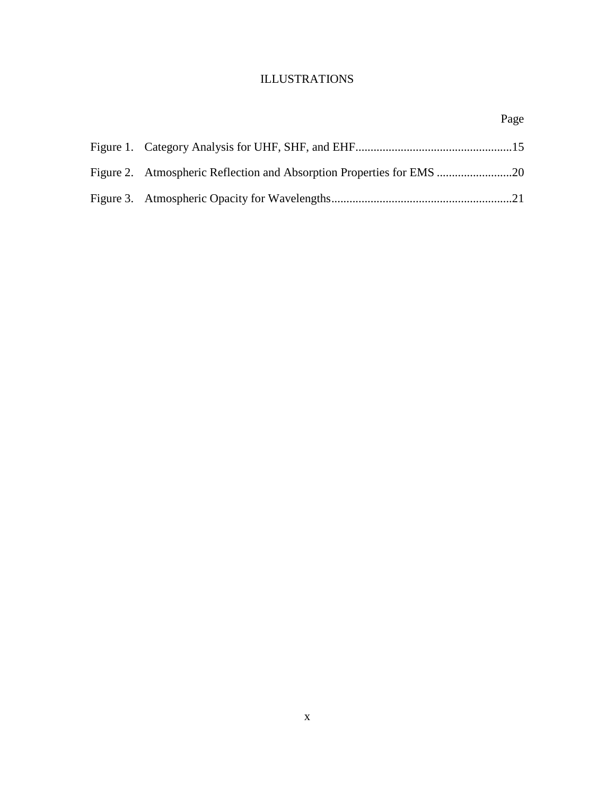# ILLUSTRATIONS

Page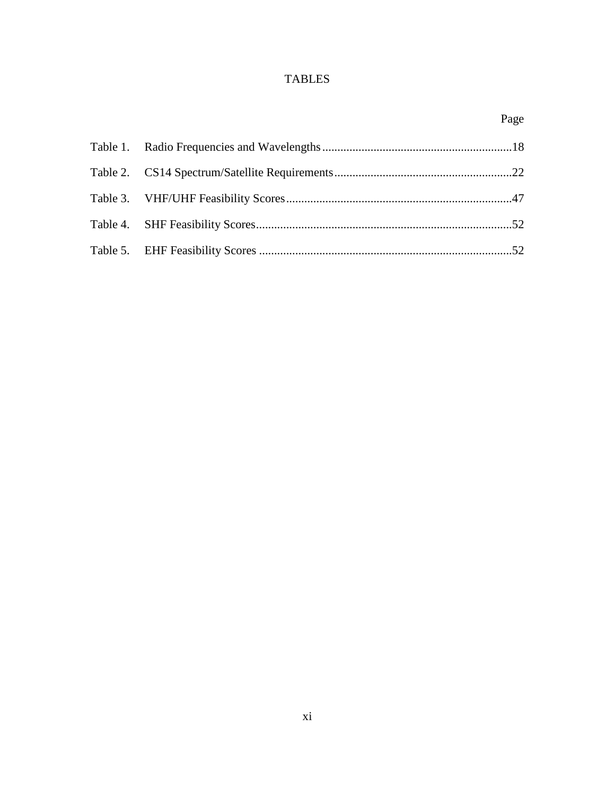# TABLES

|  | Page |
|--|------|
|  |      |
|  |      |
|  |      |
|  |      |
|  |      |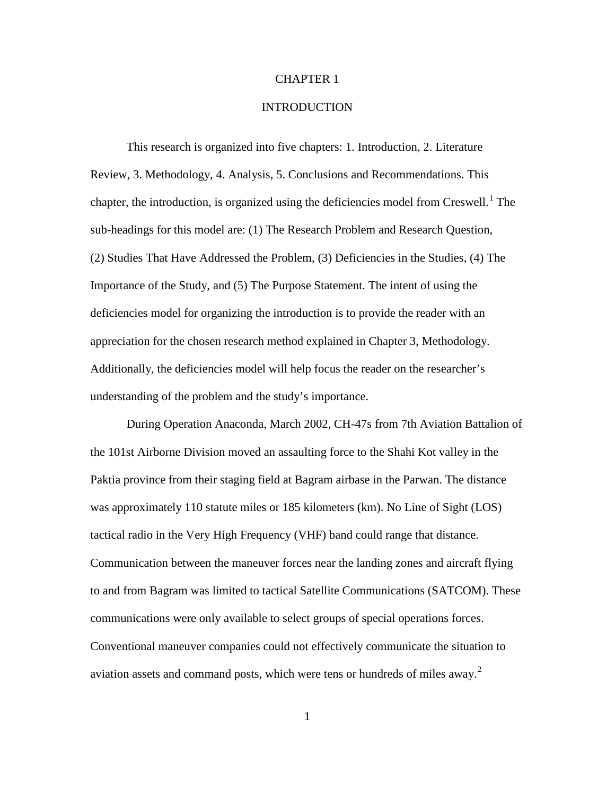#### CHAPTER 1

#### **INTRODUCTION**

This research is organized into five chapters: 1. Introduction, 2. Literature Review, 3. Methodology, 4. Analysis, 5. Conclusions and Recommendations. This chapter, the introduction, is organized using the deficiencies model from Creswell.<sup>[1](#page-23-0)</sup> The sub-headings for this model are: (1) The Research Problem and Research Question, (2) Studies That Have Addressed the Problem, (3) Deficiencies in the Studies, (4) The Importance of the Study, and (5) The Purpose Statement. The intent of using the deficiencies model for organizing the introduction is to provide the reader with an appreciation for the chosen research method explained in Chapter 3, Methodology. Additionally, the deficiencies model will help focus the reader on the researcher's understanding of the problem and the study's importance.

During Operation Anaconda, March 2002, CH-47s from 7th Aviation Battalion of the 101st Airborne Division moved an assaulting force to the Shahi Kot valley in the Paktia province from their staging field at Bagram airbase in the Parwan. The distance was approximately 110 statute miles or 185 kilometers (km). No Line of Sight (LOS) tactical radio in the Very High Frequency (VHF) band could range that distance. Communication between the maneuver forces near the landing zones and aircraft flying to and from Bagram was limited to tactical Satellite Communications (SATCOM). These communications were only available to select groups of special operations forces. Conventional maneuver companies could not effectively communicate the situation to aviation assets and command posts, which were tens or hundreds of miles away.<sup>[2](#page-23-1)</sup>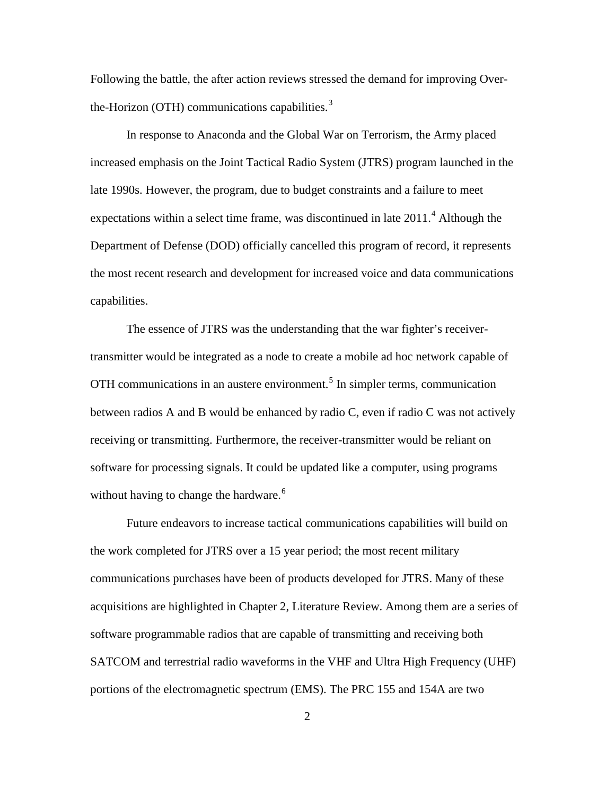Following the battle, the after action reviews stressed the demand for improving Over-the-Horizon (OTH) communications capabilities.<sup>[3](#page-24-0)</sup>

In response to Anaconda and the Global War on Terrorism, the Army placed increased emphasis on the Joint Tactical Radio System (JTRS) program launched in the late 1990s. However, the program, due to budget constraints and a failure to meet expectations within a select time frame, was discontinued in late  $2011<sup>4</sup>$  $2011<sup>4</sup>$  $2011<sup>4</sup>$ . Although the Department of Defense (DOD) officially cancelled this program of record, it represents the most recent research and development for increased voice and data communications capabilities.

The essence of JTRS was the understanding that the war fighter's receivertransmitter would be integrated as a node to create a mobile ad hoc network capable of OTH communications in an austere environment.<sup>[5](#page-24-2)</sup> In simpler terms, communication between radios A and B would be enhanced by radio C, even if radio C was not actively receiving or transmitting. Furthermore, the receiver-transmitter would be reliant on software for processing signals. It could be updated like a computer, using programs without having to change the hardware.<sup> $6$ </sup>

Future endeavors to increase tactical communications capabilities will build on the work completed for JTRS over a 15 year period; the most recent military communications purchases have been of products developed for JTRS. Many of these acquisitions are highlighted in Chapter 2, Literature Review. Among them are a series of software programmable radios that are capable of transmitting and receiving both SATCOM and terrestrial radio waveforms in the VHF and Ultra High Frequency (UHF) portions of the electromagnetic spectrum (EMS). The PRC 155 and 154A are two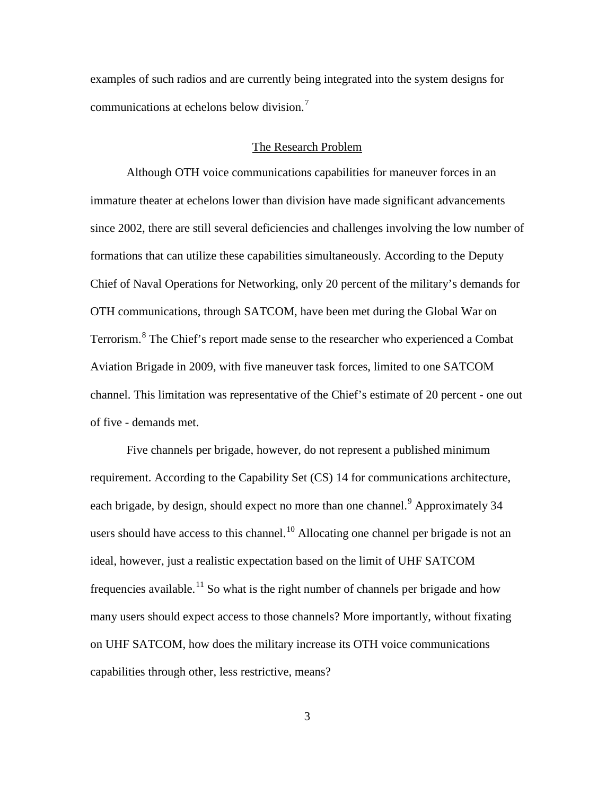examples of such radios and are currently being integrated into the system designs for communications at echelons below division.<sup>[7](#page-25-0)</sup>

#### The Research Problem

Although OTH voice communications capabilities for maneuver forces in an immature theater at echelons lower than division have made significant advancements since 2002, there are still several deficiencies and challenges involving the low number of formations that can utilize these capabilities simultaneously. According to the Deputy Chief of Naval Operations for Networking, only 20 percent of the military's demands for OTH communications, through SATCOM, have been met during the Global War on Terrorism.<sup>[8](#page-25-1)</sup> The Chief's report made sense to the researcher who experienced a Combat Aviation Brigade in 2009, with five maneuver task forces, limited to one SATCOM channel. This limitation was representative of the Chief's estimate of 20 percent - one out of five - demands met.

Five channels per brigade, however, do not represent a published minimum requirement. According to the Capability Set (CS) 14 for communications architecture, each brigade, by design, should expect no more than one channel.<sup>[9](#page-25-2)</sup> Approximately 34 users should have access to this channel.<sup>[10](#page-25-3)</sup> Allocating one channel per brigade is not an ideal, however, just a realistic expectation based on the limit of UHF SATCOM frequencies available.<sup>[11](#page-25-4)</sup> So what is the right number of channels per brigade and how many users should expect access to those channels? More importantly, without fixating on UHF SATCOM, how does the military increase its OTH voice communications capabilities through other, less restrictive, means?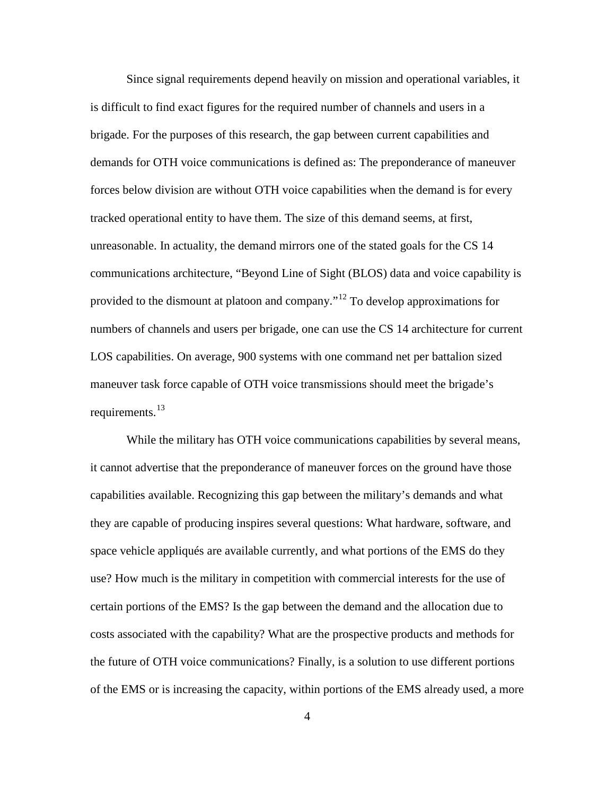Since signal requirements depend heavily on mission and operational variables, it is difficult to find exact figures for the required number of channels and users in a brigade. For the purposes of this research, the gap between current capabilities and demands for OTH voice communications is defined as: The preponderance of maneuver forces below division are without OTH voice capabilities when the demand is for every tracked operational entity to have them. The size of this demand seems, at first, unreasonable. In actuality, the demand mirrors one of the stated goals for the CS 14 communications architecture, "Beyond Line of Sight (BLOS) data and voice capability is provided to the dismount at platoon and company."[12](#page-26-0) To develop approximations for numbers of channels and users per brigade, one can use the CS 14 architecture for current LOS capabilities. On average, 900 systems with one command net per battalion sized maneuver task force capable of OTH voice transmissions should meet the brigade's requirements.<sup>[13](#page-26-1)</sup>

While the military has OTH voice communications capabilities by several means, it cannot advertise that the preponderance of maneuver forces on the ground have those capabilities available. Recognizing this gap between the military's demands and what they are capable of producing inspires several questions: What hardware, software, and space vehicle appliqués are available currently, and what portions of the EMS do they use? How much is the military in competition with commercial interests for the use of certain portions of the EMS? Is the gap between the demand and the allocation due to costs associated with the capability? What are the prospective products and methods for the future of OTH voice communications? Finally, is a solution to use different portions of the EMS or is increasing the capacity, within portions of the EMS already used, a more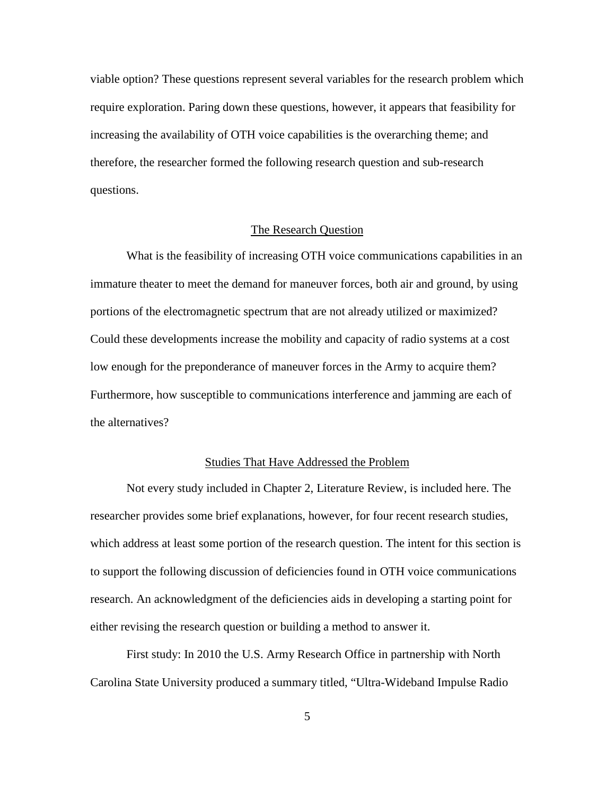viable option? These questions represent several variables for the research problem which require exploration. Paring down these questions, however, it appears that feasibility for increasing the availability of OTH voice capabilities is the overarching theme; and therefore, the researcher formed the following research question and sub-research questions.

#### The Research Question

What is the feasibility of increasing OTH voice communications capabilities in an immature theater to meet the demand for maneuver forces, both air and ground, by using portions of the electromagnetic spectrum that are not already utilized or maximized? Could these developments increase the mobility and capacity of radio systems at a cost low enough for the preponderance of maneuver forces in the Army to acquire them? Furthermore, how susceptible to communications interference and jamming are each of the alternatives?

#### Studies That Have Addressed the Problem

Not every study included in Chapter 2, Literature Review, is included here. The researcher provides some brief explanations, however, for four recent research studies, which address at least some portion of the research question. The intent for this section is to support the following discussion of deficiencies found in OTH voice communications research. An acknowledgment of the deficiencies aids in developing a starting point for either revising the research question or building a method to answer it.

First study: In 2010 the U.S. Army Research Office in partnership with North Carolina State University produced a summary titled, "Ultra-Wideband Impulse Radio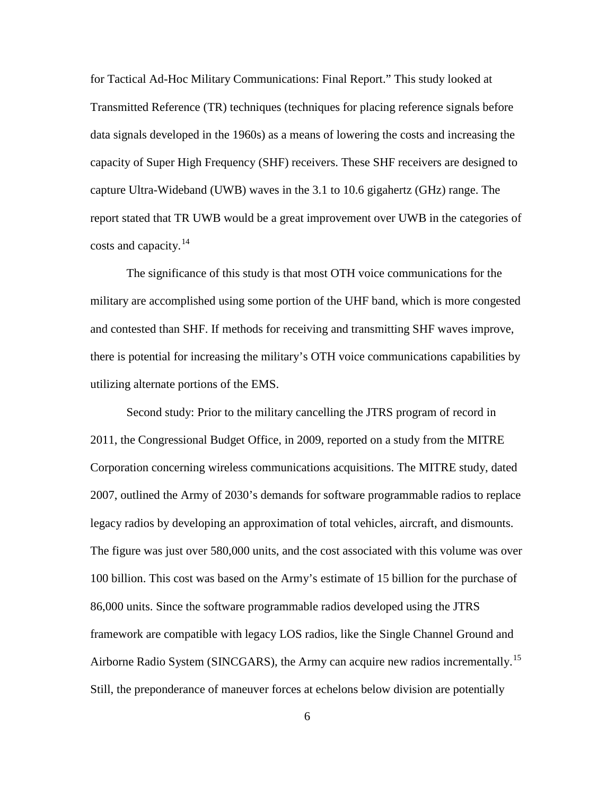for Tactical Ad-Hoc Military Communications: Final Report." This study looked at Transmitted Reference (TR) techniques (techniques for placing reference signals before data signals developed in the 1960s) as a means of lowering the costs and increasing the capacity of Super High Frequency (SHF) receivers. These SHF receivers are designed to capture Ultra-Wideband (UWB) waves in the 3.1 to 10.6 gigahertz (GHz) range. The report stated that TR UWB would be a great improvement over UWB in the categories of costs and capacity. $^{14}$  $^{14}$  $^{14}$ 

The significance of this study is that most OTH voice communications for the military are accomplished using some portion of the UHF band, which is more congested and contested than SHF. If methods for receiving and transmitting SHF waves improve, there is potential for increasing the military's OTH voice communications capabilities by utilizing alternate portions of the EMS.

Second study: Prior to the military cancelling the JTRS program of record in 2011, the Congressional Budget Office, in 2009, reported on a study from the MITRE Corporation concerning wireless communications acquisitions. The MITRE study, dated 2007, outlined the Army of 2030's demands for software programmable radios to replace legacy radios by developing an approximation of total vehicles, aircraft, and dismounts. The figure was just over 580,000 units, and the cost associated with this volume was over 100 billion. This cost was based on the Army's estimate of 15 billion for the purchase of 86,000 units. Since the software programmable radios developed using the JTRS framework are compatible with legacy LOS radios, like the Single Channel Ground and Airborne Radio System (SINCGARS), the Army can acquire new radios incrementally.<sup>[15](#page-27-1)</sup> Still, the preponderance of maneuver forces at echelons below division are potentially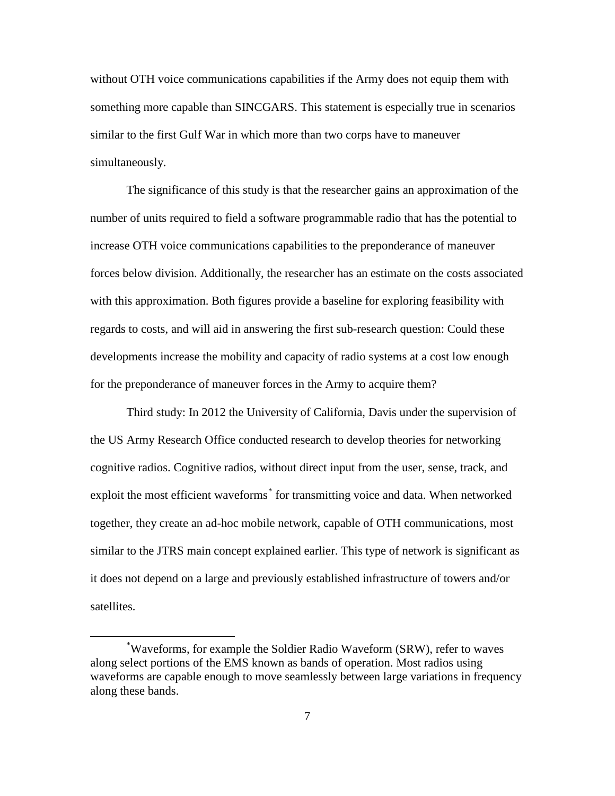without OTH voice communications capabilities if the Army does not equip them with something more capable than SINCGARS. This statement is especially true in scenarios similar to the first Gulf War in which more than two corps have to maneuver simultaneously.

The significance of this study is that the researcher gains an approximation of the number of units required to field a software programmable radio that has the potential to increase OTH voice communications capabilities to the preponderance of maneuver forces below division. Additionally, the researcher has an estimate on the costs associated with this approximation. Both figures provide a baseline for exploring feasibility with regards to costs, and will aid in answering the first sub-research question: Could these developments increase the mobility and capacity of radio systems at a cost low enough for the preponderance of maneuver forces in the Army to acquire them?

Third study: In 2012 the University of California, Davis under the supervision of the US Army Research Office conducted research to develop theories for networking cognitive radios. Cognitive radios, without direct input from the user, sense, track, and exploit the most efficient waveforms<sup>[\\*](#page-17-0)</sup> for transmitting voice and data. When networked together, they create an ad-hoc mobile network, capable of OTH communications, most similar to the JTRS main concept explained earlier. This type of network is significant as it does not depend on a large and previously established infrastructure of towers and/or satellites.

 $\overline{a}$ 

<span id="page-17-0"></span><sup>\*</sup> Waveforms, for example the Soldier Radio Waveform (SRW), refer to waves along select portions of the EMS known as bands of operation. Most radios using waveforms are capable enough to move seamlessly between large variations in frequency along these bands.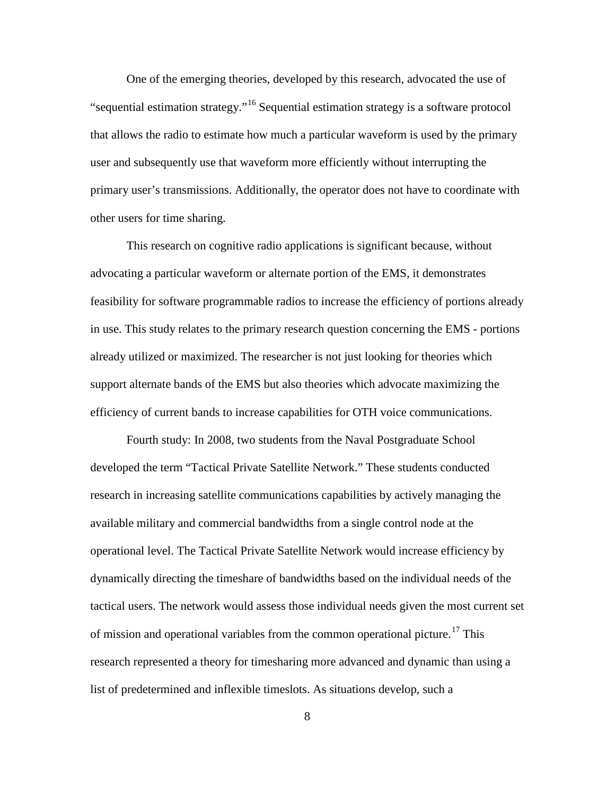One of the emerging theories, developed by this research, advocated the use of "sequential estimation strategy."[16](#page-28-0) Sequential estimation strategy is a software protocol that allows the radio to estimate how much a particular waveform is used by the primary user and subsequently use that waveform more efficiently without interrupting the primary user's transmissions. Additionally, the operator does not have to coordinate with other users for time sharing.

This research on cognitive radio applications is significant because, without advocating a particular waveform or alternate portion of the EMS, it demonstrates feasibility for software programmable radios to increase the efficiency of portions already in use. This study relates to the primary research question concerning the EMS - portions already utilized or maximized. The researcher is not just looking for theories which support alternate bands of the EMS but also theories which advocate maximizing the efficiency of current bands to increase capabilities for OTH voice communications.

Fourth study: In 2008, two students from the Naval Postgraduate School developed the term "Tactical Private Satellite Network." These students conducted research in increasing satellite communications capabilities by actively managing the available military and commercial bandwidths from a single control node at the operational level. The Tactical Private Satellite Network would increase efficiency by dynamically directing the timeshare of bandwidths based on the individual needs of the tactical users. The network would assess those individual needs given the most current set of mission and operational variables from the common operational picture.<sup>[17](#page-28-1)</sup> This research represented a theory for timesharing more advanced and dynamic than using a list of predetermined and inflexible timeslots. As situations develop, such a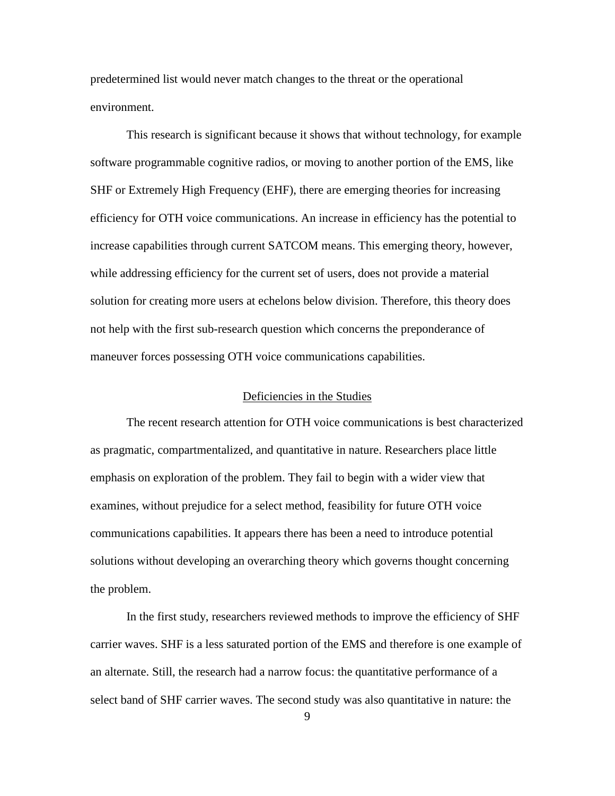predetermined list would never match changes to the threat or the operational environment.

This research is significant because it shows that without technology, for example software programmable cognitive radios, or moving to another portion of the EMS, like SHF or Extremely High Frequency (EHF), there are emerging theories for increasing efficiency for OTH voice communications. An increase in efficiency has the potential to increase capabilities through current SATCOM means. This emerging theory, however, while addressing efficiency for the current set of users, does not provide a material solution for creating more users at echelons below division. Therefore, this theory does not help with the first sub-research question which concerns the preponderance of maneuver forces possessing OTH voice communications capabilities.

#### Deficiencies in the Studies

The recent research attention for OTH voice communications is best characterized as pragmatic, compartmentalized, and quantitative in nature. Researchers place little emphasis on exploration of the problem. They fail to begin with a wider view that examines, without prejudice for a select method, feasibility for future OTH voice communications capabilities. It appears there has been a need to introduce potential solutions without developing an overarching theory which governs thought concerning the problem.

In the first study, researchers reviewed methods to improve the efficiency of SHF carrier waves. SHF is a less saturated portion of the EMS and therefore is one example of an alternate. Still, the research had a narrow focus: the quantitative performance of a select band of SHF carrier waves. The second study was also quantitative in nature: the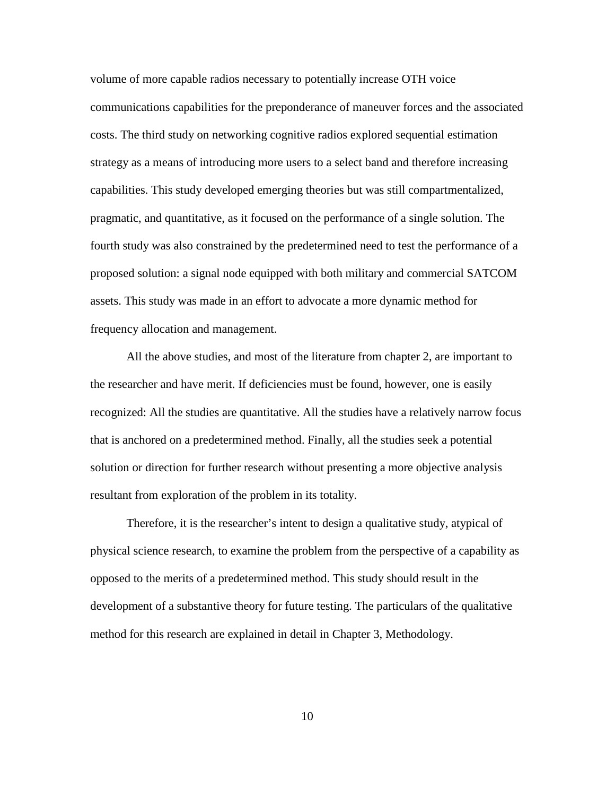volume of more capable radios necessary to potentially increase OTH voice communications capabilities for the preponderance of maneuver forces and the associated costs. The third study on networking cognitive radios explored sequential estimation strategy as a means of introducing more users to a select band and therefore increasing capabilities. This study developed emerging theories but was still compartmentalized, pragmatic, and quantitative, as it focused on the performance of a single solution. The fourth study was also constrained by the predetermined need to test the performance of a proposed solution: a signal node equipped with both military and commercial SATCOM assets. This study was made in an effort to advocate a more dynamic method for frequency allocation and management.

All the above studies, and most of the literature from chapter 2, are important to the researcher and have merit. If deficiencies must be found, however, one is easily recognized: All the studies are quantitative. All the studies have a relatively narrow focus that is anchored on a predetermined method. Finally, all the studies seek a potential solution or direction for further research without presenting a more objective analysis resultant from exploration of the problem in its totality.

Therefore, it is the researcher's intent to design a qualitative study, atypical of physical science research, to examine the problem from the perspective of a capability as opposed to the merits of a predetermined method. This study should result in the development of a substantive theory for future testing. The particulars of the qualitative method for this research are explained in detail in Chapter 3, Methodology.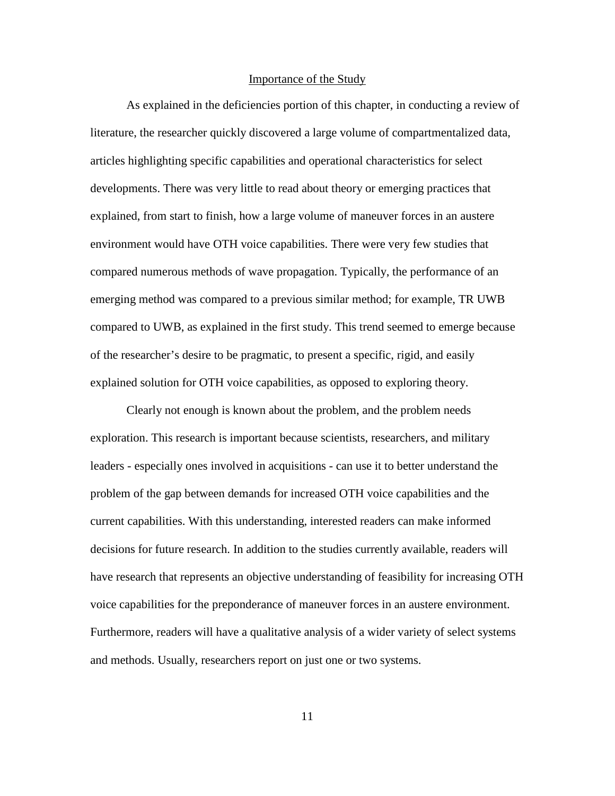#### Importance of the Study

As explained in the deficiencies portion of this chapter, in conducting a review of literature, the researcher quickly discovered a large volume of compartmentalized data, articles highlighting specific capabilities and operational characteristics for select developments. There was very little to read about theory or emerging practices that explained, from start to finish, how a large volume of maneuver forces in an austere environment would have OTH voice capabilities. There were very few studies that compared numerous methods of wave propagation. Typically, the performance of an emerging method was compared to a previous similar method; for example, TR UWB compared to UWB, as explained in the first study. This trend seemed to emerge because of the researcher's desire to be pragmatic, to present a specific, rigid, and easily explained solution for OTH voice capabilities, as opposed to exploring theory.

Clearly not enough is known about the problem, and the problem needs exploration. This research is important because scientists, researchers, and military leaders - especially ones involved in acquisitions *-* can use it to better understand the problem of the gap between demands for increased OTH voice capabilities and the current capabilities. With this understanding, interested readers can make informed decisions for future research. In addition to the studies currently available, readers will have research that represents an objective understanding of feasibility for increasing OTH voice capabilities for the preponderance of maneuver forces in an austere environment. Furthermore, readers will have a qualitative analysis of a wider variety of select systems and methods. Usually, researchers report on just one or two systems.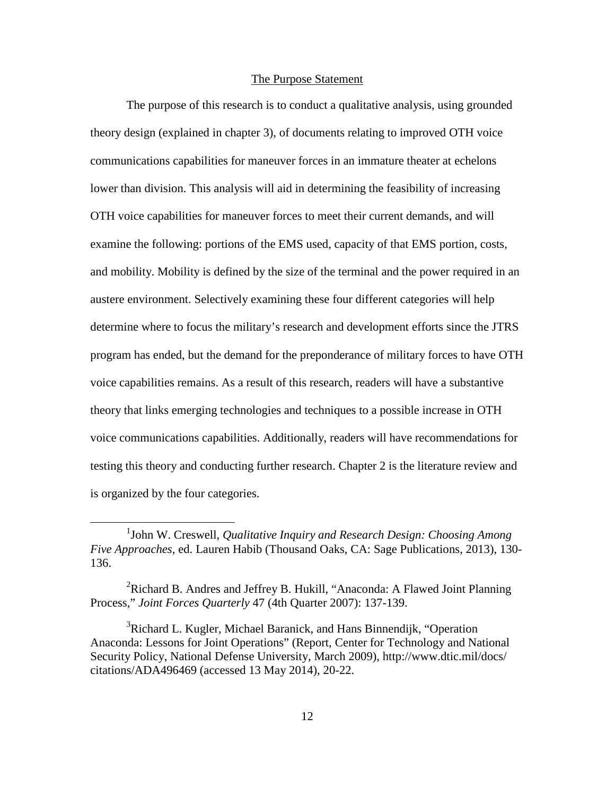### The Purpose Statement

The purpose of this research is to conduct a qualitative analysis, using grounded theory design (explained in chapter 3), of documents relating to improved OTH voice communications capabilities for maneuver forces in an immature theater at echelons lower than division. This analysis will aid in determining the feasibility of increasing OTH voice capabilities for maneuver forces to meet their current demands, and will examine the following: portions of the EMS used, capacity of that EMS portion, costs, and mobility. Mobility is defined by the size of the terminal and the power required in an austere environment. Selectively examining these four different categories will help determine where to focus the military's research and development efforts since the JTRS program has ended, but the demand for the preponderance of military forces to have OTH voice capabilities remains. As a result of this research, readers will have a substantive theory that links emerging technologies and techniques to a possible increase in OTH voice communications capabilities. Additionally, readers will have recommendations for testing this theory and conducting further research. Chapter 2 is the literature review and is organized by the four categories.

 $\overline{a}$ 

<sup>&</sup>lt;sup>1</sup>John W. Creswell, *Qualitative Inquiry and Research Design: Choosing Among Five Approaches*, ed. Lauren Habib (Thousand Oaks, CA: Sage Publications, 2013), 130- 136.

<sup>&</sup>lt;sup>2</sup>Richard B. Andres and Jeffrey B. Hukill, "Anaconda: A Flawed Joint Planning Process," *Joint Forces Quarterly* 47 (4th Quarter 2007): 137-139.

<sup>&</sup>lt;sup>3</sup>Richard L. Kugler, Michael Baranick, and Hans Binnendijk, "Operation Anaconda: Lessons for Joint Operations" (Report, Center for Technology and National Security Policy, National Defense University, March 2009), http://www.dtic.mil/docs/ citations/ADA496469 (accessed 13 May 2014), 20-22.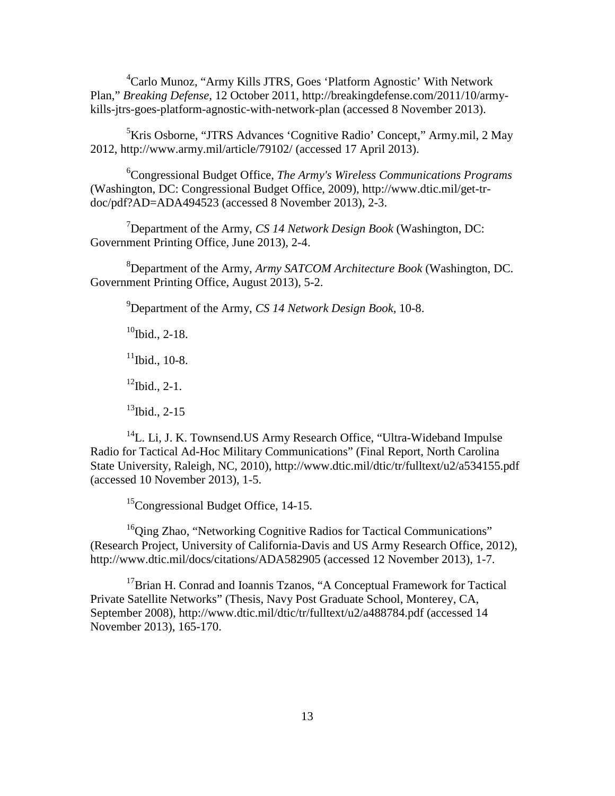<sup>4</sup>Carlo Munoz, "Army Kills JTRS, Goes 'Platform Agnostic' With Network Plan," *Breaking Defense*, 12 October 2011, http://breakingdefense.com/2011/10/armykills-jtrs-goes-platform-agnostic-with-network-plan (accessed 8 November 2013).

5 Kris Osborne, "JTRS Advances 'Cognitive Radio' Concept," Army.mil, 2 May 2012, http://www.army.mil/article/79102/ (accessed 17 April 2013).

6 Congressional Budget Office, *The Army's Wireless Communications Programs* (Washington, DC: Congressional Budget Office, 2009), http://www.dtic.mil/get-trdoc/pdf?AD=ADA494523 (accessed 8 November 2013), 2-3.

7 Department of the Army, *CS 14 Network Design Book* (Washington, DC: Government Printing Office, June 2013), 2-4.

8 Department of the Army, *Army SATCOM Architecture Book* (Washington, DC. Government Printing Office, August 2013), 5-2.

9 Department of the Army, *CS 14 Network Design Book,* 10-8.

 $10$ Ibid., 2-18.  $11$ Ibid., 10-8.

 $^{12}$ Ibid., 2-1.

 $13$ Ibid., 2-15

 $14$ L. Li, J. K. Townsend. US Army Research Office, "Ultra-Wideband Impulse" Radio for Tactical Ad-Hoc Military Communications" (Final Report, North Carolina State University, Raleigh, NC, 2010), http://www.dtic.mil/dtic/tr/fulltext/u2/a534155.pdf (accessed 10 November 2013), 1-5.

<sup>15</sup>Congressional Budget Office, 14-15.

<span id="page-23-0"></span><sup>16</sup>Qing Zhao, "Networking Cognitive Radios for Tactical Communications" (Research Project, University of California-Davis and US Army Research Office, 2012), http://www.dtic.mil/docs/citations/ADA582905 (accessed 12 November 2013), 1-7.

<span id="page-23-1"></span><sup>17</sup>Brian H. Conrad and Ioannis Tzanos, "A Conceptual Framework for Tactical Private Satellite Networks" (Thesis, Navy Post Graduate School, Monterey, CA, September 2008), http://www.dtic.mil/dtic/tr/fulltext/u2/a488784.pdf (accessed 14 November 2013), 165-170.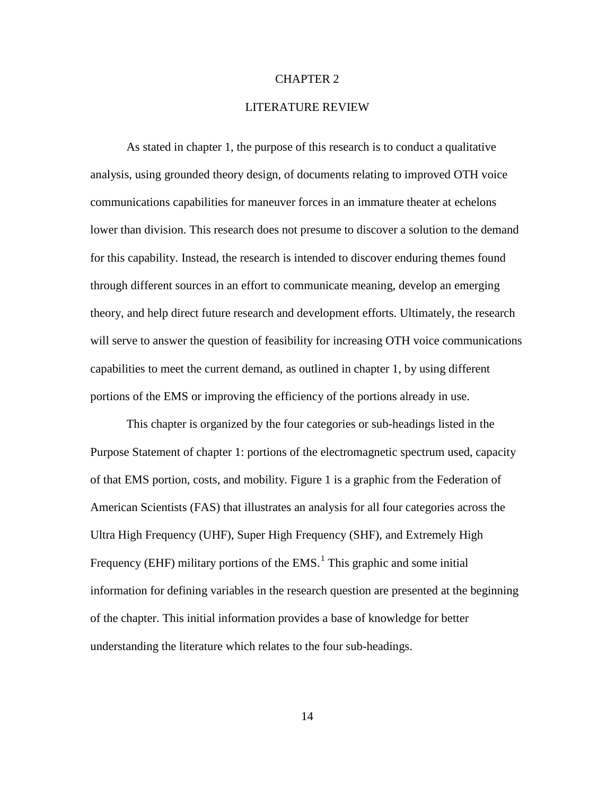#### CHAPTER 2

#### LITERATURE REVIEW

<span id="page-24-3"></span><span id="page-24-2"></span><span id="page-24-1"></span>As stated in chapter 1, the purpose of this research is to conduct a qualitative analysis, using grounded theory design, of documents relating to improved OTH voice communications capabilities for maneuver forces in an immature theater at echelons lower than division. This research does not presume to discover a solution to the demand for this capability. Instead, the research is intended to discover enduring themes found through different sources in an effort to communicate meaning, develop an emerging theory, and help direct future research and development efforts. Ultimately, the research will serve to answer the question of feasibility for increasing OTH voice communications capabilities to meet the current demand, as outlined in chapter 1, by using different portions of the EMS or improving the efficiency of the portions already in use.

<span id="page-24-0"></span>This chapter is organized by the four categories or sub-headings listed in the Purpose Statement of chapter 1: portions of the electromagnetic spectrum used, capacity of that EMS portion, costs, and mobility. Figure 1 is a graphic from the Federation of American Scientists (FAS) that illustrates an analysis for all four categories across the Ultra High Frequency (UHF), Super High Frequency (SHF), and Extremely High Frequency (EHF) military portions of the  $EMS<sup>1</sup>$  $EMS<sup>1</sup>$  $EMS<sup>1</sup>$ . This graphic and some initial information for defining variables in the research question are presented at the beginning of the chapter. This initial information provides a base of knowledge for better understanding the literature which relates to the four sub-headings.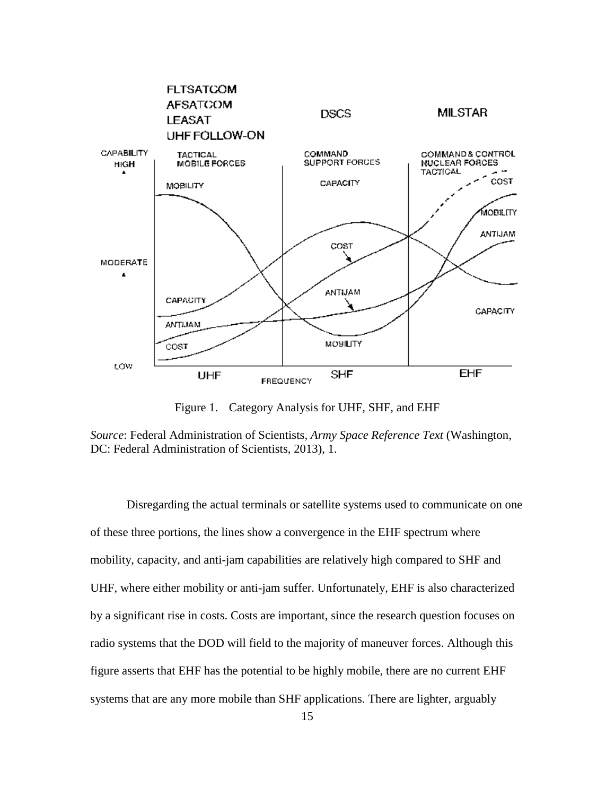<span id="page-25-0"></span>

Figure 1. Category Analysis for UHF, SHF, and EHF

<span id="page-25-4"></span><span id="page-25-3"></span><span id="page-25-2"></span><span id="page-25-1"></span>*Source*: Federal Administration of Scientists, *Army Space Reference Text* (Washington, DC: Federal Administration of Scientists, 2013), 1.

Disregarding the actual terminals or satellite systems used to communicate on one of these three portions, the lines show a convergence in the EHF spectrum where mobility, capacity, and anti-jam capabilities are relatively high compared to SHF and UHF, where either mobility or anti-jam suffer. Unfortunately, EHF is also characterized by a significant rise in costs. Costs are important, since the research question focuses on radio systems that the DOD will field to the majority of maneuver forces. Although this figure asserts that EHF has the potential to be highly mobile, there are no current EHF systems that are any more mobile than SHF applications. There are lighter, arguably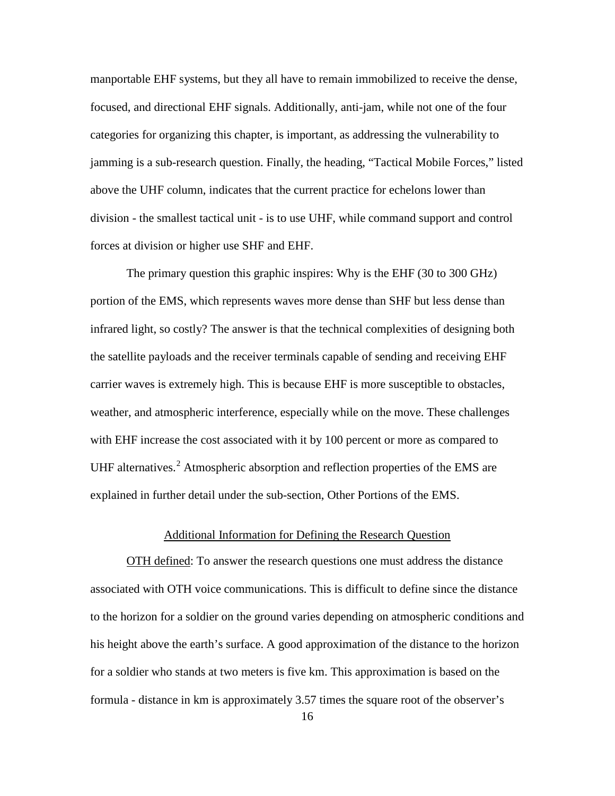manportable EHF systems, but they all have to remain immobilized to receive the dense, focused, and directional EHF signals. Additionally, anti-jam, while not one of the four categories for organizing this chapter, is important, as addressing the vulnerability to jamming is a sub-research question. Finally, the heading, "Tactical Mobile Forces," listed above the UHF column, indicates that the current practice for echelons lower than division - the smallest tactical unit - is to use UHF, while command support and control forces at division or higher use SHF and EHF.

<span id="page-26-1"></span><span id="page-26-0"></span>The primary question this graphic inspires: Why is the EHF (30 to 300 GHz) portion of the EMS, which represents waves more dense than SHF but less dense than infrared light, so costly? The answer is that the technical complexities of designing both the satellite payloads and the receiver terminals capable of sending and receiving EHF carrier waves is extremely high. This is because EHF is more susceptible to obstacles, weather, and atmospheric interference, especially while on the move. These challenges with EHF increase the cost associated with it by 100 percent or more as compared to UHF alternatives.<sup>[2](#page-48-0)</sup> Atmospheric absorption and reflection properties of the EMS are explained in further detail under the sub-section, Other Portions of the EMS.

#### Additional Information for Defining the Research Question

OTH defined: To answer the research questions one must address the distance associated with OTH voice communications. This is difficult to define since the distance to the horizon for a soldier on the ground varies depending on atmospheric conditions and his height above the earth's surface. A good approximation of the distance to the horizon for a soldier who stands at two meters is five km. This approximation is based on the formula - distance in km is approximately 3.57 times the square root of the observer's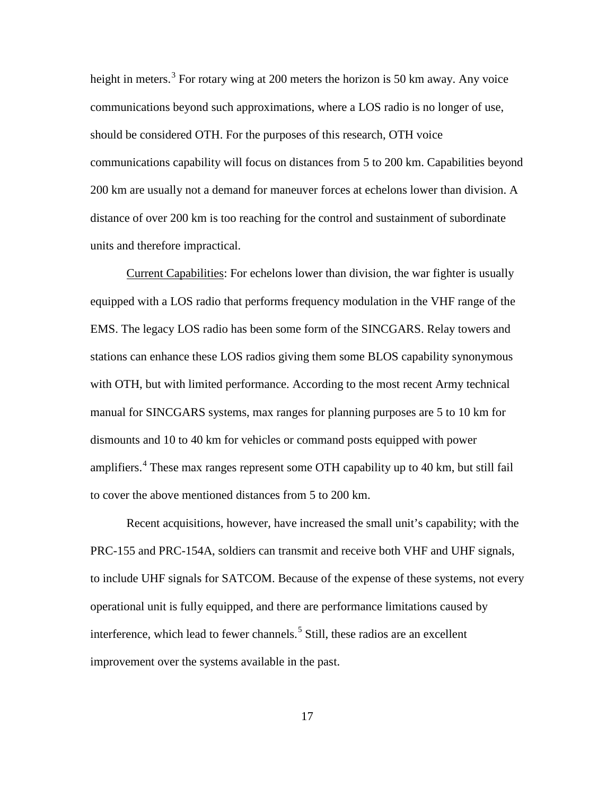height in meters.<sup>[3](#page-49-0)</sup> For rotary wing at 200 meters the horizon is 50 km away. Any voice communications beyond such approximations, where a LOS radio is no longer of use, should be considered OTH. For the purposes of this research, OTH voice communications capability will focus on distances from 5 to 200 km. Capabilities beyond 200 km are usually not a demand for maneuver forces at echelons lower than division. A distance of over 200 km is too reaching for the control and sustainment of subordinate units and therefore impractical.

Current Capabilities: For echelons lower than division, the war fighter is usually equipped with a LOS radio that performs frequency modulation in the VHF range of the EMS. The legacy LOS radio has been some form of the SINCGARS. Relay towers and stations can enhance these LOS radios giving them some BLOS capability synonymous with OTH, but with limited performance. According to the most recent Army technical manual for SINCGARS systems, max ranges for planning purposes are 5 to 10 km for dismounts and 10 to 40 km for vehicles or command posts equipped with power amplifiers.<sup>[4](#page-49-1)</sup> These max ranges represent some OTH capability up to 40 km, but still fail to cover the above mentioned distances from 5 to 200 km.

<span id="page-27-1"></span><span id="page-27-0"></span>Recent acquisitions, however, have increased the small unit's capability; with the PRC-155 and PRC-154A, soldiers can transmit and receive both VHF and UHF signals, to include UHF signals for SATCOM. Because of the expense of these systems, not every operational unit is fully equipped, and there are performance limitations caused by interference, which lead to fewer channels.<sup>[5](#page-49-2)</sup> Still, these radios are an excellent improvement over the systems available in the past.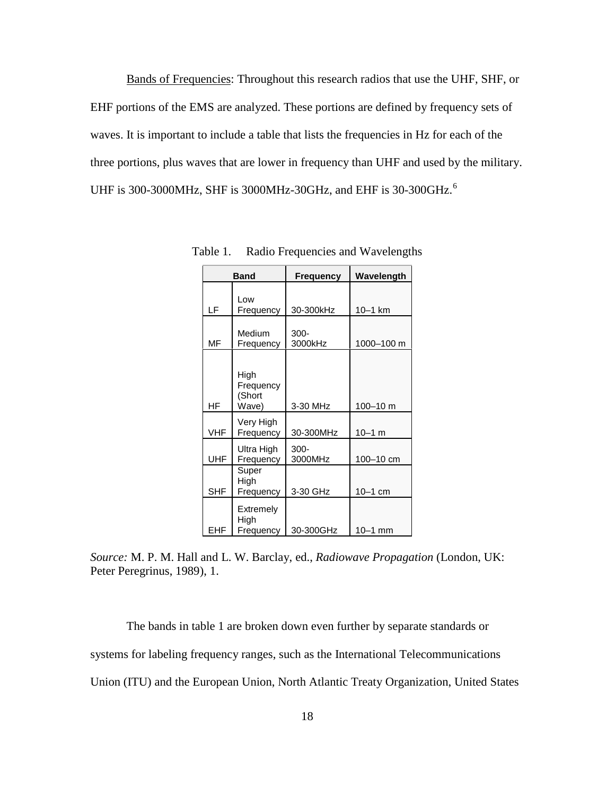Bands of Frequencies: Throughout this research radios that use the UHF, SHF, or EHF portions of the EMS are analyzed. These portions are defined by frequency sets of waves. It is important to include a table that lists the frequencies in Hz for each of the three portions, plus waves that are lower in frequency than UHF and used by the military. UHF is 300-3000MHz, SHF is 3000MHz-30GHz, and EHF is 30-300GHz.[6](#page-50-0)

|            | <b>Band</b>                          | <b>Frequency</b>   | Wavelength |
|------------|--------------------------------------|--------------------|------------|
| LF         | Low<br>Frequency                     | 30-300kHz          | $10-1$ km  |
| MF         | Medium<br>Frequency                  | $300 -$<br>3000kHz | 1000-100 m |
| HF         | High<br>Frequency<br>(Short<br>Wave) | 3-30 MHz           | 100-10 m   |
| <b>VHF</b> | Very High<br>Frequency               | 30-300MHz          | $10 - 1$ m |
| <b>UHF</b> | Ultra High<br>Frequency              | $300 -$<br>3000MHz | 100-10 cm  |
| <b>SHF</b> | Super<br>High<br>Frequency           | 3-30 GHz           | $10-1$ cm  |
| EHF        | Extremely<br>High<br>Frequency       | 30-300GHz          | $10-1$ mm  |

Table 1. Radio Frequencies and Wavelengths

<span id="page-28-1"></span><span id="page-28-0"></span>*Source:* M. P. M. Hall and L. W. Barclay, ed., *Radiowave Propagation* (London, UK: Peter Peregrinus, 1989), 1.

The bands in table 1 are broken down even further by separate standards or systems for labeling frequency ranges, such as the International Telecommunications Union (ITU) and the European Union, North Atlantic Treaty Organization, United States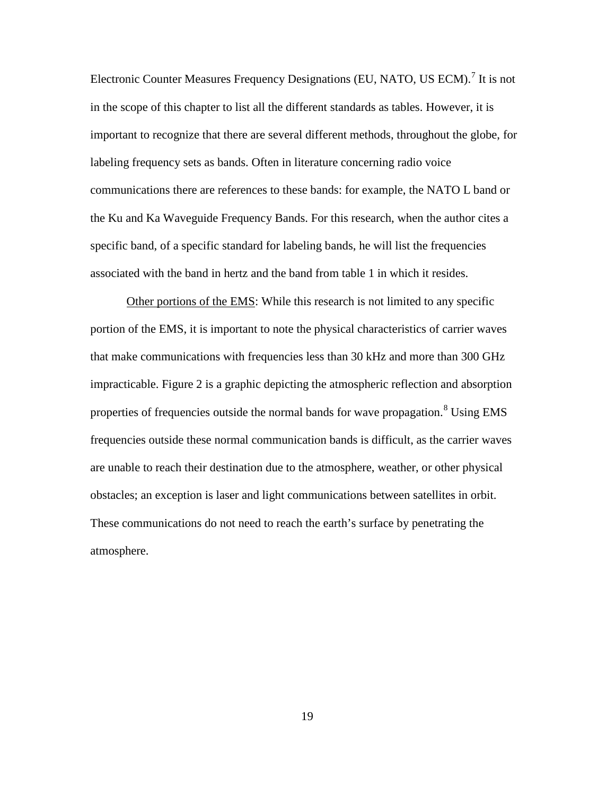Electronic Counter Measures Frequency Designations (EU, NATO, US ECM).<sup>[7](#page-51-0)</sup> It is not in the scope of this chapter to list all the different standards as tables. However, it is important to recognize that there are several different methods, throughout the globe, for labeling frequency sets as bands. Often in literature concerning radio voice communications there are references to these bands: for example, the NATO L band or the Ku and Ka Waveguide Frequency Bands. For this research, when the author cites a specific band, of a specific standard for labeling bands, he will list the frequencies associated with the band in hertz and the band from table 1 in which it resides.

Other portions of the EMS: While this research is not limited to any specific portion of the EMS, it is important to note the physical characteristics of carrier waves that make communications with frequencies less than 30 kHz and more than 300 GHz impracticable. Figure 2 is a graphic depicting the atmospheric reflection and absorption properties of frequencies outside the normal bands for wave propagation.<sup>[8](#page-51-1)</sup> Using EMS frequencies outside these normal communication bands is difficult, as the carrier waves are unable to reach their destination due to the atmosphere, weather, or other physical obstacles; an exception is laser and light communications between satellites in orbit. These communications do not need to reach the earth's surface by penetrating the atmosphere.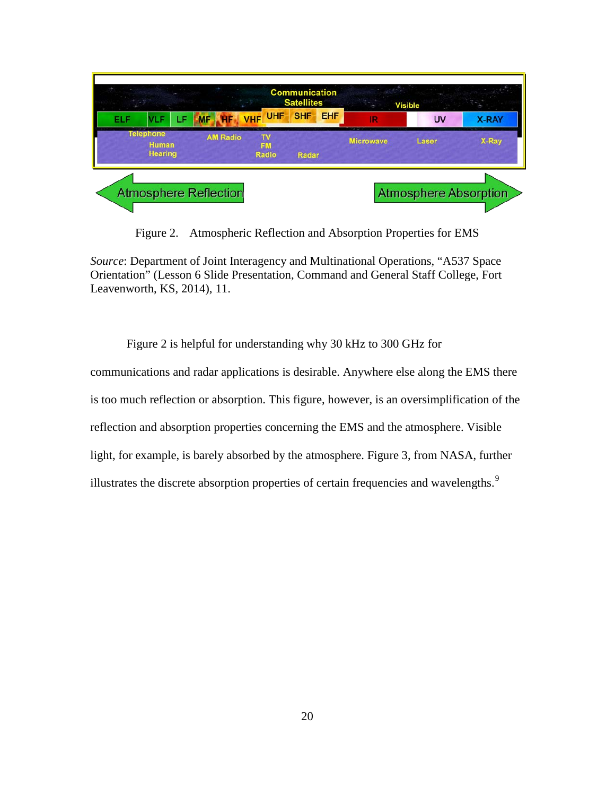

Figure 2. Atmospheric Reflection and Absorption Properties for EMS

*Source*: Department of Joint Interagency and Multinational Operations, "A537 Space Orientation" (Lesson 6 Slide Presentation, Command and General Staff College, Fort Leavenworth, KS, 2014), 11.

Figure 2 is helpful for understanding why 30 kHz to 300 GHz for communications and radar applications is desirable. Anywhere else along the EMS there is too much reflection or absorption. This figure, however, is an oversimplification of the reflection and absorption properties concerning the EMS and the atmosphere. Visible light, for example, is barely absorbed by the atmosphere. Figure 3, from NASA, further illustrates the discrete absorption properties of certain frequencies and wavelengths. $\frac{9}{5}$  $\frac{9}{5}$  $\frac{9}{5}$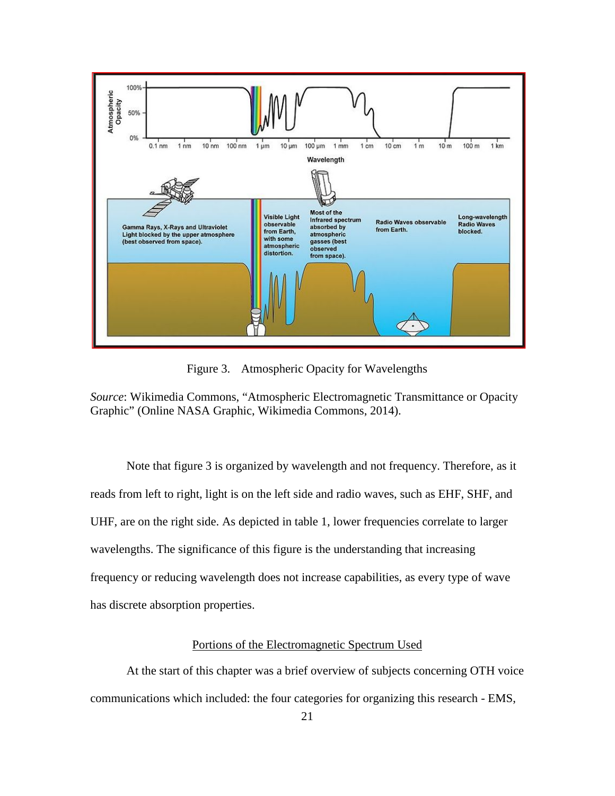

Figure 3. Atmospheric Opacity for Wavelengths

*Source*: Wikimedia Commons, "Atmospheric Electromagnetic Transmittance or Opacity Graphic" (Online NASA Graphic, Wikimedia Commons, 2014).

Note that figure 3 is organized by wavelength and not frequency. Therefore, as it reads from left to right, light is on the left side and radio waves, such as EHF, SHF, and UHF, are on the right side. As depicted in table 1, lower frequencies correlate to larger wavelengths. The significance of this figure is the understanding that increasing frequency or reducing wavelength does not increase capabilities, as every type of wave has discrete absorption properties.

### Portions of the Electromagnetic Spectrum Used

At the start of this chapter was a brief overview of subjects concerning OTH voice communications which included: the four categories for organizing this research - EMS,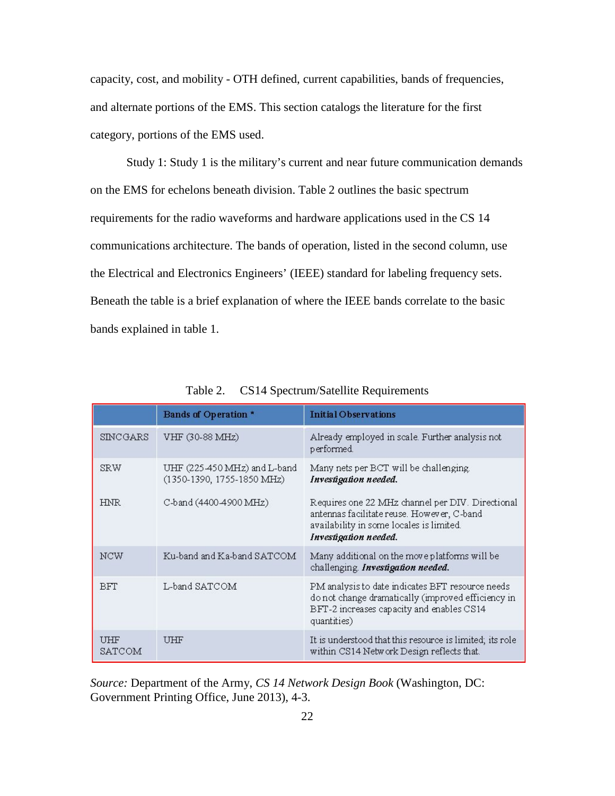capacity, cost, and mobility - OTH defined, current capabilities, bands of frequencies, and alternate portions of the EMS. This section catalogs the literature for the first category, portions of the EMS used.

Study 1: Study 1 is the military's current and near future communication demands on the EMS for echelons beneath division. Table 2 outlines the basic spectrum requirements for the radio waveforms and hardware applications used in the CS 14 communications architecture. The bands of operation, listed in the second column, use the Electrical and Electronics Engineers' (IEEE) standard for labeling frequency sets. Beneath the table is a brief explanation of where the IEEE bands correlate to the basic bands explained in table 1.

|                      | Bands of Operation *                                       | <b>Initial Observations</b>                                                                                                                                         |
|----------------------|------------------------------------------------------------|---------------------------------------------------------------------------------------------------------------------------------------------------------------------|
| <b>SINCGARS</b>      | VHF (30-88 MHz)                                            | Already employed in scale. Further analysis not<br>performed.                                                                                                       |
| SRW                  | UHF (225-450 MHz) and L-band<br>(1350-1390, 1755-1850 MHz) | Many nets per BCT will be challenging.<br>Investigation needed.                                                                                                     |
| <b>HNR</b>           | C-band (4400-4900 MHz)                                     | Requires one 22 MHz channel per DIV. Directional<br>antennas facilitate reuse. However, C-band<br>availability in some locales is limited.<br>Investigation needed. |
| NCW                  | Ku-band and Ka-band SATCOM                                 | Many additional on the move platforms will be<br>challenging. Investigation needed.                                                                                 |
| <b>BFT</b>           | L-band SATCOM                                              | PM analysis to date indicates BFT resource needs<br>do not change dramatically (improved efficiency in<br>BFT-2 increases capacity and enables CS14<br>quantities)  |
| <b>UHF</b><br>SATCOM | UHF                                                        | It is understood that this resource is limited, its role<br>within CS14 Network Design reflects that.                                                               |

Table 2. CS14 Spectrum/Satellite Requirements

*Source:* Department of the Army, *CS 14 Network Design Book* (Washington, DC: Government Printing Office, June 2013), 4-3.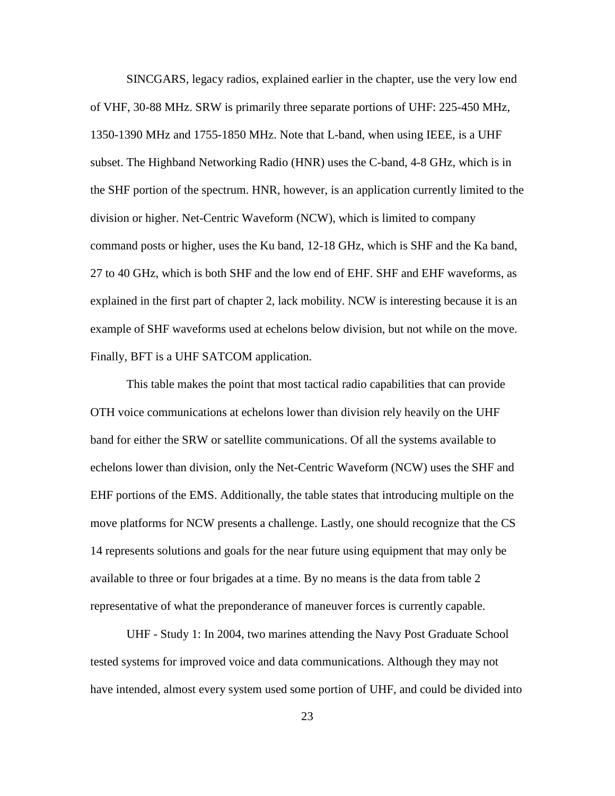SINCGARS, legacy radios, explained earlier in the chapter, use the very low end of VHF, 30-88 MHz. SRW is primarily three separate portions of UHF: 225-450 MHz, 1350-1390 MHz and 1755-1850 MHz. Note that L-band, when using IEEE, is a UHF subset. The Highband Networking Radio (HNR) uses the C-band, 4-8 GHz, which is in the SHF portion of the spectrum. HNR, however, is an application currently limited to the division or higher. Net-Centric Waveform (NCW), which is limited to company command posts or higher, uses the Ku band, 12-18 GHz, which is SHF and the Ka band, 27 to 40 GHz, which is both SHF and the low end of EHF. SHF and EHF waveforms, as explained in the first part of chapter 2, lack mobility. NCW is interesting because it is an example of SHF waveforms used at echelons below division, but not while on the move. Finally, BFT is a UHF SATCOM application.

This table makes the point that most tactical radio capabilities that can provide OTH voice communications at echelons lower than division rely heavily on the UHF band for either the SRW or satellite communications. Of all the systems available to echelons lower than division, only the Net-Centric Waveform (NCW) uses the SHF and EHF portions of the EMS. Additionally, the table states that introducing multiple on the move platforms for NCW presents a challenge. Lastly, one should recognize that the CS 14 represents solutions and goals for the near future using equipment that may only be available to three or four brigades at a time. By no means is the data from table 2 representative of what the preponderance of maneuver forces is currently capable.

UHF - Study 1: In 2004, two marines attending the Navy Post Graduate School tested systems for improved voice and data communications. Although they may not have intended, almost every system used some portion of UHF, and could be divided into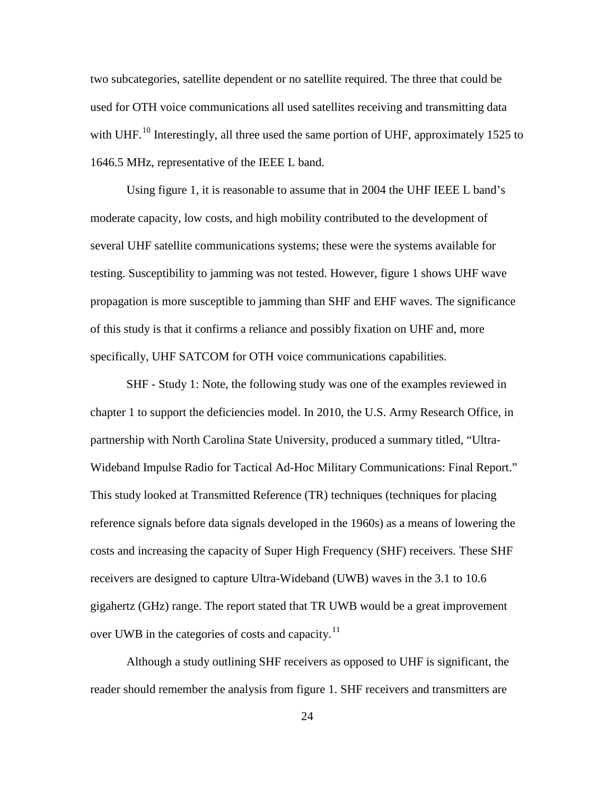two subcategories, satellite dependent or no satellite required. The three that could be used for OTH voice communications all used satellites receiving and transmitting data with UHF.<sup>[10](#page-52-0)</sup> Interestingly, all three used the same portion of UHF, approximately 1525 to 1646.5 MHz, representative of the IEEE L band.

Using figure 1, it is reasonable to assume that in 2004 the UHF IEEE L band's moderate capacity, low costs, and high mobility contributed to the development of several UHF satellite communications systems; these were the systems available for testing. Susceptibility to jamming was not tested. However, figure 1 shows UHF wave propagation is more susceptible to jamming than SHF and EHF waves. The significance of this study is that it confirms a reliance and possibly fixation on UHF and, more specifically, UHF SATCOM for OTH voice communications capabilities.

SHF - Study 1: Note, the following study was one of the examples reviewed in chapter 1 to support the deficiencies model. In 2010, the U.S. Army Research Office, in partnership with North Carolina State University, produced a summary titled, "Ultra-Wideband Impulse Radio for Tactical Ad-Hoc Military Communications: Final Report." This study looked at Transmitted Reference (TR) techniques (techniques for placing reference signals before data signals developed in the 1960s) as a means of lowering the costs and increasing the capacity of Super High Frequency (SHF) receivers. These SHF receivers are designed to capture Ultra-Wideband (UWB) waves in the 3.1 to 10.6 gigahertz (GHz) range. The report stated that TR UWB would be a great improvement over UWB in the categories of costs and capacity.<sup>[11](#page-52-1)</sup>

Although a study outlining SHF receivers as opposed to UHF is significant, the reader should remember the analysis from figure 1. SHF receivers and transmitters are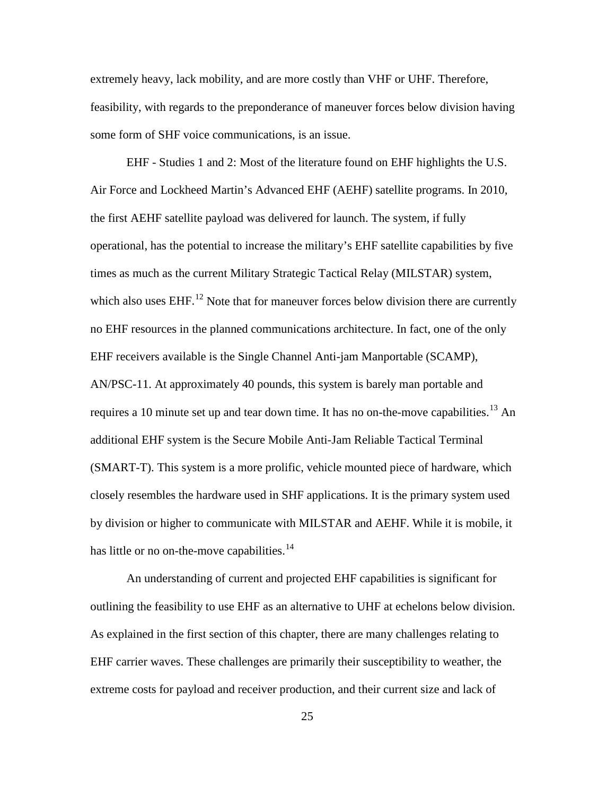extremely heavy, lack mobility, and are more costly than VHF or UHF. Therefore, feasibility, with regards to the preponderance of maneuver forces below division having some form of SHF voice communications, is an issue.

EHF - Studies 1 and 2: Most of the literature found on EHF highlights the U.S. Air Force and Lockheed Martin's Advanced EHF (AEHF) satellite programs. In 2010, the first AEHF satellite payload was delivered for launch. The system, if fully operational, has the potential to increase the military's EHF satellite capabilities by five times as much as the current Military Strategic Tactical Relay (MILSTAR) system, which also uses  $EHF<sup>12</sup>$  $EHF<sup>12</sup>$  $EHF<sup>12</sup>$  Note that for maneuver forces below division there are currently no EHF resources in the planned communications architecture. In fact, one of the only EHF receivers available is the Single Channel Anti-jam Manportable (SCAMP), AN/PSC-11. At approximately 40 pounds, this system is barely man portable and requires a 10 minute set up and tear down time. It has no on-the-move capabilities.<sup>[13](#page-53-1)</sup> An additional EHF system is the Secure Mobile Anti-Jam Reliable Tactical Terminal (SMART-T). This system is a more prolific, vehicle mounted piece of hardware, which closely resembles the hardware used in SHF applications. It is the primary system used by division or higher to communicate with MILSTAR and AEHF. While it is mobile, it has little or no on-the-move capabilities. $14$ 

An understanding of current and projected EHF capabilities is significant for outlining the feasibility to use EHF as an alternative to UHF at echelons below division. As explained in the first section of this chapter, there are many challenges relating to EHF carrier waves. These challenges are primarily their susceptibility to weather, the extreme costs for payload and receiver production, and their current size and lack of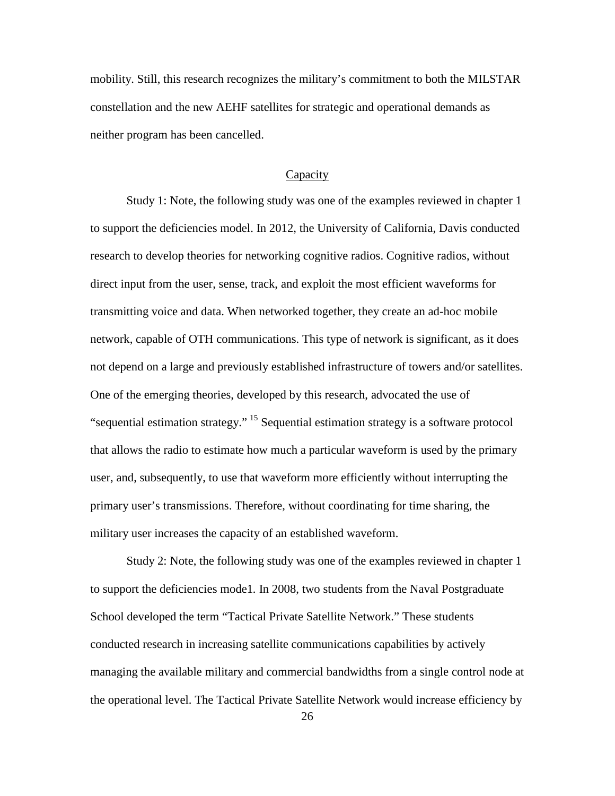mobility. Still, this research recognizes the military's commitment to both the MILSTAR constellation and the new AEHF satellites for strategic and operational demands as neither program has been cancelled.

#### Capacity

Study 1: Note, the following study was one of the examples reviewed in chapter 1 to support the deficiencies model. In 2012, the University of California, Davis conducted research to develop theories for networking cognitive radios. Cognitive radios, without direct input from the user, sense, track, and exploit the most efficient waveforms for transmitting voice and data. When networked together, they create an ad-hoc mobile network, capable of OTH communications. This type of network is significant, as it does not depend on a large and previously established infrastructure of towers and/or satellites. One of the emerging theories, developed by this research, advocated the use of "sequential estimation strategy." [15](#page-54-0) Sequential estimation strategy is a software protocol that allows the radio to estimate how much a particular waveform is used by the primary user, and, subsequently, to use that waveform more efficiently without interrupting the primary user's transmissions. Therefore, without coordinating for time sharing, the military user increases the capacity of an established waveform.

Study 2: Note, the following study was one of the examples reviewed in chapter 1 to support the deficiencies mode1*.* In 2008, two students from the Naval Postgraduate School developed the term "Tactical Private Satellite Network." These students conducted research in increasing satellite communications capabilities by actively managing the available military and commercial bandwidths from a single control node at the operational level. The Tactical Private Satellite Network would increase efficiency by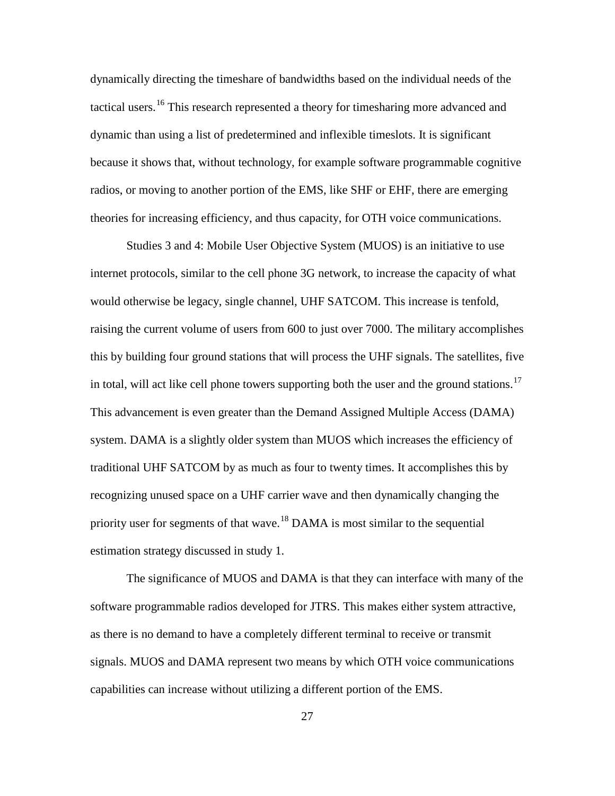dynamically directing the timeshare of bandwidths based on the individual needs of the tactical users.<sup>[16](#page-55-0)</sup> This research represented a theory for timesharing more advanced and dynamic than using a list of predetermined and inflexible timeslots. It is significant because it shows that, without technology, for example software programmable cognitive radios, or moving to another portion of the EMS, like SHF or EHF, there are emerging theories for increasing efficiency, and thus capacity, for OTH voice communications.

Studies 3 and 4: Mobile User Objective System (MUOS) is an initiative to use internet protocols, similar to the cell phone 3G network, to increase the capacity of what would otherwise be legacy, single channel, UHF SATCOM. This increase is tenfold, raising the current volume of users from 600 to just over 7000. The military accomplishes this by building four ground stations that will process the UHF signals. The satellites, five in total, will act like cell phone towers supporting both the user and the ground stations.<sup>[17](#page-55-1)</sup> This advancement is even greater than the Demand Assigned Multiple Access (DAMA) system. DAMA is a slightly older system than MUOS which increases the efficiency of traditional UHF SATCOM by as much as four to twenty times. It accomplishes this by recognizing unused space on a UHF carrier wave and then dynamically changing the priority user for segments of that wave.<sup>[18](#page-55-2)</sup> DAMA is most similar to the sequential estimation strategy discussed in study 1.

The significance of MUOS and DAMA is that they can interface with many of the software programmable radios developed for JTRS. This makes either system attractive, as there is no demand to have a completely different terminal to receive or transmit signals. MUOS and DAMA represent two means by which OTH voice communications capabilities can increase without utilizing a different portion of the EMS.

27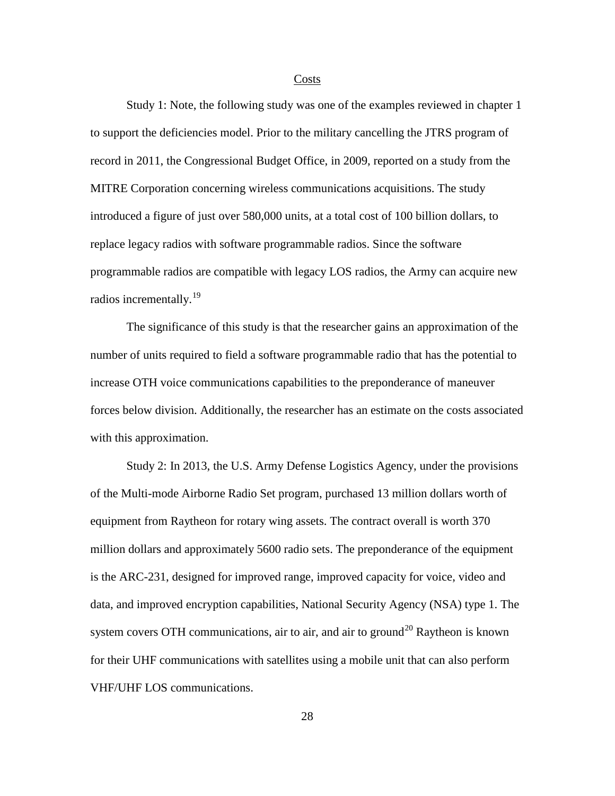#### **Costs**

Study 1: Note, the following study was one of the examples reviewed in chapter 1 to support the deficiencies model. Prior to the military cancelling the JTRS program of record in 2011, the Congressional Budget Office, in 2009, reported on a study from the MITRE Corporation concerning wireless communications acquisitions. The study introduced a figure of just over 580,000 units, at a total cost of 100 billion dollars, to replace legacy radios with software programmable radios. Since the software programmable radios are compatible with legacy LOS radios, the Army can acquire new radios incrementally.<sup>[19](#page-56-0)</sup>

The significance of this study is that the researcher gains an approximation of the number of units required to field a software programmable radio that has the potential to increase OTH voice communications capabilities to the preponderance of maneuver forces below division. Additionally, the researcher has an estimate on the costs associated with this approximation.

Study 2: In 2013, the U.S. Army Defense Logistics Agency, under the provisions of the Multi-mode Airborne Radio Set program, purchased 13 million dollars worth of equipment from Raytheon for rotary wing assets. The contract overall is worth 370 million dollars and approximately 5600 radio sets. The preponderance of the equipment is the ARC-231, designed for improved range, improved capacity for voice, video and data, and improved encryption capabilities, National Security Agency (NSA) type 1. The system covers OTH communications, air to air, and air to ground<sup>[20](#page-56-1)</sup> Raytheon is known for their UHF communications with satellites using a mobile unit that can also perform VHF/UHF LOS communications.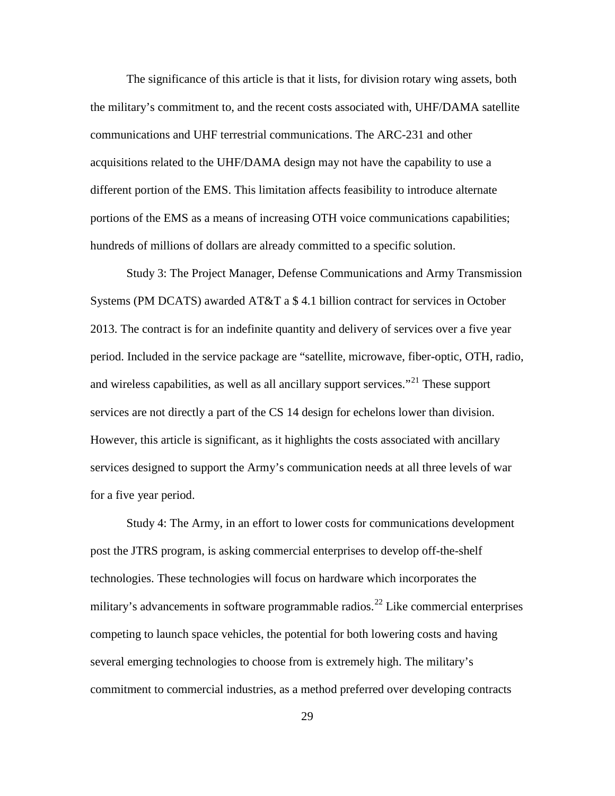The significance of this article is that it lists, for division rotary wing assets, both the military's commitment to, and the recent costs associated with, UHF/DAMA satellite communications and UHF terrestrial communications. The ARC-231 and other acquisitions related to the UHF/DAMA design may not have the capability to use a different portion of the EMS. This limitation affects feasibility to introduce alternate portions of the EMS as a means of increasing OTH voice communications capabilities; hundreds of millions of dollars are already committed to a specific solution.

Study 3: The Project Manager, Defense Communications and Army Transmission Systems (PM DCATS) awarded AT&T a \$ 4.1 billion contract for services in October 2013. The contract is for an indefinite quantity and delivery of services over a five year period. Included in the service package are "satellite, microwave, fiber-optic, OTH, radio, and wireless capabilities, as well as all ancillary support services."<sup>[21](#page-57-0)</sup> These support services are not directly a part of the CS 14 design for echelons lower than division. However, this article is significant, as it highlights the costs associated with ancillary services designed to support the Army's communication needs at all three levels of war for a five year period.

Study 4: The Army, in an effort to lower costs for communications development post the JTRS program, is asking commercial enterprises to develop off-the-shelf technologies. These technologies will focus on hardware which incorporates the military's advancements in software programmable radios.<sup>[22](#page-57-1)</sup> Like commercial enterprises competing to launch space vehicles, the potential for both lowering costs and having several emerging technologies to choose from is extremely high. The military's commitment to commercial industries, as a method preferred over developing contracts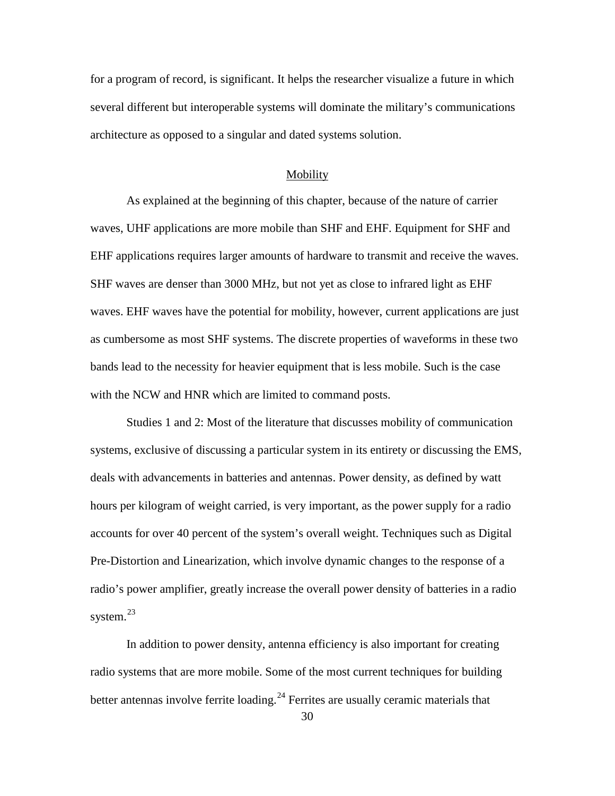for a program of record, is significant. It helps the researcher visualize a future in which several different but interoperable systems will dominate the military's communications architecture as opposed to a singular and dated systems solution.

#### Mobility

As explained at the beginning of this chapter, because of the nature of carrier waves, UHF applications are more mobile than SHF and EHF. Equipment for SHF and EHF applications requires larger amounts of hardware to transmit and receive the waves. SHF waves are denser than 3000 MHz, but not yet as close to infrared light as EHF waves. EHF waves have the potential for mobility, however, current applications are just as cumbersome as most SHF systems. The discrete properties of waveforms in these two bands lead to the necessity for heavier equipment that is less mobile. Such is the case with the NCW and HNR which are limited to command posts.

Studies 1 and 2: Most of the literature that discusses mobility of communication systems, exclusive of discussing a particular system in its entirety or discussing the EMS, deals with advancements in batteries and antennas. Power density, as defined by watt hours per kilogram of weight carried, is very important, as the power supply for a radio accounts for over 40 percent of the system's overall weight. Techniques such as Digital Pre-Distortion and Linearization, which involve dynamic changes to the response of a radio's power amplifier, greatly increase the overall power density of batteries in a radio system.<sup>[23](#page-57-2)</sup>

In addition to power density, antenna efficiency is also important for creating radio systems that are more mobile. Some of the most current techniques for building better antennas involve ferrite loading.<sup>[24](#page-57-3)</sup> Ferrites are usually ceramic materials that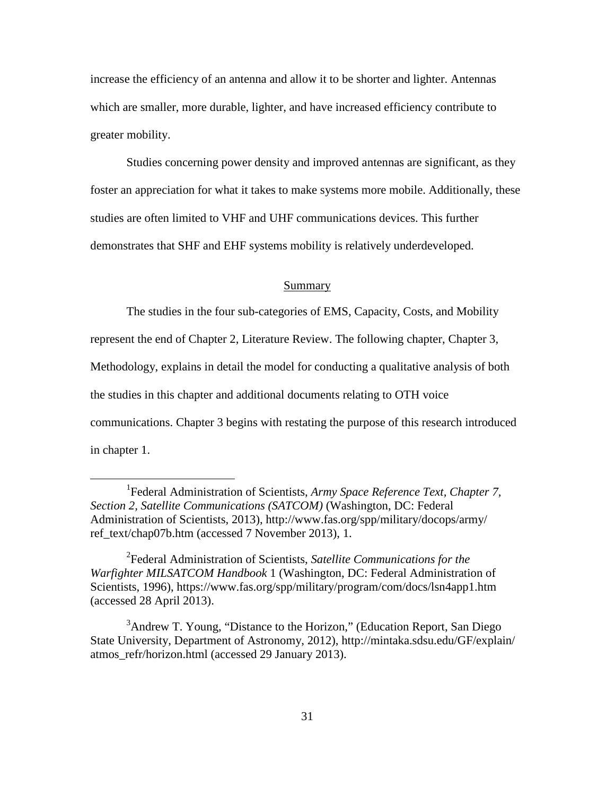increase the efficiency of an antenna and allow it to be shorter and lighter. Antennas which are smaller, more durable, lighter, and have increased efficiency contribute to greater mobility.

Studies concerning power density and improved antennas are significant, as they foster an appreciation for what it takes to make systems more mobile. Additionally, these studies are often limited to VHF and UHF communications devices. This further demonstrates that SHF and EHF systems mobility is relatively underdeveloped.

### Summary

The studies in the four sub-categories of EMS, Capacity, Costs, and Mobility

represent the end of Chapter 2, Literature Review. The following chapter, Chapter 3,

Methodology, explains in detail the model for conducting a qualitative analysis of both

the studies in this chapter and additional documents relating to OTH voice

 $\overline{a}$ 

communications. Chapter 3 begins with restating the purpose of this research introduced in chapter 1.

<sup>&</sup>lt;sup>1</sup> Federal Administration of Scientists, *Army Space Reference Text, Chapter 7, Section 2, Satellite Communications (SATCOM)* (Washington, DC: Federal Administration of Scientists, 2013), http://www.fas.org/spp/military/docops/army/ ref\_text/chap07b.htm (accessed 7 November 2013), 1.

<sup>2</sup> Federal Administration of Scientists, *Satellite Communications for the Warfighter MILSATCOM Handbook* 1 (Washington, DC: Federal Administration of Scientists, 1996), https://www.fas.org/spp/military/program/com/docs/lsn4app1.htm (accessed 28 April 2013).

<sup>&</sup>lt;sup>3</sup>Andrew T. Young, "Distance to the Horizon," (Education Report, San Diego State University, Department of Astronomy, 2012), http://mintaka.sdsu.edu/GF/explain/ atmos\_refr/horizon.html (accessed 29 January 2013).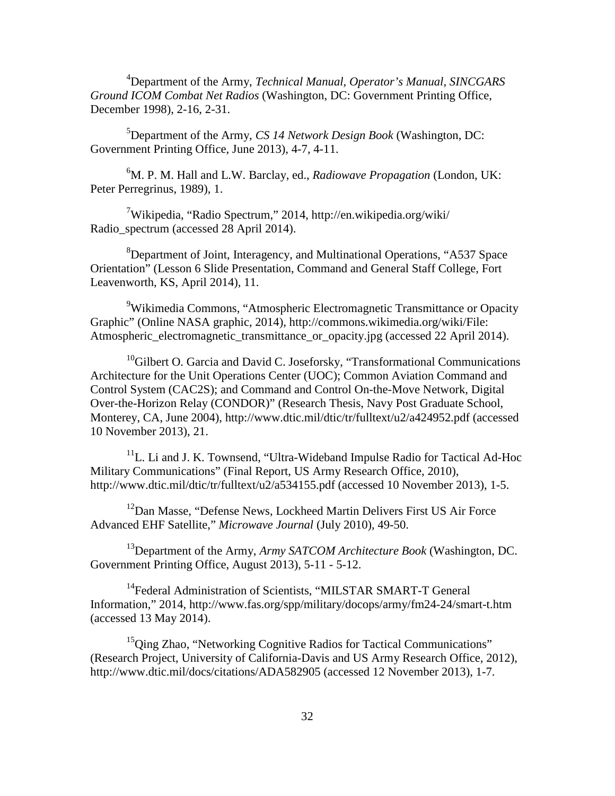4 Department of the Army, *Technical Manual, Operator's Manual, SINCGARS Ground ICOM Combat Net Radios* (Washington, DC: Government Printing Office, December 1998), 2-16, 2-31.

5 Department of the Army, *CS 14 Network Design Book* (Washington, DC: Government Printing Office, June 2013), 4-7, 4-11.

6 M. P. M. Hall and L.W. Barclay, ed., *Radiowave Propagation* (London, UK: Peter Perregrinus, 1989), 1.

<sup>7</sup>Wikipedia, "Radio Spectrum," 2014, http://en.wikipedia.org/wiki/ Radio\_spectrum (accessed 28 April 2014).

<sup>8</sup>Department of Joint, Interagency, and Multinational Operations, "A537 Space Orientation" (Lesson 6 Slide Presentation, Command and General Staff College, Fort Leavenworth, KS, April 2014), 11.

<sup>9</sup>Wikimedia Commons, "Atmospheric Electromagnetic Transmittance or Opacity Graphic" (Online NASA graphic, 2014), http://commons.wikimedia.org/wiki/File: Atmospheric\_electromagnetic\_transmittance\_or\_opacity.jpg (accessed 22 April 2014).

 $10$ Gilbert O. Garcia and David C. Joseforsky, "Transformational Communications" Architecture for the Unit Operations Center (UOC); Common Aviation Command and Control System (CAC2S); and Command and Control On-the-Move Network, Digital Over-the-Horizon Relay (CONDOR)" (Research Thesis, Navy Post Graduate School, Monterey, CA, June 2004), http://www.dtic.mil/dtic/tr/fulltext/u2/a424952.pdf (accessed 10 November 2013), 21.

<sup>11</sup>L. Li and J. K. Townsend, "Ultra-Wideband Impulse Radio for Tactical Ad-Hoc Military Communications" (Final Report, US Army Research Office, 2010), http://www.dtic.mil/dtic/tr/fulltext/u2/a534155.pdf (accessed 10 November 2013), 1-5.

<sup>12</sup>Dan Masse, "Defense News, Lockheed Martin Delivers First US Air Force Advanced EHF Satellite," *Microwave Journal* (July 2010), 49-50.

13Department of the Army, *Army SATCOM Architecture Book* (Washington, DC. Government Printing Office, August 2013), 5-11 - 5-12.

<sup>14</sup>Federal Administration of Scientists, "MILSTAR SMART-T General Information," 2014, http://www.fas.org/spp/military/docops/army/fm24-24/smart-t.htm (accessed 13 May 2014).

 $15Q$ ing Zhao, "Networking Cognitive Radios for Tactical Communications" (Research Project, University of California-Davis and US Army Research Office, 2012), http://www.dtic.mil/docs/citations/ADA582905 (accessed 12 November 2013), 1-7.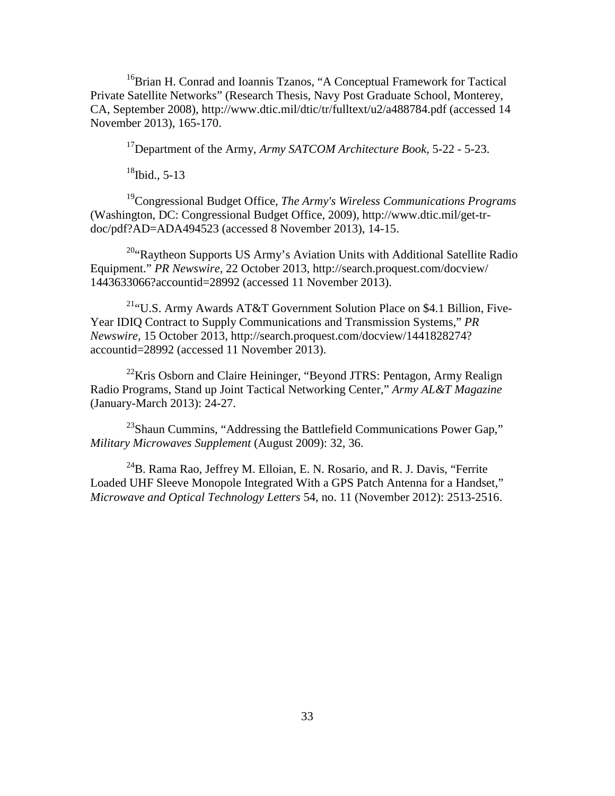<sup>16</sup>Brian H. Conrad and Ioannis Tzanos, "A Conceptual Framework for Tactical Private Satellite Networks" (Research Thesis, Navy Post Graduate School, Monterey, CA, September 2008), http://www.dtic.mil/dtic/tr/fulltext/u2/a488784.pdf (accessed 14 November 2013), 165-170.

17Department of the Army, *Army SATCOM Architecture Book,* 5-22 - 5-23.

 $18$ Ibid., 5-13

19Congressional Budget Office, *The Army's Wireless Communications Programs* (Washington, DC: Congressional Budget Office, 2009), http://www.dtic.mil/get-trdoc/pdf?AD=ADA494523 (accessed 8 November 2013), 14-15.

<sup>20</sup> Raytheon Supports US Army's Aviation Units with Additional Satellite Radio Equipment." *PR Newswire*, 22 October 2013, http://search.proquest.com/docview/ 1443633066?accountid=28992 (accessed 11 November 2013).

21"U.S. Army Awards AT&T Government Solution Place on \$4.1 Billion, Five-Year IDIQ Contract to Supply Communications and Transmission Systems," *PR Newswire,* 15 October 2013, http://search.proquest.com/docview/1441828274? accountid=28992 (accessed 11 November 2013).

 $^{22}$ Kris Osborn and Claire Heininger, "Beyond JTRS: Pentagon, Army Realign Radio Programs, Stand up Joint Tactical Networking Center," *Army AL&T Magazine*  (January-March 2013): 24-27.

 $^{23}$ Shaun Cummins, "Addressing the Battlefield Communications Power Gap," *Military Microwaves Supplement* (August 2009): 32, 36.

 $^{24}$ B. Rama Rao, Jeffrey M. Elloian, E. N. Rosario, and R. J. Davis, "Ferrite Loaded UHF Sleeve Monopole Integrated With a GPS Patch Antenna for a Handset," *Microwave and Optical Technology Letters* 54, no. 11 (November 2012): 2513-2516.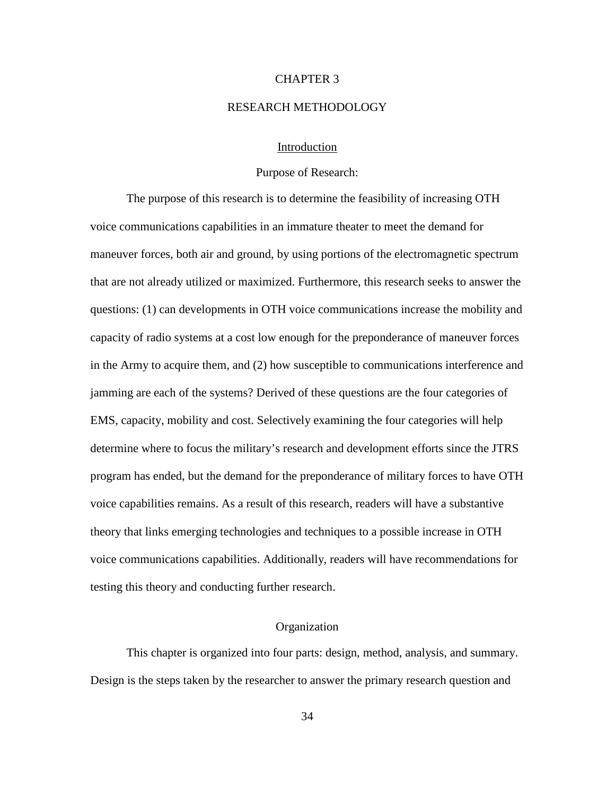## CHAPTER 3

#### RESEARCH METHODOLOGY

## Introduction

### Purpose of Research:

The purpose of this research is to determine the feasibility of increasing OTH voice communications capabilities in an immature theater to meet the demand for maneuver forces, both air and ground, by using portions of the electromagnetic spectrum that are not already utilized or maximized. Furthermore, this research seeks to answer the questions: (1) can developments in OTH voice communications increase the mobility and capacity of radio systems at a cost low enough for the preponderance of maneuver forces in the Army to acquire them, and (2) how susceptible to communications interference and jamming are each of the systems? Derived of these questions are the four categories of EMS, capacity, mobility and cost. Selectively examining the four categories will help determine where to focus the military's research and development efforts since the JTRS program has ended, but the demand for the preponderance of military forces to have OTH voice capabilities remains. As a result of this research, readers will have a substantive theory that links emerging technologies and techniques to a possible increase in OTH voice communications capabilities. Additionally, readers will have recommendations for testing this theory and conducting further research.

## Organization

This chapter is organized into four parts: design, method, analysis, and summary. Design is the steps taken by the researcher to answer the primary research question and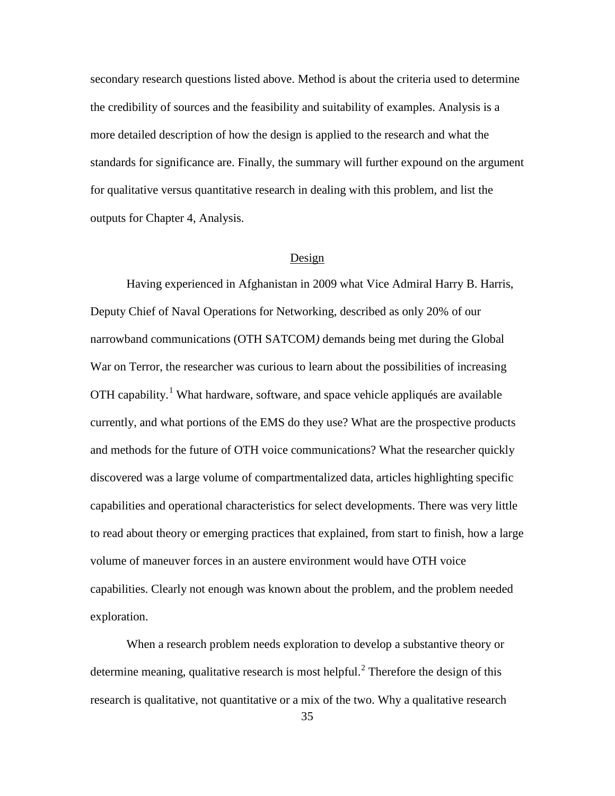secondary research questions listed above. Method is about the criteria used to determine the credibility of sources and the feasibility and suitability of examples. Analysis is a more detailed description of how the design is applied to the research and what the standards for significance are. Finally, the summary will further expound on the argument for qualitative versus quantitative research in dealing with this problem, and list the outputs for Chapter 4, Analysis.

### Design

Having experienced in Afghanistan in 2009 what Vice Admiral Harry B. Harris, Deputy Chief of Naval Operations for Networking, described as only 20% of our narrowband communications (OTH SATCOM*)* demands being met during the Global War on Terror, the researcher was curious to learn about the possibilities of increasing OTH capability.[1](#page-70-0) What hardware, software, and space vehicle appliqués are available currently, and what portions of the EMS do they use? What are the prospective products and methods for the future of OTH voice communications? What the researcher quickly discovered was a large volume of compartmentalized data, articles highlighting specific capabilities and operational characteristics for select developments. There was very little to read about theory or emerging practices that explained, from start to finish, how a large volume of maneuver forces in an austere environment would have OTH voice capabilities. Clearly not enough was known about the problem, and the problem needed exploration.

When a research problem needs exploration to develop a substantive theory or determine meaning, qualitative research is most helpful.<sup>[2](#page-70-1)</sup> Therefore the design of this research is qualitative, not quantitative or a mix of the two. Why a qualitative research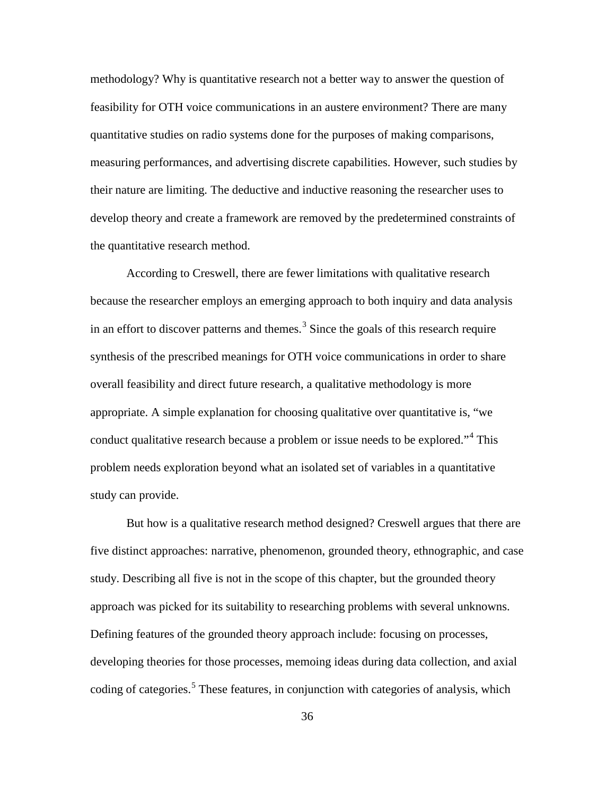methodology? Why is quantitative research not a better way to answer the question of feasibility for OTH voice communications in an austere environment? There are many quantitative studies on radio systems done for the purposes of making comparisons, measuring performances, and advertising discrete capabilities. However, such studies by their nature are limiting. The deductive and inductive reasoning the researcher uses to develop theory and create a framework are removed by the predetermined constraints of the quantitative research method.

According to Creswell, there are fewer limitations with qualitative research because the researcher employs an emerging approach to both inquiry and data analysis in an effort to discover patterns and themes.<sup>[3](#page-71-0)</sup> Since the goals of this research require synthesis of the prescribed meanings for OTH voice communications in order to share overall feasibility and direct future research, a qualitative methodology is more appropriate. A simple explanation for choosing qualitative over quantitative is, "we conduct qualitative research because a problem or issue needs to be explored."[4](#page-71-1) This problem needs exploration beyond what an isolated set of variables in a quantitative study can provide.

But how is a qualitative research method designed? Creswell argues that there are five distinct approaches: narrative, phenomenon, grounded theory, ethnographic, and case study. Describing all five is not in the scope of this chapter, but the grounded theory approach was picked for its suitability to researching problems with several unknowns. Defining features of the grounded theory approach include: focusing on processes, developing theories for those processes, memoing ideas during data collection, and axial coding of categories.<sup>[5](#page-71-2)</sup> These features, in conjunction with categories of analysis, which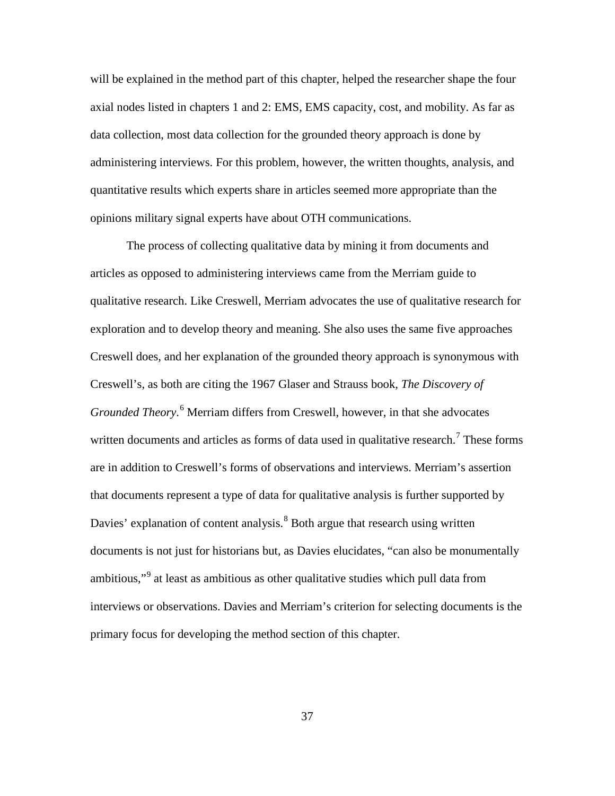will be explained in the method part of this chapter, helped the researcher shape the four axial nodes listed in chapters 1 and 2: EMS, EMS capacity, cost, and mobility. As far as data collection, most data collection for the grounded theory approach is done by administering interviews. For this problem, however, the written thoughts, analysis, and quantitative results which experts share in articles seemed more appropriate than the opinions military signal experts have about OTH communications.

The process of collecting qualitative data by mining it from documents and articles as opposed to administering interviews came from the Merriam guide to qualitative research. Like Creswell, Merriam advocates the use of qualitative research for exploration and to develop theory and meaning. She also uses the same five approaches Creswell does, and her explanation of the grounded theory approach is synonymous with Creswell's, as both are citing the 1967 Glaser and Strauss book, *The Discovery of Grounded Theory*. [6](#page-72-0) Merriam differs from Creswell, however, in that she advocates written documents and articles as forms of data used in qualitative research.<sup>[7](#page-72-1)</sup> These forms are in addition to Creswell's forms of observations and interviews. Merriam's assertion that documents represent a type of data for qualitative analysis is further supported by Davies' explanation of content analysis.<sup>[8](#page-72-2)</sup> Both argue that research using written documents is not just for historians but, as Davies elucidates, "can also be monumentally ambitious,"<sup>[9](#page-72-3)</sup> at least as ambitious as other qualitative studies which pull data from interviews or observations. Davies and Merriam's criterion for selecting documents is the primary focus for developing the method section of this chapter.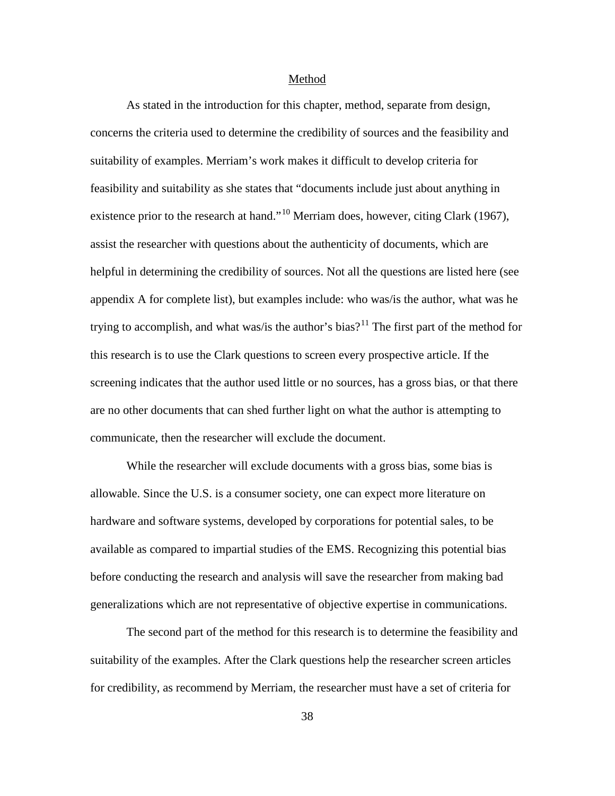#### Method

As stated in the introduction for this chapter, method, separate from design, concerns the criteria used to determine the credibility of sources and the feasibility and suitability of examples. Merriam's work makes it difficult to develop criteria for feasibility and suitability as she states that "documents include just about anything in existence prior to the research at hand."<sup>[10](#page-73-0)</sup> Merriam does, however, citing Clark (1967), assist the researcher with questions about the authenticity of documents, which are helpful in determining the credibility of sources. Not all the questions are listed here (see appendix A for complete list), but examples include: who was/is the author, what was he trying to accomplish, and what was/is the author's bias?<sup>[11](#page-73-1)</sup> The first part of the method for this research is to use the Clark questions to screen every prospective article. If the screening indicates that the author used little or no sources, has a gross bias, or that there are no other documents that can shed further light on what the author is attempting to communicate, then the researcher will exclude the document.

While the researcher will exclude documents with a gross bias, some bias is allowable. Since the U.S. is a consumer society, one can expect more literature on hardware and software systems, developed by corporations for potential sales, to be available as compared to impartial studies of the EMS. Recognizing this potential bias before conducting the research and analysis will save the researcher from making bad generalizations which are not representative of objective expertise in communications.

The second part of the method for this research is to determine the feasibility and suitability of the examples. After the Clark questions help the researcher screen articles for credibility, as recommend by Merriam, the researcher must have a set of criteria for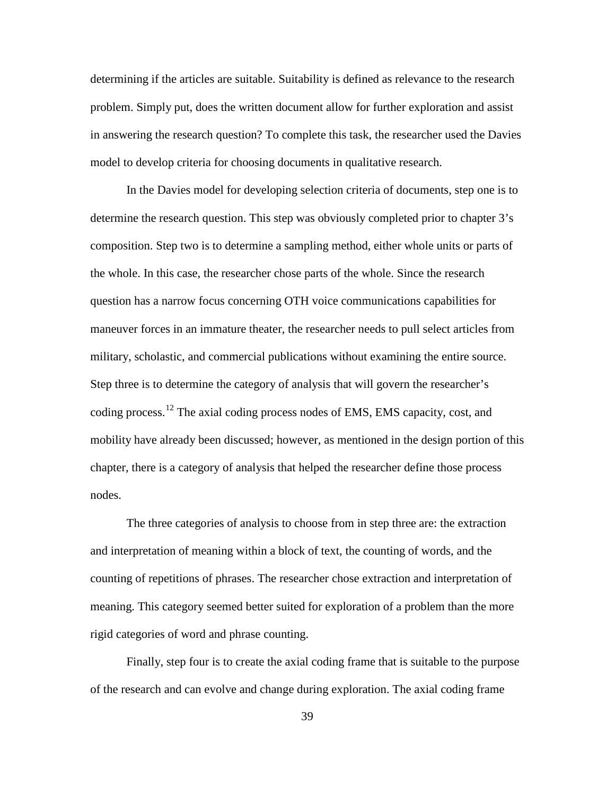determining if the articles are suitable. Suitability is defined as relevance to the research problem. Simply put, does the written document allow for further exploration and assist in answering the research question? To complete this task, the researcher used the Davies model to develop criteria for choosing documents in qualitative research.

In the Davies model for developing selection criteria of documents, step one is to determine the research question. This step was obviously completed prior to chapter 3's composition. Step two is to determine a sampling method, either whole units or parts of the whole. In this case, the researcher chose parts of the whole. Since the research question has a narrow focus concerning OTH voice communications capabilities for maneuver forces in an immature theater, the researcher needs to pull select articles from military, scholastic, and commercial publications without examining the entire source. Step three is to determine the category of analysis that will govern the researcher's coding process.[12](#page-73-2) The axial coding process nodes of EMS, EMS capacity, cost, and mobility have already been discussed; however, as mentioned in the design portion of this chapter, there is a category of analysis that helped the researcher define those process nodes.

The three categories of analysis to choose from in step three are: the extraction and interpretation of meaning within a block of text, the counting of words, and the counting of repetitions of phrases. The researcher chose extraction and interpretation of meaning. This category seemed better suited for exploration of a problem than the more rigid categories of word and phrase counting.

Finally, step four is to create the axial coding frame that is suitable to the purpose of the research and can evolve and change during exploration. The axial coding frame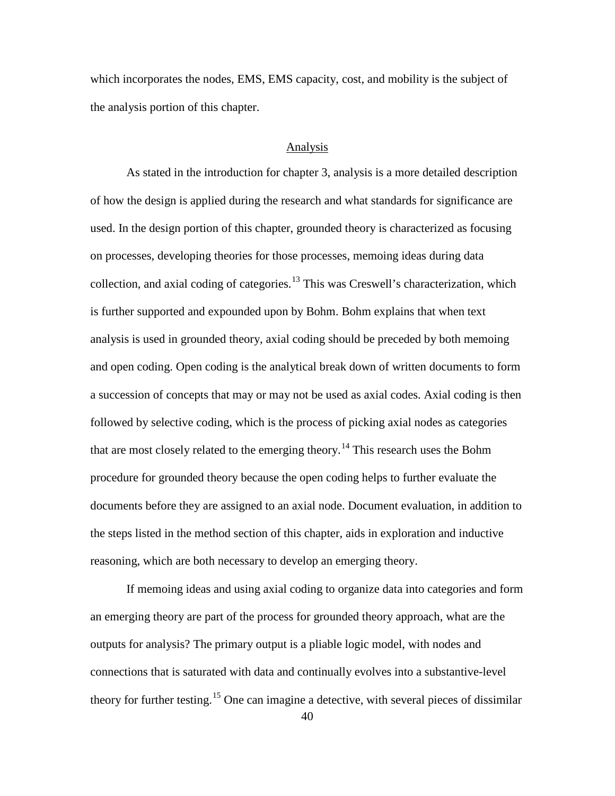which incorporates the nodes, EMS, EMS capacity, cost, and mobility is the subject of the analysis portion of this chapter.

## Analysis

As stated in the introduction for chapter 3, analysis is a more detailed description of how the design is applied during the research and what standards for significance are used. In the design portion of this chapter, grounded theory is characterized as focusing on processes, developing theories for those processes, memoing ideas during data collection, and axial coding of categories.<sup>[13](#page-74-0)</sup> This was Creswell's characterization, which is further supported and expounded upon by Bohm. Bohm explains that when text analysis is used in grounded theory, axial coding should be preceded by both memoing and open coding. Open coding is the analytical break down of written documents to form a succession of concepts that may or may not be used as axial codes. Axial coding is then followed by selective coding, which is the process of picking axial nodes as categories that are most closely related to the emerging theory.<sup>[14](#page-74-1)</sup> This research uses the Bohm procedure for grounded theory because the open coding helps to further evaluate the documents before they are assigned to an axial node. Document evaluation, in addition to the steps listed in the method section of this chapter, aids in exploration and inductive reasoning, which are both necessary to develop an emerging theory.

If memoing ideas and using axial coding to organize data into categories and form an emerging theory are part of the process for grounded theory approach, what are the outputs for analysis? The primary output is a pliable logic model, with nodes and connections that is saturated with data and continually evolves into a substantive-level theory for further testing.<sup>[15](#page-74-2)</sup> One can imagine a detective, with several pieces of dissimilar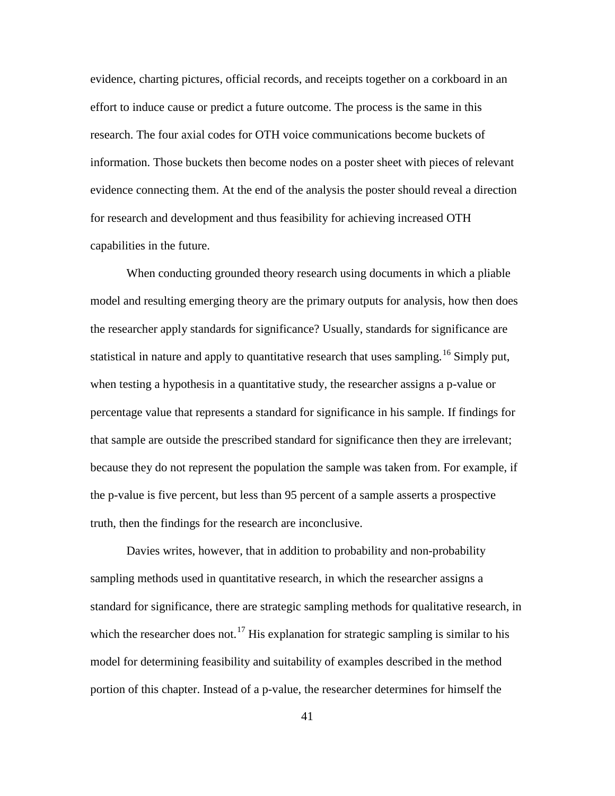evidence, charting pictures, official records, and receipts together on a corkboard in an effort to induce cause or predict a future outcome. The process is the same in this research. The four axial codes for OTH voice communications become buckets of information. Those buckets then become nodes on a poster sheet with pieces of relevant evidence connecting them. At the end of the analysis the poster should reveal a direction for research and development and thus feasibility for achieving increased OTH capabilities in the future.

When conducting grounded theory research using documents in which a pliable model and resulting emerging theory are the primary outputs for analysis, how then does the researcher apply standards for significance? Usually, standards for significance are statistical in nature and apply to quantitative research that uses sampling.<sup>[16](#page-74-3)</sup> Simply put, when testing a hypothesis in a quantitative study, the researcher assigns a p-value or percentage value that represents a standard for significance in his sample. If findings for that sample are outside the prescribed standard for significance then they are irrelevant; because they do not represent the population the sample was taken from. For example, if the p-value is five percent, but less than 95 percent of a sample asserts a prospective truth, then the findings for the research are inconclusive.

Davies writes, however, that in addition to probability and non-probability sampling methods used in quantitative research, in which the researcher assigns a standard for significance, there are strategic sampling methods for qualitative research, in which the researcher does not.<sup>[17](#page-74-4)</sup> His explanation for strategic sampling is similar to his model for determining feasibility and suitability of examples described in the method portion of this chapter. Instead of a p-value, the researcher determines for himself the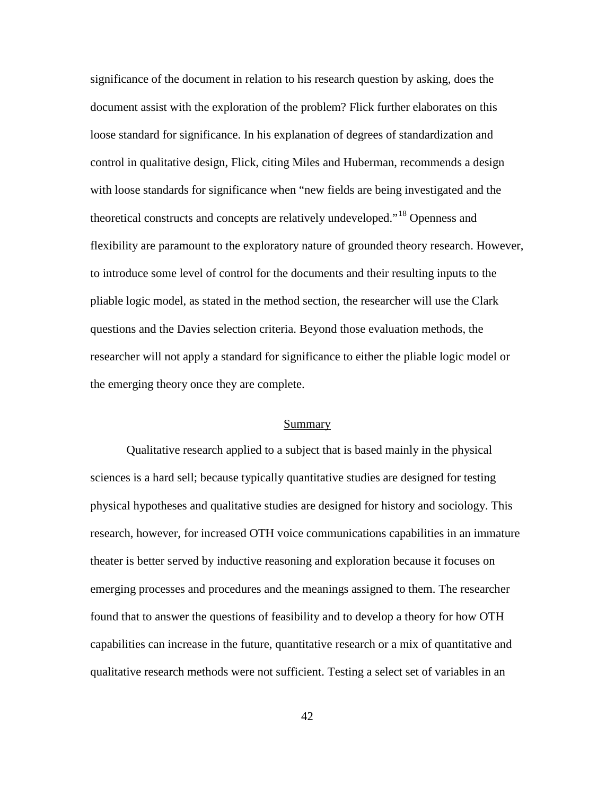significance of the document in relation to his research question by asking, does the document assist with the exploration of the problem? Flick further elaborates on this loose standard for significance. In his explanation of degrees of standardization and control in qualitative design, Flick, citing Miles and Huberman, recommends a design with loose standards for significance when "new fields are being investigated and the theoretical constructs and concepts are relatively undeveloped."[18](#page-74-5) Openness and flexibility are paramount to the exploratory nature of grounded theory research. However, to introduce some level of control for the documents and their resulting inputs to the pliable logic model, as stated in the method section, the researcher will use the Clark questions and the Davies selection criteria. Beyond those evaluation methods, the researcher will not apply a standard for significance to either the pliable logic model or the emerging theory once they are complete.

#### Summary

Qualitative research applied to a subject that is based mainly in the physical sciences is a hard sell; because typically quantitative studies are designed for testing physical hypotheses and qualitative studies are designed for history and sociology. This research, however, for increased OTH voice communications capabilities in an immature theater is better served by inductive reasoning and exploration because it focuses on emerging processes and procedures and the meanings assigned to them. The researcher found that to answer the questions of feasibility and to develop a theory for how OTH capabilities can increase in the future, quantitative research or a mix of quantitative and qualitative research methods were not sufficient. Testing a select set of variables in an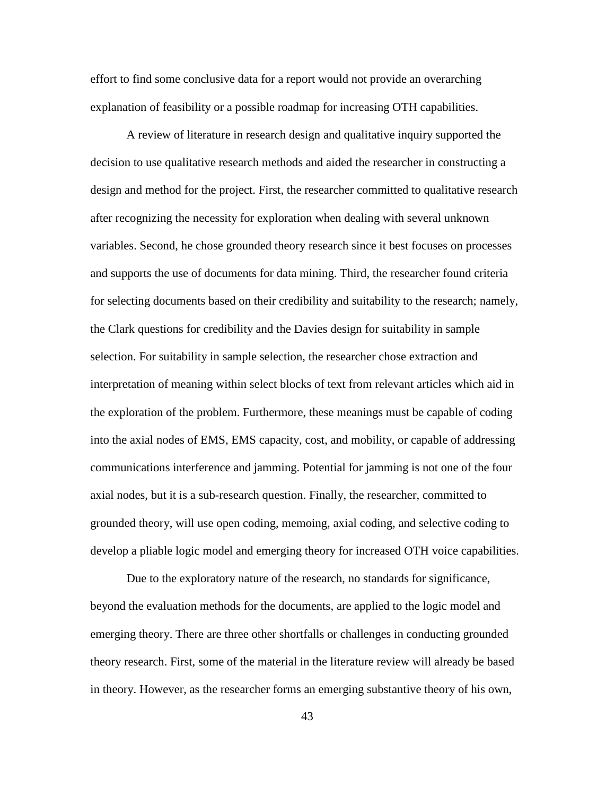effort to find some conclusive data for a report would not provide an overarching explanation of feasibility or a possible roadmap for increasing OTH capabilities.

A review of literature in research design and qualitative inquiry supported the decision to use qualitative research methods and aided the researcher in constructing a design and method for the project. First, the researcher committed to qualitative research after recognizing the necessity for exploration when dealing with several unknown variables. Second, he chose grounded theory research since it best focuses on processes and supports the use of documents for data mining. Third, the researcher found criteria for selecting documents based on their credibility and suitability to the research; namely, the Clark questions for credibility and the Davies design for suitability in sample selection. For suitability in sample selection, the researcher chose extraction and interpretation of meaning within select blocks of text from relevant articles which aid in the exploration of the problem. Furthermore, these meanings must be capable of coding into the axial nodes of EMS, EMS capacity, cost, and mobility, or capable of addressing communications interference and jamming. Potential for jamming is not one of the four axial nodes, but it is a sub-research question. Finally, the researcher, committed to grounded theory, will use open coding, memoing, axial coding, and selective coding to develop a pliable logic model and emerging theory for increased OTH voice capabilities.

Due to the exploratory nature of the research, no standards for significance, beyond the evaluation methods for the documents, are applied to the logic model and emerging theory. There are three other shortfalls or challenges in conducting grounded theory research. First, some of the material in the literature review will already be based in theory. However, as the researcher forms an emerging substantive theory of his own,

43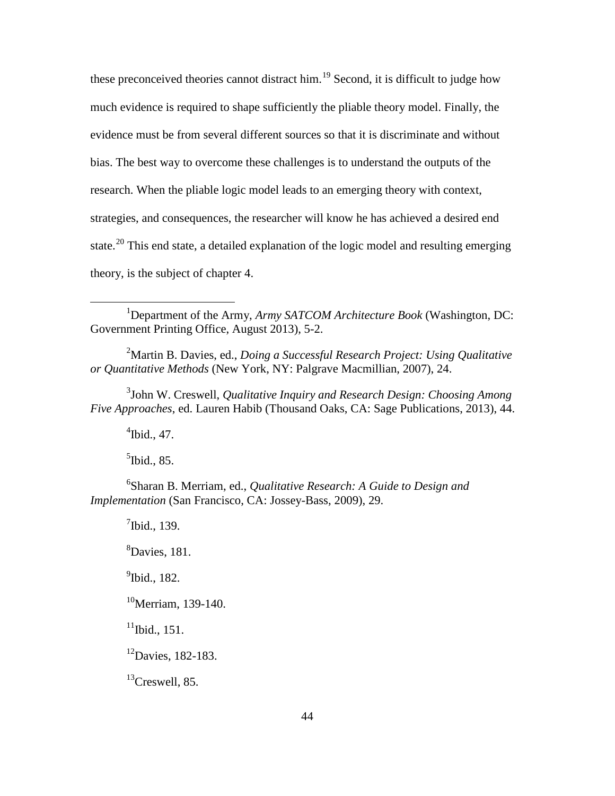these preconceived theories cannot distract him.<sup>[19](#page-74-6)</sup> Second, it is difficult to judge how much evidence is required to shape sufficiently the pliable theory model. Finally, the evidence must be from several different sources so that it is discriminate and without bias. The best way to overcome these challenges is to understand the outputs of the research. When the pliable logic model leads to an emerging theory with context, strategies, and consequences, the researcher will know he has achieved a desired end state.<sup>[20](#page-74-7)</sup> This end state, a detailed explanation of the logic model and resulting emerging theory, is the subject of chapter 4.

<sup>1</sup>Department of the Army, Army SATCOM Architecture Book (Washington, DC: Government Printing Office, August 2013), 5-2.

2 Martin B. Davies, ed., *Doing a Successful Research Project: Using Qualitative or Quantitative Methods* (New York, NY: Palgrave Macmillian, 2007), 24.

3 John W. Creswell, *Qualitative Inquiry and Research Design: Choosing Among Five Approaches*, ed. Lauren Habib (Thousand Oaks, CA: Sage Publications, 2013), 44.

 $\mathrm{4}$ Ibid., 47.

 $\overline{a}$ 

<sup>5</sup>Ibid., 85.

6 Sharan B. Merriam, ed., *Qualitative Research: A Guide to Design and Implementation* (San Francisco, CA: Jossey-Bass, 2009), 29.

<span id="page-54-0"></span> $<sup>7</sup>$ Ibid., 139.</sup> 8 Davies, 181. <sup>9</sup>Ibid., 182.  $10^{\circ}$ Merriam, 139-140.  $11$ Ibid., 151.  $12$ Davies, 182-183.  $^{13}$ Creswell, 85.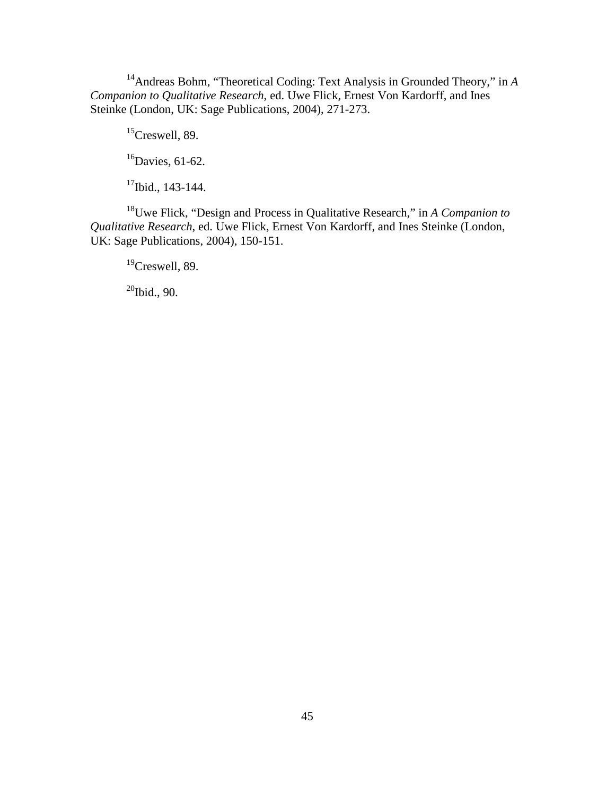<span id="page-55-0"></span>14Andreas Bohm, "Theoretical Coding: Text Analysis in Grounded Theory," in *A Companion to Qualitative Research*, ed. Uwe Flick, Ernest Von Kardorff, and Ines Steinke (London, UK: Sage Publications, 2004), 271-273.

<sup>15</sup>Creswell, 89.

 $16$ Davies, 61-62.

<sup>17</sup>Ibid., 143-144.

<span id="page-55-2"></span><span id="page-55-1"></span>18Uwe Flick, "Design and Process in Qualitative Research," in *A Companion to Qualitative Research*, ed. Uwe Flick, Ernest Von Kardorff, and Ines Steinke (London, UK: Sage Publications, 2004), 150-151.

 $19$ Creswell, 89.

 $20$ Ibid., 90.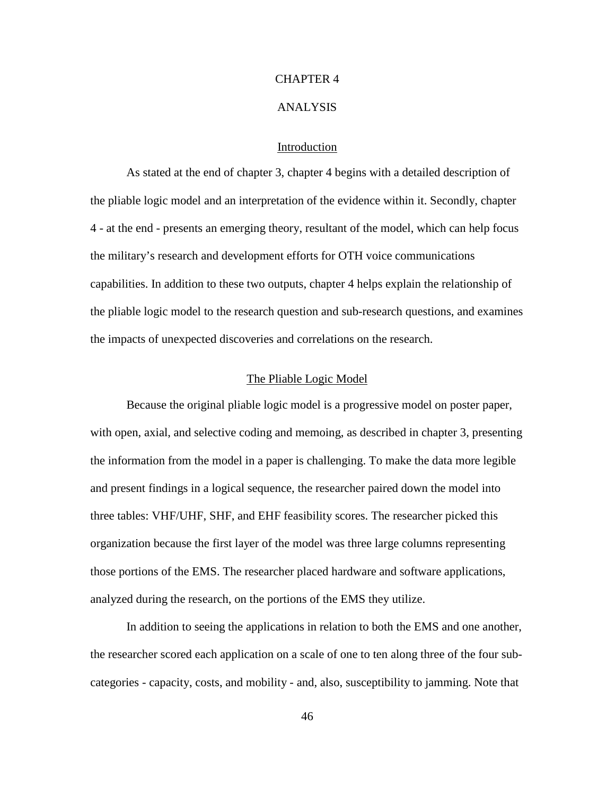## CHAPTER 4

### ANALYSIS

## Introduction

<span id="page-56-1"></span><span id="page-56-0"></span>As stated at the end of chapter 3, chapter 4 begins with a detailed description of the pliable logic model and an interpretation of the evidence within it. Secondly, chapter 4 - at the end - presents an emerging theory, resultant of the model, which can help focus the military's research and development efforts for OTH voice communications capabilities. In addition to these two outputs, chapter 4 helps explain the relationship of the pliable logic model to the research question and sub-research questions, and examines the impacts of unexpected discoveries and correlations on the research.

## The Pliable Logic Model

Because the original pliable logic model is a progressive model on poster paper, with open, axial, and selective coding and memoing, as described in chapter 3, presenting the information from the model in a paper is challenging. To make the data more legible and present findings in a logical sequence, the researcher paired down the model into three tables: VHF/UHF, SHF, and EHF feasibility scores. The researcher picked this organization because the first layer of the model was three large columns representing those portions of the EMS. The researcher placed hardware and software applications, analyzed during the research, on the portions of the EMS they utilize.

In addition to seeing the applications in relation to both the EMS and one another, the researcher scored each application on a scale of one to ten along three of the four subcategories - capacity, costs, and mobility - and, also, susceptibility to jamming. Note that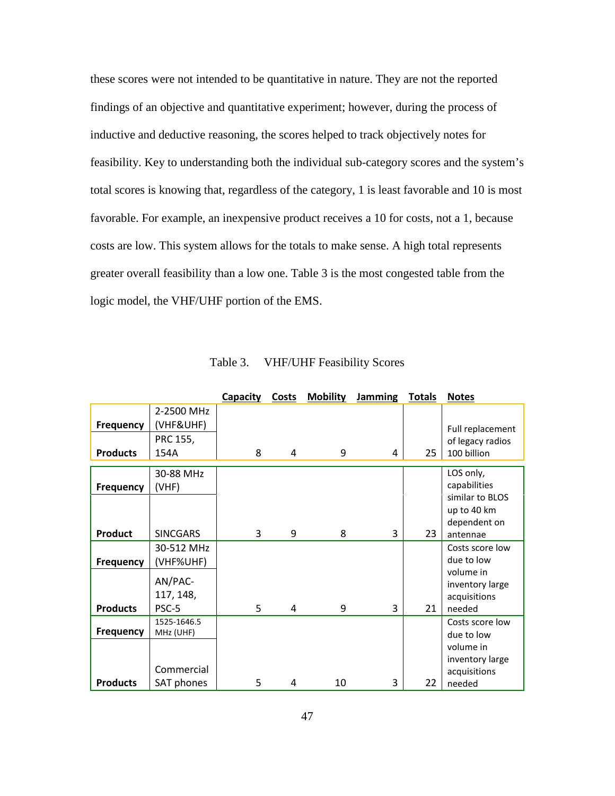these scores were not intended to be quantitative in nature. They are not the reported findings of an objective and quantitative experiment; however, during the process of inductive and deductive reasoning, the scores helped to track objectively notes for feasibility. Key to understanding both the individual sub-category scores and the system's total scores is knowing that, regardless of the category, 1 is least favorable and 10 is most favorable. For example, an inexpensive product receives a 10 for costs, not a 1, because costs are low. This system allows for the totals to make sense. A high total represents greater overall feasibility than a low one. Table 3 is the most congested table from the logic model, the VHF/UHF portion of the EMS.

<span id="page-57-3"></span><span id="page-57-2"></span><span id="page-57-1"></span><span id="page-57-0"></span>

|                 |                 | Capacity | Costs | <b>Mobility</b> | <b>Jamming</b> | <b>Totals</b> | <b>Notes</b>                    |
|-----------------|-----------------|----------|-------|-----------------|----------------|---------------|---------------------------------|
|                 | 2-2500 MHz      |          |       |                 |                |               |                                 |
| Frequency       | (VHF&UHF)       |          |       |                 |                |               | Full replacement                |
|                 | PRC 155,        |          |       |                 |                |               | of legacy radios                |
| <b>Products</b> | 154A            | 8        | 4     | 9               | 4              | 25            | 100 billion                     |
|                 |                 |          |       |                 |                |               |                                 |
|                 | 30-88 MHz       |          |       |                 |                |               | LOS only,                       |
| Frequency       | (VHF)           |          |       |                 |                |               | capabilities<br>similar to BLOS |
|                 |                 |          |       |                 |                |               |                                 |
|                 |                 |          |       |                 |                |               | up to 40 km<br>dependent on     |
| <b>Product</b>  | <b>SINCGARS</b> | 3        | 9     | 8               | 3              | 23            | antennae                        |
|                 | 30-512 MHz      |          |       |                 |                |               | Costs score low                 |
|                 |                 |          |       |                 |                |               | due to low                      |
| Frequency       | (VHF%UHF)       |          |       |                 |                |               | volume in                       |
|                 | AN/PAC-         |          |       |                 |                |               | inventory large                 |
|                 | 117, 148,       |          |       |                 |                |               | acquisitions                    |
| <b>Products</b> | PSC-5           | 5        | 4     | 9               | 3              | 21            | needed                          |
|                 | 1525-1646.5     |          |       |                 |                |               | Costs score low                 |
| Frequency       | MHz (UHF)       |          |       |                 |                |               | due to low                      |
|                 |                 |          |       |                 |                |               | volume in                       |
|                 |                 |          |       |                 |                |               | inventory large                 |
|                 | Commercial      |          |       |                 |                |               | acquisitions                    |
| <b>Products</b> | SAT phones      | 5        | 4     | 10              | 3              | 22            | needed                          |

Table 3. VHF/UHF Feasibility Scores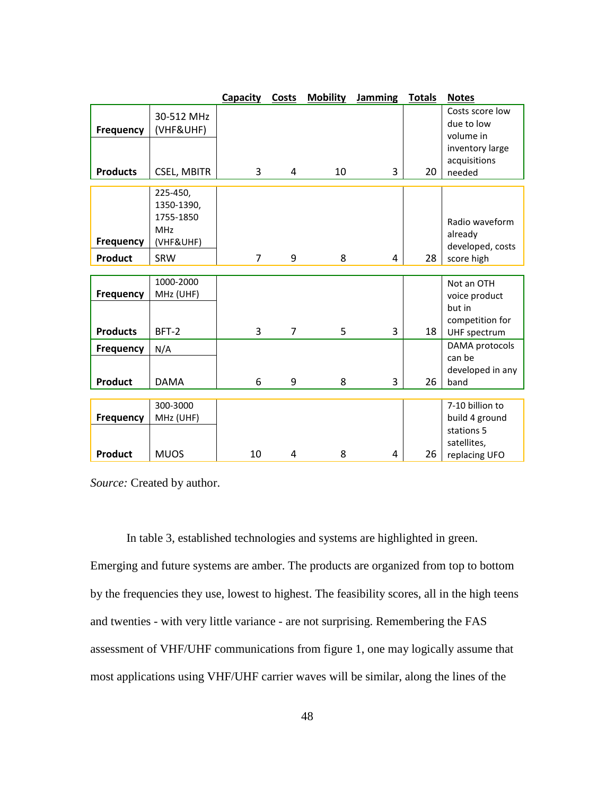|                                     |                                                                | <b>Capacity</b> | <b>Costs</b>   | <b>Mobility</b> | Jamming | <b>Totals</b> | <b>Notes</b>                                                             |
|-------------------------------------|----------------------------------------------------------------|-----------------|----------------|-----------------|---------|---------------|--------------------------------------------------------------------------|
| <b>Frequency</b>                    | 30-512 MHz<br>(VHF&UHF)                                        |                 |                |                 |         |               | Costs score low<br>due to low<br>volume in                               |
| <b>Products</b>                     | <b>CSEL, MBITR</b>                                             | 3               | 4              | 10              | 3       | 20            | inventory large<br>acquisitions<br>needed                                |
| Frequency                           | 225-450,<br>1350-1390,<br>1755-1850<br><b>MHz</b><br>(VHF&UHF) |                 |                |                 |         |               | Radio waveform<br>already<br>developed, costs                            |
| <b>Product</b>                      | SRW                                                            | $\overline{7}$  | 9              | 8               | 4       | 28            | score high                                                               |
| <b>Frequency</b><br><b>Products</b> | 1000-2000<br>MHz (UHF)<br>BFT-2                                | 3               | $\overline{7}$ | 5               | 3       | 18            | Not an OTH<br>voice product<br>but in<br>competition for<br>UHF spectrum |
| Frequency<br><b>Product</b>         | N/A<br><b>DAMA</b>                                             | 6               | 9              | 8               | 3       | 26            | DAMA protocols<br>can be<br>developed in any<br>band                     |
| Frequency                           | 300-3000<br>MHz (UHF)                                          |                 |                |                 |         |               | 7-10 billion to<br>build 4 ground<br>stations 5<br>satellites,           |
| <b>Product</b>                      | <b>MUOS</b>                                                    | 10              | 4              | 8               | 4       | 26            | replacing UFO                                                            |

*Source:* Created by author.

In table 3, established technologies and systems are highlighted in green. Emerging and future systems are amber. The products are organized from top to bottom by the frequencies they use, lowest to highest. The feasibility scores, all in the high teens and twenties - with very little variance - are not surprising. Remembering the FAS assessment of VHF/UHF communications from figure 1, one may logically assume that most applications using VHF/UHF carrier waves will be similar, along the lines of the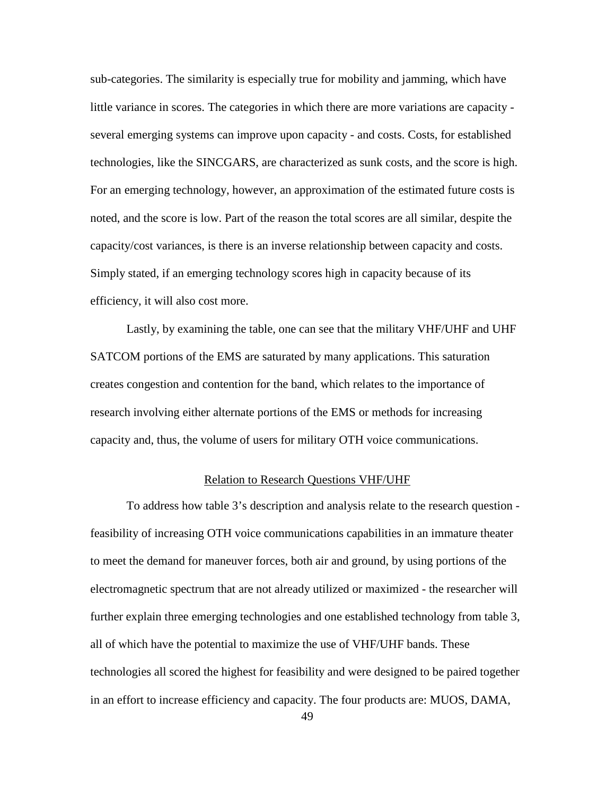sub-categories. The similarity is especially true for mobility and jamming, which have little variance in scores. The categories in which there are more variations are capacity several emerging systems can improve upon capacity - and costs. Costs, for established technologies, like the SINCGARS, are characterized as sunk costs, and the score is high. For an emerging technology, however, an approximation of the estimated future costs is noted, and the score is low. Part of the reason the total scores are all similar, despite the capacity/cost variances, is there is an inverse relationship between capacity and costs. Simply stated, if an emerging technology scores high in capacity because of its efficiency, it will also cost more.

Lastly, by examining the table, one can see that the military VHF/UHF and UHF SATCOM portions of the EMS are saturated by many applications. This saturation creates congestion and contention for the band, which relates to the importance of research involving either alternate portions of the EMS or methods for increasing capacity and, thus, the volume of users for military OTH voice communications.

## Relation to Research Questions VHF/UHF

To address how table 3's description and analysis relate to the research question feasibility of increasing OTH voice communications capabilities in an immature theater to meet the demand for maneuver forces, both air and ground, by using portions of the electromagnetic spectrum that are not already utilized or maximized - the researcher will further explain three emerging technologies and one established technology from table 3, all of which have the potential to maximize the use of VHF/UHF bands. These technologies all scored the highest for feasibility and were designed to be paired together in an effort to increase efficiency and capacity. The four products are: MUOS, DAMA,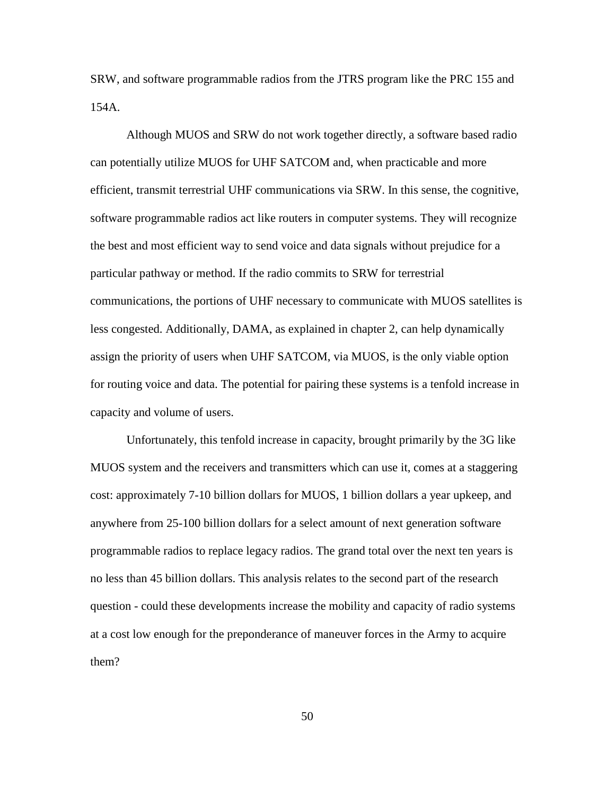SRW, and software programmable radios from the JTRS program like the PRC 155 and 154A.

Although MUOS and SRW do not work together directly, a software based radio can potentially utilize MUOS for UHF SATCOM and, when practicable and more efficient, transmit terrestrial UHF communications via SRW. In this sense, the cognitive, software programmable radios act like routers in computer systems. They will recognize the best and most efficient way to send voice and data signals without prejudice for a particular pathway or method. If the radio commits to SRW for terrestrial communications, the portions of UHF necessary to communicate with MUOS satellites is less congested. Additionally, DAMA, as explained in chapter 2, can help dynamically assign the priority of users when UHF SATCOM, via MUOS, is the only viable option for routing voice and data. The potential for pairing these systems is a tenfold increase in capacity and volume of users.

Unfortunately, this tenfold increase in capacity, brought primarily by the 3G like MUOS system and the receivers and transmitters which can use it, comes at a staggering cost: approximately 7-10 billion dollars for MUOS, 1 billion dollars a year upkeep, and anywhere from 25-100 billion dollars for a select amount of next generation software programmable radios to replace legacy radios. The grand total over the next ten years is no less than 45 billion dollars. This analysis relates to the second part of the research question - could these developments increase the mobility and capacity of radio systems at a cost low enough for the preponderance of maneuver forces in the Army to acquire them?

50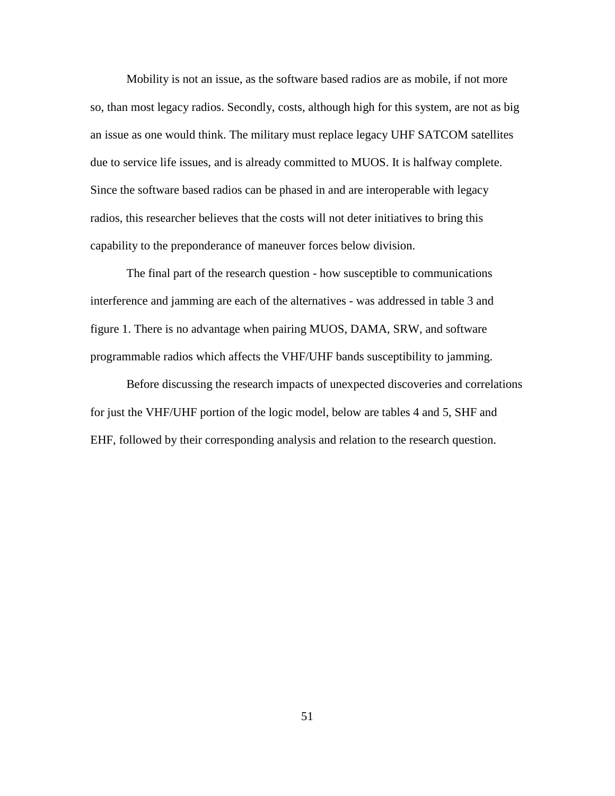Mobility is not an issue, as the software based radios are as mobile, if not more so, than most legacy radios. Secondly, costs, although high for this system, are not as big an issue as one would think. The military must replace legacy UHF SATCOM satellites due to service life issues, and is already committed to MUOS. It is halfway complete. Since the software based radios can be phased in and are interoperable with legacy radios, this researcher believes that the costs will not deter initiatives to bring this capability to the preponderance of maneuver forces below division.

The final part of the research question - how susceptible to communications interference and jamming are each of the alternatives - was addressed in table 3 and figure 1. There is no advantage when pairing MUOS, DAMA, SRW, and software programmable radios which affects the VHF/UHF bands susceptibility to jamming.

Before discussing the research impacts of unexpected discoveries and correlations for just the VHF/UHF portion of the logic model, below are tables 4 and 5, SHF and EHF, followed by their corresponding analysis and relation to the research question.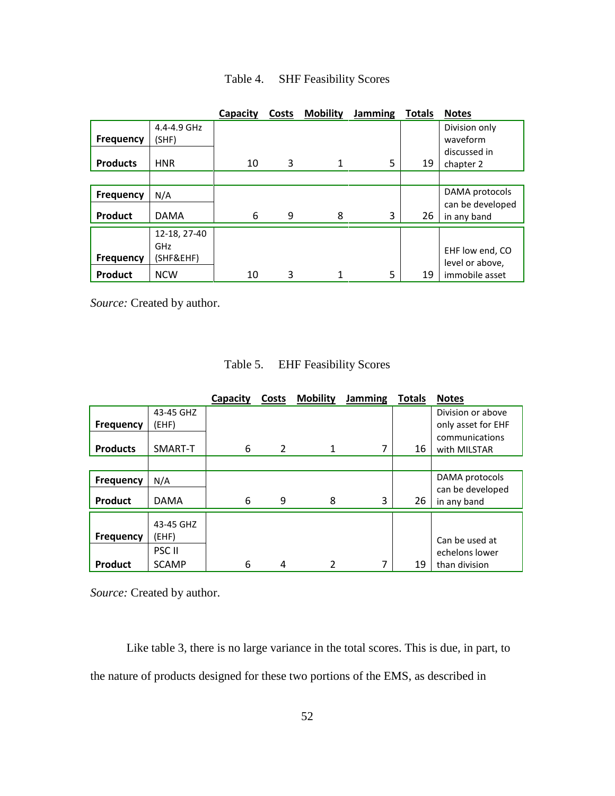|                  |                                  | Capacity | Costs | <b>Mobility</b> | Jamming | <b>Totals</b> | <b>Notes</b>                       |
|------------------|----------------------------------|----------|-------|-----------------|---------|---------------|------------------------------------|
| <b>Frequency</b> | 4.4-4.9 GHz<br>(SHF)             |          |       |                 |         |               | Division only<br>waveform          |
| <b>Products</b>  | <b>HNR</b>                       | 10       | 3     | $\mathbf{1}$    | 5       | 19            | discussed in<br>chapter 2          |
|                  |                                  |          |       |                 |         |               |                                    |
| <b>Frequency</b> | N/A                              |          |       |                 |         |               | DAMA protocols                     |
| <b>Product</b>   | <b>DAMA</b>                      | 6        | 9     | 8               | 3       | 26            | can be developed<br>in any band    |
| <b>Frequency</b> | 12-18, 27-40<br>GHz<br>(SHF&EHF) |          |       |                 |         |               | EHF low end, CO<br>level or above, |
| Product          | <b>NCW</b>                       | 10       | 3     | 1               | 5       | 19            | immobile asset                     |

Table 4. SHF Feasibility Scores

*Source:* Created by author.

| Table 5. | <b>EHF</b> Feasibility Scores |
|----------|-------------------------------|
|----------|-------------------------------|

|                  |                   | Capacity | Costs          | <b>Mobility</b> | Jamming | <b>Totals</b> | <b>Notes</b>       |
|------------------|-------------------|----------|----------------|-----------------|---------|---------------|--------------------|
|                  | 43-45 GHZ         |          |                |                 |         |               | Division or above  |
| <b>Frequency</b> | (EHF)             |          |                |                 |         |               | only asset for EHF |
|                  |                   |          |                |                 |         |               | communications     |
| <b>Products</b>  | SMART-T           | 6        | $\overline{2}$ | 1               | 7       | 16            | with MILSTAR       |
|                  |                   |          |                |                 |         |               |                    |
| <b>Frequency</b> | N/A               |          |                |                 |         |               | DAMA protocols     |
|                  |                   |          |                |                 |         |               | can be developed   |
| Product          | <b>DAMA</b>       | 6        | 9              | 8               | 3       | 26            | in any band        |
|                  |                   |          |                |                 |         |               |                    |
|                  | 43-45 GHZ         |          |                |                 |         |               |                    |
| <b>Frequency</b> | (EHF)             |          |                |                 |         |               | Can be used at     |
|                  | PSC <sub>II</sub> |          |                |                 |         |               | echelons lower     |
| <b>Product</b>   | <b>SCAMP</b>      | 6        | 4              | 2               | 7       | 19            | than division      |

*Source:* Created by author.

Like table 3, there is no large variance in the total scores. This is due, in part, to the nature of products designed for these two portions of the EMS, as described in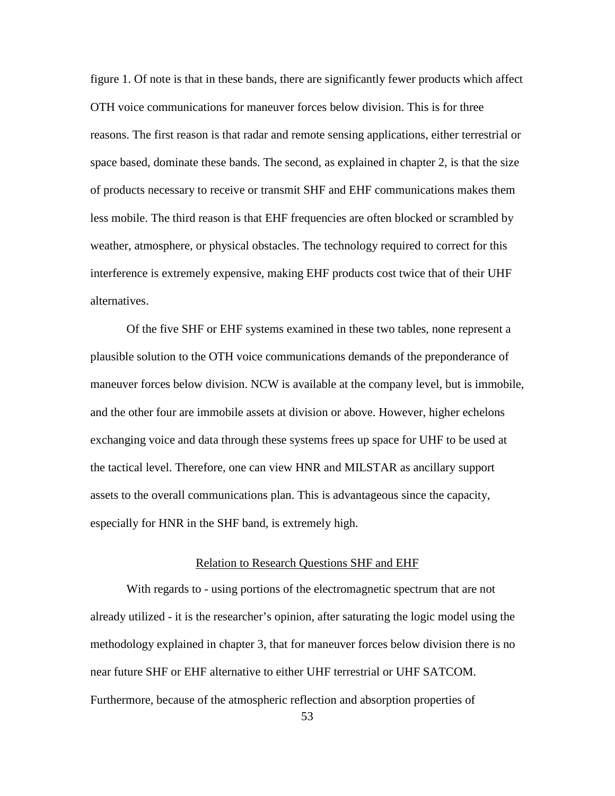figure 1. Of note is that in these bands, there are significantly fewer products which affect OTH voice communications for maneuver forces below division. This is for three reasons. The first reason is that radar and remote sensing applications, either terrestrial or space based, dominate these bands. The second, as explained in chapter 2, is that the size of products necessary to receive or transmit SHF and EHF communications makes them less mobile. The third reason is that EHF frequencies are often blocked or scrambled by weather, atmosphere, or physical obstacles. The technology required to correct for this interference is extremely expensive, making EHF products cost twice that of their UHF alternatives.

Of the five SHF or EHF systems examined in these two tables, none represent a plausible solution to the OTH voice communications demands of the preponderance of maneuver forces below division. NCW is available at the company level, but is immobile, and the other four are immobile assets at division or above. However, higher echelons exchanging voice and data through these systems frees up space for UHF to be used at the tactical level. Therefore, one can view HNR and MILSTAR as ancillary support assets to the overall communications plan. This is advantageous since the capacity, especially for HNR in the SHF band, is extremely high.

### Relation to Research Questions SHF and EHF

With regards to - using portions of the electromagnetic spectrum that are not already utilized - it is the researcher's opinion, after saturating the logic model using the methodology explained in chapter 3, that for maneuver forces below division there is no near future SHF or EHF alternative to either UHF terrestrial or UHF SATCOM. Furthermore, because of the atmospheric reflection and absorption properties of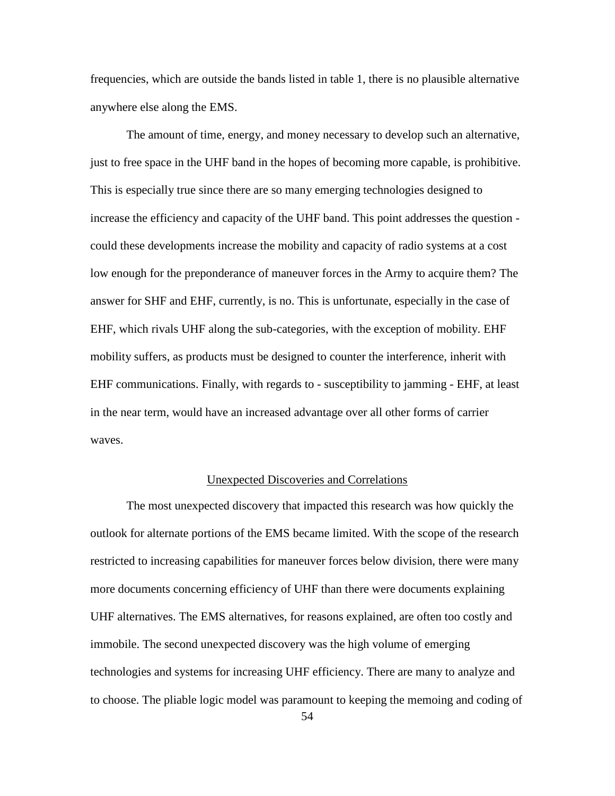frequencies, which are outside the bands listed in table 1, there is no plausible alternative anywhere else along the EMS.

The amount of time, energy, and money necessary to develop such an alternative, just to free space in the UHF band in the hopes of becoming more capable, is prohibitive. This is especially true since there are so many emerging technologies designed to increase the efficiency and capacity of the UHF band. This point addresses the question could these developments increase the mobility and capacity of radio systems at a cost low enough for the preponderance of maneuver forces in the Army to acquire them? The answer for SHF and EHF, currently, is no. This is unfortunate, especially in the case of EHF, which rivals UHF along the sub-categories, with the exception of mobility. EHF mobility suffers, as products must be designed to counter the interference, inherit with EHF communications. Finally, with regards to - susceptibility to jamming - EHF, at least in the near term, would have an increased advantage over all other forms of carrier waves.

## Unexpected Discoveries and Correlations

The most unexpected discovery that impacted this research was how quickly the outlook for alternate portions of the EMS became limited. With the scope of the research restricted to increasing capabilities for maneuver forces below division, there were many more documents concerning efficiency of UHF than there were documents explaining UHF alternatives. The EMS alternatives, for reasons explained, are often too costly and immobile. The second unexpected discovery was the high volume of emerging technologies and systems for increasing UHF efficiency. There are many to analyze and to choose. The pliable logic model was paramount to keeping the memoing and coding of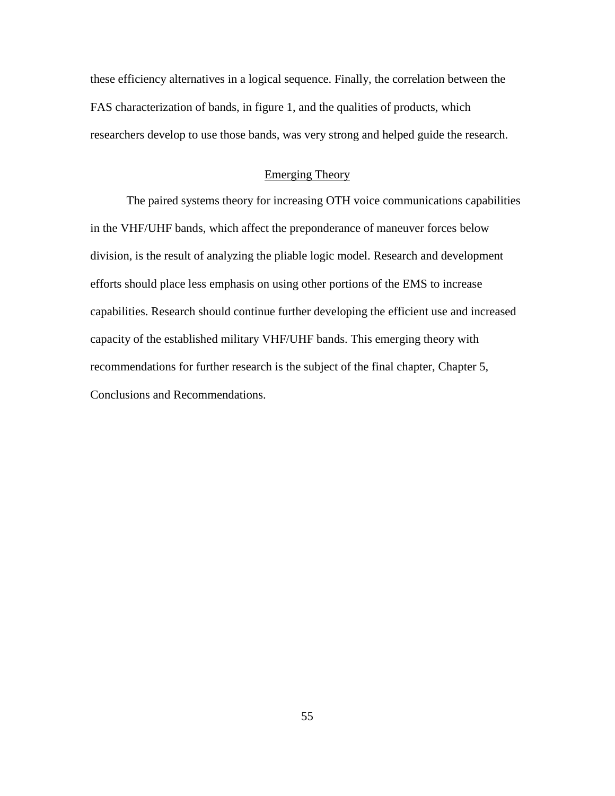these efficiency alternatives in a logical sequence. Finally, the correlation between the FAS characterization of bands, in figure 1, and the qualities of products, which researchers develop to use those bands, was very strong and helped guide the research.

## Emerging Theory

The paired systems theory for increasing OTH voice communications capabilities in the VHF/UHF bands, which affect the preponderance of maneuver forces below division, is the result of analyzing the pliable logic model. Research and development efforts should place less emphasis on using other portions of the EMS to increase capabilities. Research should continue further developing the efficient use and increased capacity of the established military VHF/UHF bands. This emerging theory with recommendations for further research is the subject of the final chapter, Chapter 5, Conclusions and Recommendations.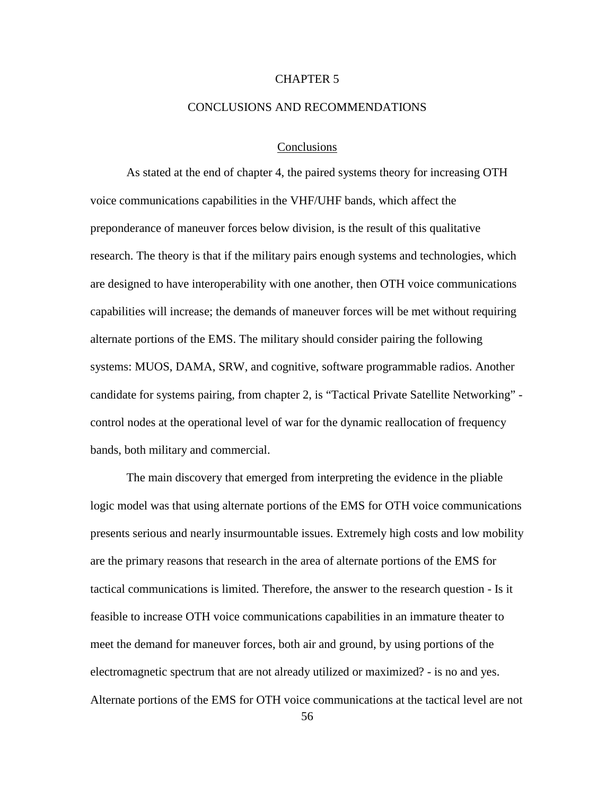## CHAPTER 5

### CONCLUSIONS AND RECOMMENDATIONS

## Conclusions

As stated at the end of chapter 4, the paired systems theory for increasing OTH voice communications capabilities in the VHF/UHF bands, which affect the preponderance of maneuver forces below division, is the result of this qualitative research. The theory is that if the military pairs enough systems and technologies, which are designed to have interoperability with one another, then OTH voice communications capabilities will increase; the demands of maneuver forces will be met without requiring alternate portions of the EMS. The military should consider pairing the following systems: MUOS, DAMA, SRW, and cognitive, software programmable radios. Another candidate for systems pairing, from chapter 2, is "Tactical Private Satellite Networking" control nodes at the operational level of war for the dynamic reallocation of frequency bands, both military and commercial.

The main discovery that emerged from interpreting the evidence in the pliable logic model was that using alternate portions of the EMS for OTH voice communications presents serious and nearly insurmountable issues. Extremely high costs and low mobility are the primary reasons that research in the area of alternate portions of the EMS for tactical communications is limited. Therefore, the answer to the research question - Is it feasible to increase OTH voice communications capabilities in an immature theater to meet the demand for maneuver forces, both air and ground, by using portions of the electromagnetic spectrum that are not already utilized or maximized? - is no and yes. Alternate portions of the EMS for OTH voice communications at the tactical level are not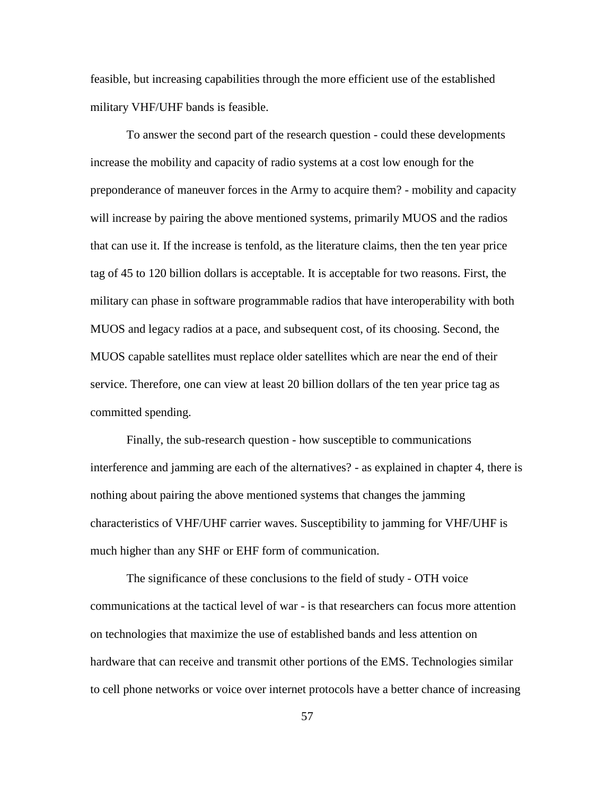feasible, but increasing capabilities through the more efficient use of the established military VHF/UHF bands is feasible.

To answer the second part of the research question - could these developments increase the mobility and capacity of radio systems at a cost low enough for the preponderance of maneuver forces in the Army to acquire them? - mobility and capacity will increase by pairing the above mentioned systems, primarily MUOS and the radios that can use it. If the increase is tenfold, as the literature claims, then the ten year price tag of 45 to 120 billion dollars is acceptable. It is acceptable for two reasons. First, the military can phase in software programmable radios that have interoperability with both MUOS and legacy radios at a pace, and subsequent cost, of its choosing. Second, the MUOS capable satellites must replace older satellites which are near the end of their service. Therefore, one can view at least 20 billion dollars of the ten year price tag as committed spending.

Finally, the sub-research question - how susceptible to communications interference and jamming are each of the alternatives? - as explained in chapter 4, there is nothing about pairing the above mentioned systems that changes the jamming characteristics of VHF/UHF carrier waves. Susceptibility to jamming for VHF/UHF is much higher than any SHF or EHF form of communication.

The significance of these conclusions to the field of study - OTH voice communications at the tactical level of war - is that researchers can focus more attention on technologies that maximize the use of established bands and less attention on hardware that can receive and transmit other portions of the EMS. Technologies similar to cell phone networks or voice over internet protocols have a better chance of increasing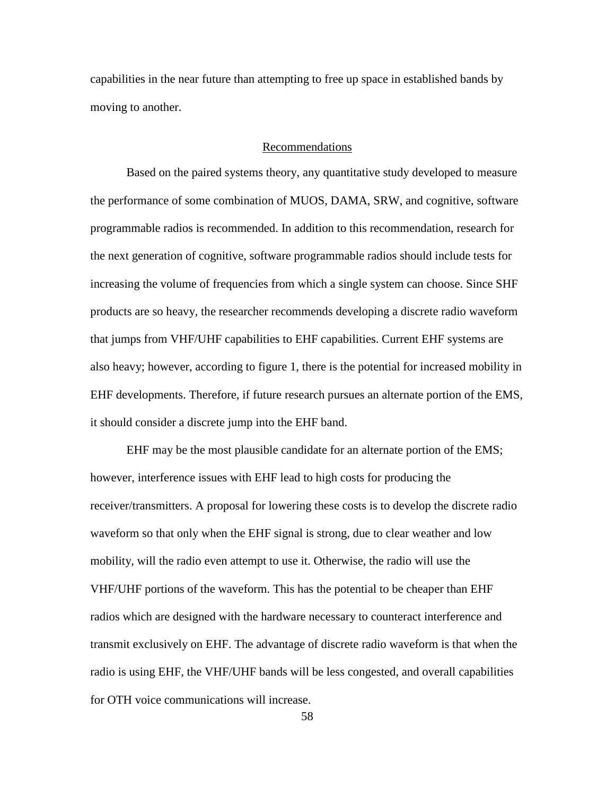capabilities in the near future than attempting to free up space in established bands by moving to another.

## Recommendations

Based on the paired systems theory, any quantitative study developed to measure the performance of some combination of MUOS, DAMA, SRW, and cognitive, software programmable radios is recommended. In addition to this recommendation, research for the next generation of cognitive, software programmable radios should include tests for increasing the volume of frequencies from which a single system can choose. Since SHF products are so heavy, the researcher recommends developing a discrete radio waveform that jumps from VHF/UHF capabilities to EHF capabilities. Current EHF systems are also heavy; however, according to figure 1, there is the potential for increased mobility in EHF developments. Therefore, if future research pursues an alternate portion of the EMS, it should consider a discrete jump into the EHF band.

EHF may be the most plausible candidate for an alternate portion of the EMS; however, interference issues with EHF lead to high costs for producing the receiver/transmitters. A proposal for lowering these costs is to develop the discrete radio waveform so that only when the EHF signal is strong, due to clear weather and low mobility, will the radio even attempt to use it. Otherwise, the radio will use the VHF/UHF portions of the waveform. This has the potential to be cheaper than EHF radios which are designed with the hardware necessary to counteract interference and transmit exclusively on EHF. The advantage of discrete radio waveform is that when the radio is using EHF, the VHF/UHF bands will be less congested, and overall capabilities for OTH voice communications will increase.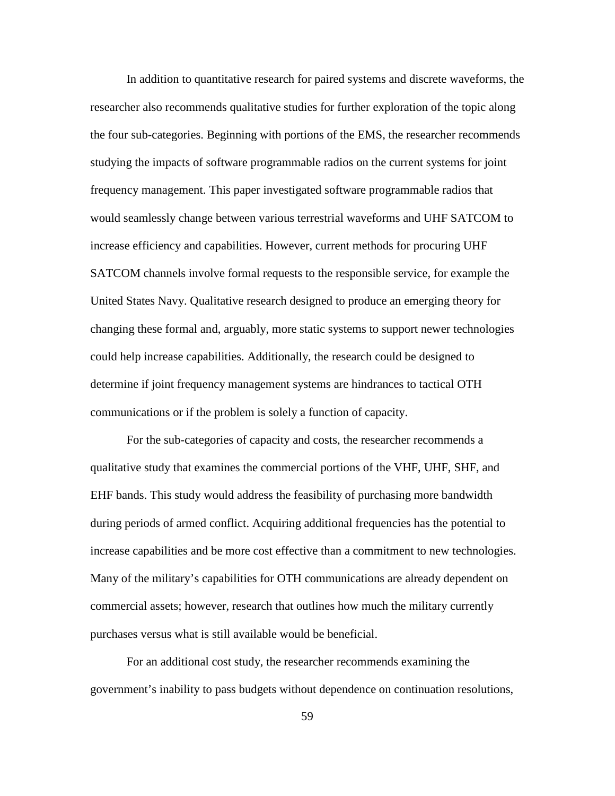In addition to quantitative research for paired systems and discrete waveforms, the researcher also recommends qualitative studies for further exploration of the topic along the four sub-categories. Beginning with portions of the EMS, the researcher recommends studying the impacts of software programmable radios on the current systems for joint frequency management. This paper investigated software programmable radios that would seamlessly change between various terrestrial waveforms and UHF SATCOM to increase efficiency and capabilities. However, current methods for procuring UHF SATCOM channels involve formal requests to the responsible service, for example the United States Navy. Qualitative research designed to produce an emerging theory for changing these formal and, arguably, more static systems to support newer technologies could help increase capabilities. Additionally, the research could be designed to determine if joint frequency management systems are hindrances to tactical OTH communications or if the problem is solely a function of capacity.

For the sub-categories of capacity and costs, the researcher recommends a qualitative study that examines the commercial portions of the VHF, UHF, SHF, and EHF bands. This study would address the feasibility of purchasing more bandwidth during periods of armed conflict. Acquiring additional frequencies has the potential to increase capabilities and be more cost effective than a commitment to new technologies. Many of the military's capabilities for OTH communications are already dependent on commercial assets; however, research that outlines how much the military currently purchases versus what is still available would be beneficial.

For an additional cost study, the researcher recommends examining the government's inability to pass budgets without dependence on continuation resolutions,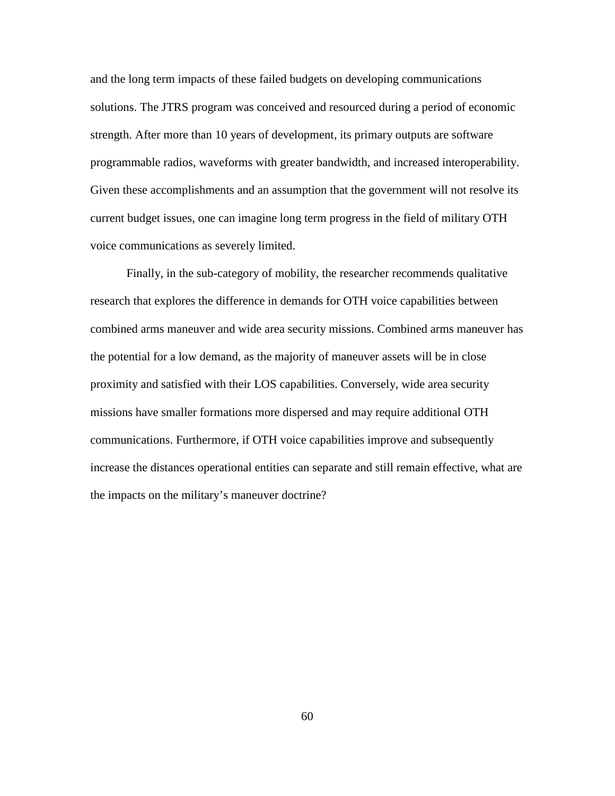and the long term impacts of these failed budgets on developing communications solutions. The JTRS program was conceived and resourced during a period of economic strength. After more than 10 years of development, its primary outputs are software programmable radios, waveforms with greater bandwidth, and increased interoperability. Given these accomplishments and an assumption that the government will not resolve its current budget issues, one can imagine long term progress in the field of military OTH voice communications as severely limited.

<span id="page-70-1"></span><span id="page-70-0"></span>Finally, in the sub-category of mobility, the researcher recommends qualitative research that explores the difference in demands for OTH voice capabilities between combined arms maneuver and wide area security missions. Combined arms maneuver has the potential for a low demand, as the majority of maneuver assets will be in close proximity and satisfied with their LOS capabilities. Conversely, wide area security missions have smaller formations more dispersed and may require additional OTH communications. Furthermore, if OTH voice capabilities improve and subsequently increase the distances operational entities can separate and still remain effective, what are the impacts on the military's maneuver doctrine?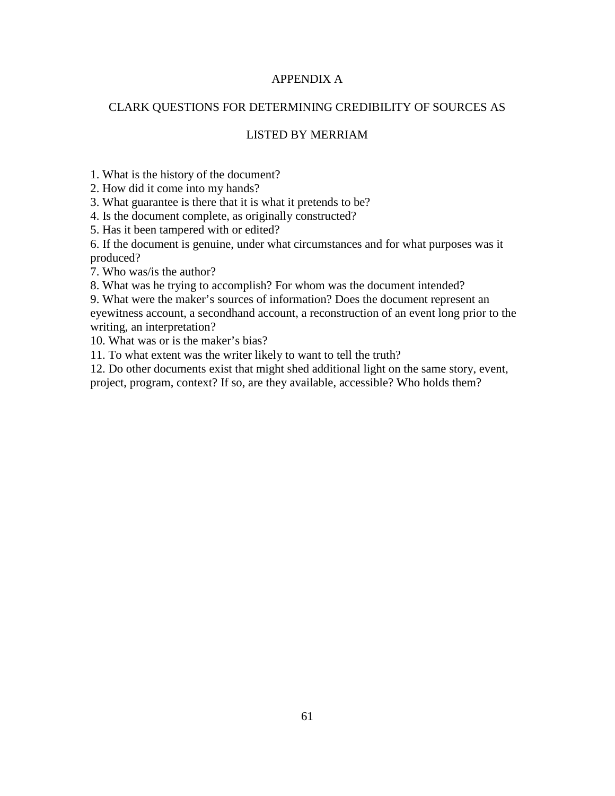# APPENDIX A

# CLARK QUESTIONS FOR DETERMINING CREDIBILITY OF SOURCES AS

# LISTED BY MERRIAM

1. What is the history of the document?

2. How did it come into my hands?

3. What guarantee is there that it is what it pretends to be?

4. Is the document complete, as originally constructed?

5. Has it been tampered with or edited?

6. If the document is genuine, under what circumstances and for what purposes was it produced?

7. Who was/is the author?

8. What was he trying to accomplish? For whom was the document intended?

9. What were the maker's sources of information? Does the document represent an eyewitness account, a secondhand account, a reconstruction of an event long prior to the writing, an interpretation?

10. What was or is the maker's bias?

11. To what extent was the writer likely to want to tell the truth?

12. Do other documents exist that might shed additional light on the same story, event,

<span id="page-71-2"></span><span id="page-71-1"></span><span id="page-71-0"></span>project, program, context? If so, are they available, accessible? Who holds them?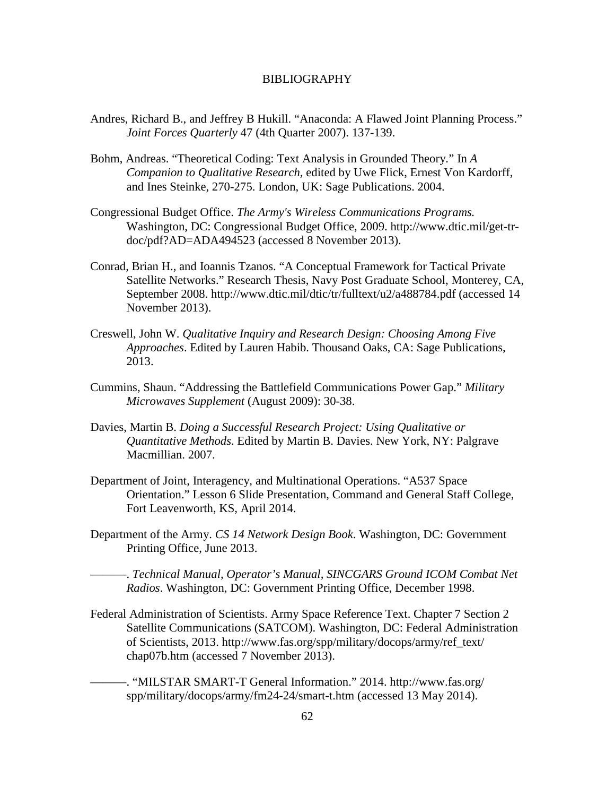## BIBLIOGRAPHY

- Andres, Richard B., and Jeffrey B Hukill. "Anaconda: A Flawed Joint Planning Process." *Joint Forces Quarterly* 47 (4th Quarter 2007). 137-139.
- Bohm, Andreas. "Theoretical Coding: Text Analysis in Grounded Theory." In *A Companion to Qualitative Research,* edited by Uwe Flick, Ernest Von Kardorff, and Ines Steinke, 270-275. London, UK: Sage Publications. 2004.
- Congressional Budget Office. *The Army's Wireless Communications Programs.* Washington, DC: Congressional Budget Office, 2009. http://www.dtic.mil/get-trdoc/pdf?AD=ADA494523 (accessed 8 November 2013).
- Conrad, Brian H., and Ioannis Tzanos. "A Conceptual Framework for Tactical Private Satellite Networks." Research Thesis, Navy Post Graduate School, Monterey, CA, September 2008. http://www.dtic.mil/dtic/tr/fulltext/u2/a488784.pdf (accessed 14 November 2013).
- Creswell, John W. *Qualitative Inquiry and Research Design: Choosing Among Five Approaches*. Edited by Lauren Habib. Thousand Oaks, CA: Sage Publications, 2013.
- Cummins, Shaun. "Addressing the Battlefield Communications Power Gap." *Military Microwaves Supplement* (August 2009): 30-38.
- Davies, Martin B. *Doing a Successful Research Project: Using Qualitative or Quantitative Methods*. Edited by Martin B. Davies. New York, NY: Palgrave Macmillian. 2007.
- Department of Joint, Interagency, and Multinational Operations. "A537 Space Orientation." Lesson 6 Slide Presentation, Command and General Staff College, Fort Leavenworth, KS, April 2014.
- Department of the Army. *CS 14 Network Design Book*. Washington, DC: Government Printing Office, June 2013.
	- ———. *Technical Manual, Operator's Manual, SINCGARS Ground ICOM Combat Net Radios*. Washington, DC: Government Printing Office, December 1998.
- Federal Administration of Scientists. Army Space Reference Text. Chapter 7 Section 2 Satellite Communications (SATCOM). Washington, DC: Federal Administration of Scientists, 2013. http://www.fas.org/spp/military/docops/army/ref\_text/ chap07b.htm (accessed 7 November 2013).
	- ———. "MILSTAR SMART-T General Information." 2014. http://www.fas.org/ spp/military/docops/army/fm24-24/smart-t.htm (accessed 13 May 2014).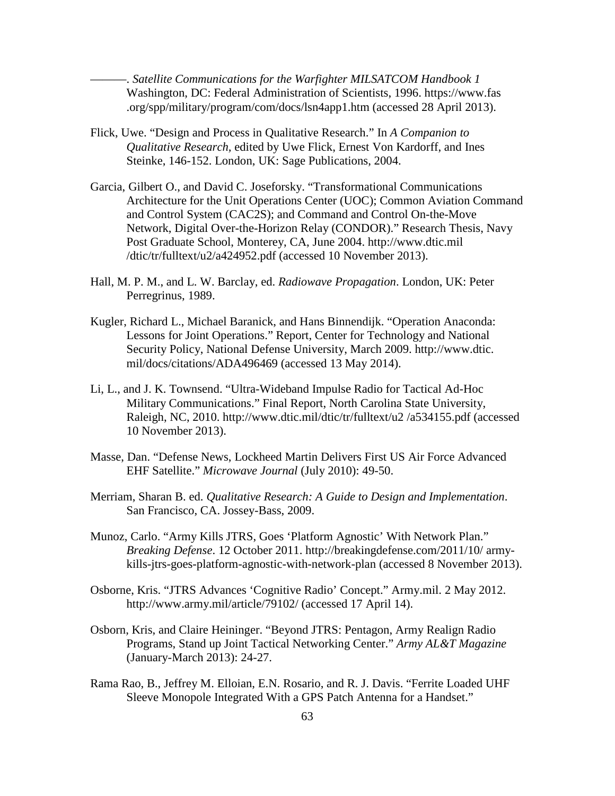———. *Satellite Communications for the Warfighter MILSATCOM Handbook 1* Washington, DC: Federal Administration of Scientists, 1996. https://www.fas .org/spp/military/program/com/docs/lsn4app1.htm (accessed 28 April 2013).

- Flick, Uwe. "Design and Process in Qualitative Research." In *A Companion to Qualitative Research,* edited by Uwe Flick, Ernest Von Kardorff, and Ines Steinke, 146-152. London, UK: Sage Publications, 2004.
- Garcia, Gilbert O., and David C. Joseforsky. "Transformational Communications Architecture for the Unit Operations Center (UOC); Common Aviation Command and Control System (CAC2S); and Command and Control On-the-Move Network, Digital Over-the-Horizon Relay (CONDOR)." Research Thesis, Navy Post Graduate School, Monterey, CA, June 2004. http://www.dtic.mil /dtic/tr/fulltext/u2/a424952.pdf (accessed 10 November 2013).
- Hall, M. P. M., and L. W. Barclay, ed. *Radiowave Propagation*. London, UK: Peter Perregrinus, 1989.
- Kugler, Richard L., Michael Baranick, and Hans Binnendijk. "Operation Anaconda: Lessons for Joint Operations." Report, Center for Technology and National Security Policy, National Defense University, March 2009. http://www.dtic. mil/docs/citations/ADA496469 (accessed 13 May 2014).
- Li, L., and J. K. Townsend. "Ultra-Wideband Impulse Radio for Tactical Ad-Hoc Military Communications." Final Report, North Carolina State University, Raleigh, NC, 2010. http://www.dtic.mil/dtic/tr/fulltext/u2 /a534155.pdf (accessed 10 November 2013).
- Masse, Dan. "Defense News, Lockheed Martin Delivers First US Air Force Advanced EHF Satellite." *Microwave Journal* (July 2010): 49-50.
- Merriam, Sharan B. ed. *Qualitative Research: A Guide to Design and Implementation*. San Francisco, CA. Jossey-Bass, 2009.
- Munoz, Carlo. "Army Kills JTRS, Goes 'Platform Agnostic' With Network Plan." *Breaking Defense*. 12 October 2011. http://breakingdefense.com/2011/10/ armykills-jtrs-goes-platform-agnostic-with-network-plan (accessed 8 November 2013).
- Osborne, Kris. "JTRS Advances 'Cognitive Radio' Concept." Army.mil. 2 May 2012. http://www.army.mil/article/79102/ (accessed 17 April 14).
- Osborn, Kris, and Claire Heininger. "Beyond JTRS: Pentagon, Army Realign Radio Programs, Stand up Joint Tactical Networking Center." *Army AL&T Magazine*  (January-March 2013): 24-27.
- Rama Rao, B., Jeffrey M. Elloian, E.N. Rosario, and R. J. Davis. "Ferrite Loaded UHF Sleeve Monopole Integrated With a GPS Patch Antenna for a Handset."